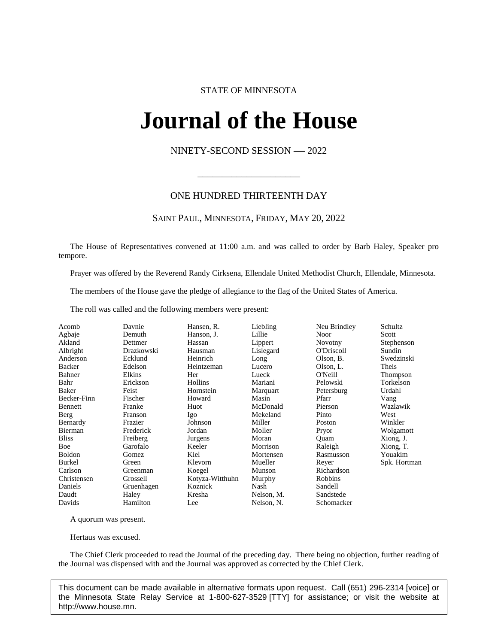# STATE OF MINNESOTA

# **Journal of the House IFINAL OL UNE FIOI**<br>NINETY-SECOND SESSION -- 2022

# ONE HUNDRED THIRTEENTH DAY

\_\_\_\_\_\_\_\_\_\_\_\_\_\_\_\_\_\_\_\_\_

# SAINT PAUL, MINNESOTA, FRIDAY, MAY 20, 2022

The House of Representatives convened at 11:00 a.m. and was called to order by Barb Haley, Speaker pro tempore.

Prayer was offered by the Reverend Randy Cirksena, Ellendale United Methodist Church, Ellendale, Minnesota.

The members of the House gave the pledge of allegiance to the flag of the United States of America.

The roll was called and the following members were present:

| Acomb         | Davnie     | Hansen, R.      | Liebling   | Neu Brindley      | Schultz      |
|---------------|------------|-----------------|------------|-------------------|--------------|
| Agbaje        | Demuth     | Hanson, J.      | Lillie     | Noor              | Scott        |
| Akland        | Dettmer    | Hassan          | Lippert    | <b>Novotny</b>    | Stephenson   |
| Albright      | Drazkowski | Hausman         | Lislegard  | <b>O'Driscoll</b> | Sundin       |
| Anderson      | Ecklund    | Heinrich        | Long       | Olson, B.         | Swedzinski   |
| Backer        | Edelson    | Heintzeman      | Lucero     | Olson, L.         | Theis        |
| Bahner        | Elkins     | Her             | Lueck      | O'Neill           | Thompson     |
| Bahr          | Erickson   | Hollins         | Mariani    | Pelowski          | Torkelson    |
| Baker         | Feist      | Hornstein       | Marquart   | Petersburg        | Urdahl       |
| Becker-Finn   | Fischer    | Howard          | Masin      | Pfarr             | Vang         |
| Bennett       | Franke     | Huot            | McDonald   | Pierson           | Wazlawik     |
| Berg          | Franson    | Igo             | Mekeland   | Pinto             | West         |
| Bernardy      | Frazier    | Johnson         | Miller     | <b>Poston</b>     | Winkler      |
| Bierman       | Frederick  | Jordan          | Moller     | Pryor             | Wolgamott    |
| <b>Bliss</b>  | Freiberg   | Jurgens         | Moran      | Ouam              | Xiong, J.    |
| Boe           | Garofalo   | Keeler          | Morrison   | Raleigh           | Xiong, T.    |
| <b>Boldon</b> | Gomez      | Kiel            | Mortensen  | Rasmusson         | Youakim      |
| Burkel        | Green      | Klevorn         | Mueller    | Reyer             | Spk. Hortman |
| Carlson       | Greenman   | Koegel          | Munson     | Richardson        |              |
| Christensen   | Grossell   | Kotyza-Witthuhn | Murphy     | Robbins           |              |
| Daniels       | Gruenhagen | Koznick         | Nash       | Sandell           |              |
| Daudt         | Haley      | Kresha          | Nelson, M. | Sandstede         |              |
| Davids        | Hamilton   | Lee             | Nelson, N. | Schomacker        |              |

A quorum was present.

Hertaus was excused.

The Chief Clerk proceeded to read the Journal of the preceding day. There being no objection, further reading of the Journal was dispensed with and the Journal was approved as corrected by the Chief Clerk.

This document can be made available in alternative formats upon request. Call (651) 296-2314 [voice] or the Minnesota State Relay Service at 1-800-627-3529 [TTY] for assistance; or visit the website at http://www.house.mn.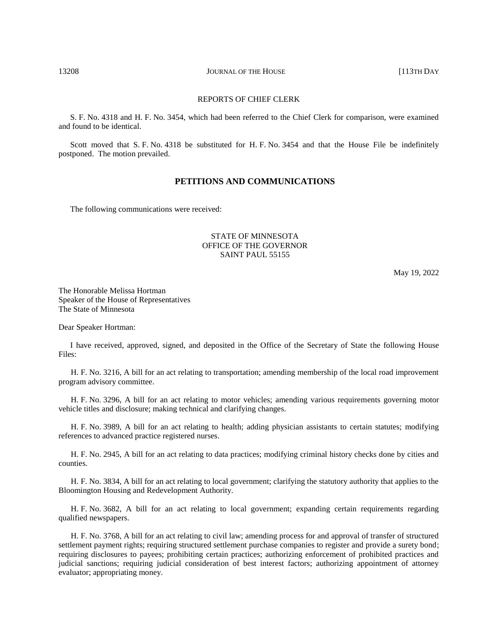### REPORTS OF CHIEF CLERK

S. F. No. 4318 and H. F. No. 3454, which had been referred to the Chief Clerk for comparison, were examined and found to be identical.

Scott moved that S. F. No. 4318 be substituted for H. F. No. 3454 and that the House File be indefinitely postponed. The motion prevailed.

### **PETITIONS AND COMMUNICATIONS**

The following communications were received:

# STATE OF MINNESOTA OFFICE OF THE GOVERNOR SAINT PAUL 55155

May 19, 2022

The Honorable Melissa Hortman Speaker of the House of Representatives The State of Minnesota

Dear Speaker Hortman:

I have received, approved, signed, and deposited in the Office of the Secretary of State the following House Files:

H. F. No. 3216, A bill for an act relating to transportation; amending membership of the local road improvement program advisory committee.

H. F. No. 3296, A bill for an act relating to motor vehicles; amending various requirements governing motor vehicle titles and disclosure; making technical and clarifying changes.

H. F. No. 3989, A bill for an act relating to health; adding physician assistants to certain statutes; modifying references to advanced practice registered nurses.

H. F. No. 2945, A bill for an act relating to data practices; modifying criminal history checks done by cities and counties.

H. F. No. 3834, A bill for an act relating to local government; clarifying the statutory authority that applies to the Bloomington Housing and Redevelopment Authority.

H. F. No. 3682, A bill for an act relating to local government; expanding certain requirements regarding qualified newspapers.

H. F. No. 3768, A bill for an act relating to civil law; amending process for and approval of transfer of structured settlement payment rights; requiring structured settlement purchase companies to register and provide a surety bond; requiring disclosures to payees; prohibiting certain practices; authorizing enforcement of prohibited practices and judicial sanctions; requiring judicial consideration of best interest factors; authorizing appointment of attorney evaluator; appropriating money.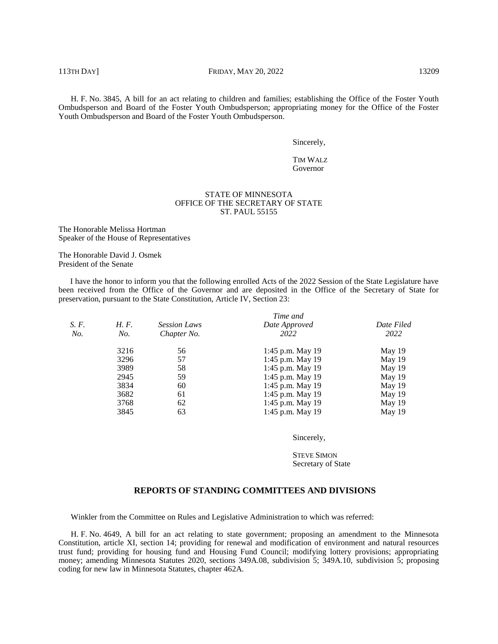H. F. No. 3845, A bill for an act relating to children and families; establishing the Office of the Foster Youth Ombudsperson and Board of the Foster Youth Ombudsperson; appropriating money for the Office of the Foster Youth Ombudsperson and Board of the Foster Youth Ombudsperson.

Sincerely,

TIM WALZ Governor

### STATE OF MINNESOTA OFFICE OF THE SECRETARY OF STATE ST. PAUL 55155

The Honorable Melissa Hortman Speaker of the House of Representatives

The Honorable David J. Osmek President of the Senate

I have the honor to inform you that the following enrolled Acts of the 2022 Session of the State Legislature have been received from the Office of the Governor and are deposited in the Office of the Secretary of State for preservation, pursuant to the State Constitution, Article IV, Section 23:

|       |      |                     | Time and         |            |
|-------|------|---------------------|------------------|------------|
| S. F. | H.F. | <b>Session Laws</b> | Date Approved    | Date Filed |
| No.   | No.  | Chapter No.         | 2022             | 2022       |
|       | 3216 | 56                  | 1:45 p.m. May 19 | May 19     |
|       | 3296 | 57                  | 1:45 p.m. May 19 | May 19     |
|       | 3989 | 58                  | 1:45 p.m. May 19 | May 19     |
|       | 2945 | 59                  | 1:45 p.m. May 19 | May 19     |
|       | 3834 | 60                  | 1:45 p.m. May 19 | May 19     |
|       | 3682 | 61                  | 1:45 p.m. May 19 | May 19     |
|       | 3768 | 62                  | 1:45 p.m. May 19 | May 19     |
|       | 3845 | 63                  | 1:45 p.m. May 19 | May 19     |

Sincerely,

STEVE SIMON Secretary of State

### **REPORTS OF STANDING COMMITTEES AND DIVISIONS**

Winkler from the Committee on Rules and Legislative Administration to which was referred:

H. F. No. 4649, A bill for an act relating to state government; proposing an amendment to the Minnesota Constitution, article XI, section 14; providing for renewal and modification of environment and natural resources trust fund; providing for housing fund and Housing Fund Council; modifying lottery provisions; appropriating money; amending Minnesota Statutes 2020, sections 349A.08, subdivision 5; 349A.10, subdivision 5; proposing coding for new law in Minnesota Statutes, chapter 462A.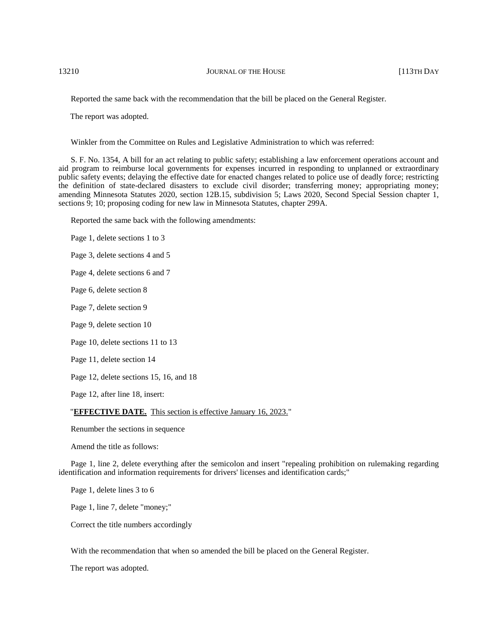Reported the same back with the recommendation that the bill be placed on the General Register.

The report was adopted.

Winkler from the Committee on Rules and Legislative Administration to which was referred:

S. F. No. 1354, A bill for an act relating to public safety; establishing a law enforcement operations account and aid program to reimburse local governments for expenses incurred in responding to unplanned or extraordinary public safety events; delaying the effective date for enacted changes related to police use of deadly force; restricting the definition of state-declared disasters to exclude civil disorder; transferring money; appropriating money; amending Minnesota Statutes 2020, section 12B.15, subdivision 5; Laws 2020, Second Special Session chapter 1, sections 9; 10; proposing coding for new law in Minnesota Statutes, chapter 299A.

Reported the same back with the following amendments:

Page 1, delete sections 1 to 3

Page 3, delete sections 4 and 5

Page 4, delete sections 6 and 7

Page 6, delete section 8

Page 7, delete section 9

Page 9, delete section 10

Page 10, delete sections 11 to 13

Page 11, delete section 14

Page 12, delete sections 15, 16, and 18

Page 12, after line 18, insert:

# "**EFFECTIVE DATE.** This section is effective January 16, 2023."

Renumber the sections in sequence

Amend the title as follows:

Page 1, line 2, delete everything after the semicolon and insert "repealing prohibition on rulemaking regarding identification and information requirements for drivers' licenses and identification cards;"

Page 1, delete lines 3 to 6

Page 1, line 7, delete "money;"

Correct the title numbers accordingly

With the recommendation that when so amended the bill be placed on the General Register.

The report was adopted.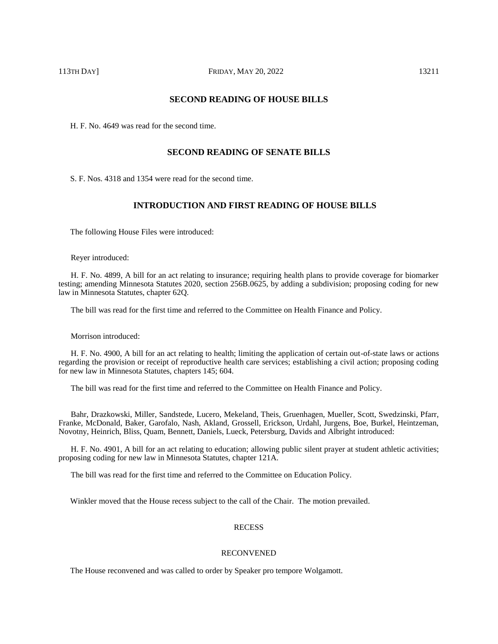# **SECOND READING OF HOUSE BILLS**

H. F. No. 4649 was read for the second time.

# **SECOND READING OF SENATE BILLS**

S. F. Nos. 4318 and 1354 were read for the second time.

# **INTRODUCTION AND FIRST READING OF HOUSE BILLS**

The following House Files were introduced:

Reyer introduced:

H. F. No. 4899, A bill for an act relating to insurance; requiring health plans to provide coverage for biomarker testing; amending Minnesota Statutes 2020, section 256B.0625, by adding a subdivision; proposing coding for new law in Minnesota Statutes, chapter 62Q.

The bill was read for the first time and referred to the Committee on Health Finance and Policy.

Morrison introduced:

H. F. No. 4900, A bill for an act relating to health; limiting the application of certain out-of-state laws or actions regarding the provision or receipt of reproductive health care services; establishing a civil action; proposing coding for new law in Minnesota Statutes, chapters 145; 604.

The bill was read for the first time and referred to the Committee on Health Finance and Policy.

Bahr, Drazkowski, Miller, Sandstede, Lucero, Mekeland, Theis, Gruenhagen, Mueller, Scott, Swedzinski, Pfarr, Franke, McDonald, Baker, Garofalo, Nash, Akland, Grossell, Erickson, Urdahl, Jurgens, Boe, Burkel, Heintzeman, Novotny, Heinrich, Bliss, Quam, Bennett, Daniels, Lueck, Petersburg, Davids and Albright introduced:

H. F. No. 4901, A bill for an act relating to education; allowing public silent prayer at student athletic activities; proposing coding for new law in Minnesota Statutes, chapter 121A.

The bill was read for the first time and referred to the Committee on Education Policy.

Winkler moved that the House recess subject to the call of the Chair. The motion prevailed.

### RECESS

### RECONVENED

The House reconvened and was called to order by Speaker pro tempore Wolgamott.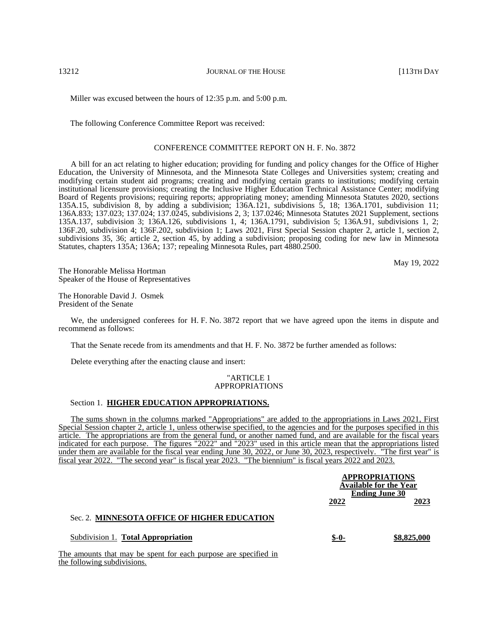Miller was excused between the hours of 12:35 p.m. and 5:00 p.m.

The following Conference Committee Report was received:

### CONFERENCE COMMITTEE REPORT ON H. F. No. 3872

A bill for an act relating to higher education; providing for funding and policy changes for the Office of Higher Education, the University of Minnesota, and the Minnesota State Colleges and Universities system; creating and modifying certain student aid programs; creating and modifying certain grants to institutions; modifying certain institutional licensure provisions; creating the Inclusive Higher Education Technical Assistance Center; modifying Board of Regents provisions; requiring reports; appropriating money; amending Minnesota Statutes 2020, sections 135A.15, subdivision 8, by adding a subdivision; 136A.121, subdivisions 5, 18; 136A.1701, subdivision 11; 136A.833; 137.023; 137.024; 137.0245, subdivisions 2, 3; 137.0246; Minnesota Statutes 2021 Supplement, sections 135A.137, subdivision 3; 136A.126, subdivisions 1, 4; 136A.1791, subdivision 5; 136A.91, subdivisions 1, 2; 136F.20, subdivision 4; 136F.202, subdivision 1; Laws 2021, First Special Session chapter 2, article 1, section 2, subdivisions 35, 36; article 2, section 45, by adding a subdivision; proposing coding for new law in Minnesota Statutes, chapters 135A; 136A; 137; repealing Minnesota Rules, part 4880.2500.

May 19, 2022

The Honorable Melissa Hortman Speaker of the House of Representatives

The Honorable David J. Osmek President of the Senate

We, the undersigned conferees for H. F. No. 3872 report that we have agreed upon the items in dispute and recommend as follows:

That the Senate recede from its amendments and that H. F. No. 3872 be further amended as follows:

Delete everything after the enacting clause and insert:

### "ARTICLE 1 APPROPRIATIONS

# Section 1. **HIGHER EDUCATION APPROPRIATIONS.**

The sums shown in the columns marked "Appropriations" are added to the appropriations in Laws 2021, First Special Session chapter 2, article 1, unless otherwise specified, to the agencies and for the purposes specified in this article. The appropriations are from the general fund, or another named fund, and are available for the fiscal years indicated for each purpose. The figures "2022" and "2023" used in this article mean that the appropriations listed under them are available for the fiscal year ending June 30, 2022, or June 30, 2023, respectively. "The first year" is fiscal year 2022. "The second year" is fiscal year 2023. "The biennium" is fiscal years 2022 and 2023.

|                                              |         | <b>APPROPRIATIONS</b><br><b>Available for the Year</b><br><b>Ending June 30</b> |
|----------------------------------------------|---------|---------------------------------------------------------------------------------|
|                                              | 2022    | 2023                                                                            |
| Sec. 2. MINNESOTA OFFICE OF HIGHER EDUCATION |         |                                                                                 |
| Subdivision 1. Total Appropriation           | $$ -0-$ | \$8,825,000                                                                     |
|                                              |         |                                                                                 |

The amounts that may be spent for each purpose are specified in the following subdivisions.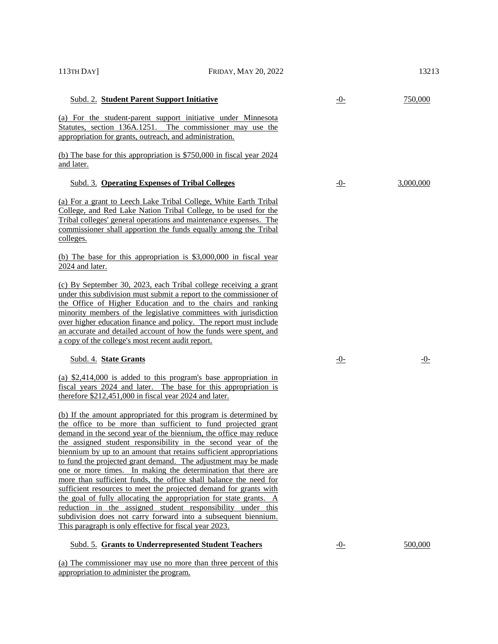| 113TH DAY]                                              | FRIDAY, MAY 20, 2022                                                                                                                                                                                                                                                                                                                                                                                                                                                                                                                                                                                                                                                                                                                                                                                                             |            | 13213      |
|---------------------------------------------------------|----------------------------------------------------------------------------------------------------------------------------------------------------------------------------------------------------------------------------------------------------------------------------------------------------------------------------------------------------------------------------------------------------------------------------------------------------------------------------------------------------------------------------------------------------------------------------------------------------------------------------------------------------------------------------------------------------------------------------------------------------------------------------------------------------------------------------------|------------|------------|
| Subd. 2. Student Parent Support Initiative              |                                                                                                                                                                                                                                                                                                                                                                                                                                                                                                                                                                                                                                                                                                                                                                                                                                  | $-0-$      | 750,000    |
| appropriation for grants, outreach, and administration. | (a) For the student-parent support initiative under Minnesota<br>Statutes, section 136A.1251. The commissioner may use the                                                                                                                                                                                                                                                                                                                                                                                                                                                                                                                                                                                                                                                                                                       |            |            |
| and later.                                              | (b) The base for this appropriation is \$750,000 in fiscal year 2024                                                                                                                                                                                                                                                                                                                                                                                                                                                                                                                                                                                                                                                                                                                                                             |            |            |
| <b>Subd. 3. Operating Expenses of Tribal Colleges</b>   |                                                                                                                                                                                                                                                                                                                                                                                                                                                                                                                                                                                                                                                                                                                                                                                                                                  | $-0$       | 3,000,000  |
| <u>colleges.</u>                                        | (a) For a grant to Leech Lake Tribal College, White Earth Tribal<br>College, and Red Lake Nation Tribal College, to be used for the<br>Tribal colleges' general operations and maintenance expenses. The<br>commissioner shall apportion the funds equally among the Tribal                                                                                                                                                                                                                                                                                                                                                                                                                                                                                                                                                      |            |            |
| 2024 and later.                                         | (b) The base for this appropriation is \$3,000,000 in fiscal year                                                                                                                                                                                                                                                                                                                                                                                                                                                                                                                                                                                                                                                                                                                                                                |            |            |
| a copy of the college's most recent audit report.       | (c) By September 30, 2023, each Tribal college receiving a grant<br>under this subdivision must submit a report to the commissioner of<br>the Office of Higher Education and to the chairs and ranking<br>minority members of the legislative committees with jurisdiction<br>over higher education finance and policy. The report must include<br>an accurate and detailed account of how the funds were spent, and                                                                                                                                                                                                                                                                                                                                                                                                             |            |            |
| Subd. 4. State Grants                                   |                                                                                                                                                                                                                                                                                                                                                                                                                                                                                                                                                                                                                                                                                                                                                                                                                                  | <u>-0-</u> | <u>-0-</u> |
| therefore \$212,451,000 in fiscal year 2024 and later.  | (a) $$2,414,000$ is added to this program's base appropriation in<br>fiscal years 2024 and later. The base for this appropriation is                                                                                                                                                                                                                                                                                                                                                                                                                                                                                                                                                                                                                                                                                             |            |            |
| This paragraph is only effective for fiscal year 2023.  | (b) If the amount appropriated for this program is determined by<br>the office to be more than sufficient to fund projected grant<br>demand in the second year of the biennium, the office may reduce<br>the assigned student responsibility in the second year of the<br>biennium by up to an amount that retains sufficient appropriations<br>to fund the projected grant demand. The adjustment may be made<br>one or more times. In making the determination that there are<br>more than sufficient funds, the office shall balance the need for<br>sufficient resources to meet the projected demand for grants with<br>the goal of fully allocating the appropriation for state grants. A<br>reduction in the assigned student responsibility under this<br>subdivision does not carry forward into a subsequent biennium. |            |            |
|                                                         | <b>Subd. 5. Grants to Underrepresented Student Teachers</b>                                                                                                                                                                                                                                                                                                                                                                                                                                                                                                                                                                                                                                                                                                                                                                      | $-0-$      | 500,000    |
|                                                         | (a) The commissioner may use no more than three percent of this                                                                                                                                                                                                                                                                                                                                                                                                                                                                                                                                                                                                                                                                                                                                                                  |            |            |

appropriation to administer the program.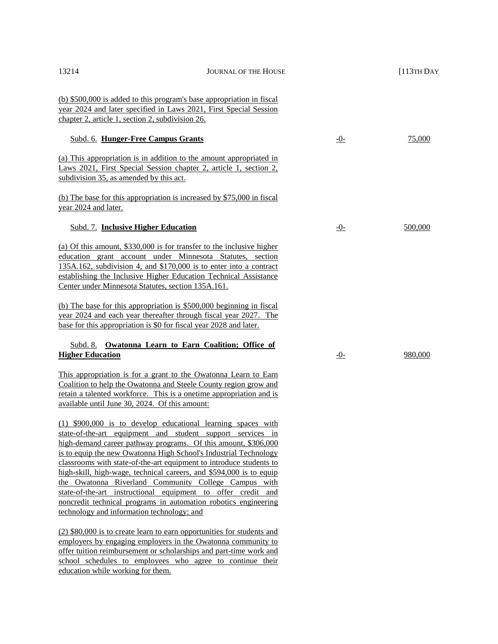| 13214                                                              | <b>JOURNAL OF THE HOUSE</b>                                                                                                                                                                                                                                                                                                                                                                                                                                                                                                                                                                                 |      | $[113TH$ DAY |
|--------------------------------------------------------------------|-------------------------------------------------------------------------------------------------------------------------------------------------------------------------------------------------------------------------------------------------------------------------------------------------------------------------------------------------------------------------------------------------------------------------------------------------------------------------------------------------------------------------------------------------------------------------------------------------------------|------|--------------|
| chapter 2, article 1, section 2, subdivision 26.                   | (b) \$500,000 is added to this program's base appropriation in fiscal<br>year 2024 and later specified in Laws 2021, First Special Session                                                                                                                                                                                                                                                                                                                                                                                                                                                                  |      |              |
| Subd. 6. Hunger-Free Campus Grants                                 |                                                                                                                                                                                                                                                                                                                                                                                                                                                                                                                                                                                                             | $-0$ | 75,000       |
| subdivision 35, as amended by this act.                            | (a) This appropriation is in addition to the amount appropriated in<br>Laws 2021, First Special Session chapter 2, article 1, section 2,                                                                                                                                                                                                                                                                                                                                                                                                                                                                    |      |              |
| year 2024 and later.                                               | (b) The base for this appropriation is increased by \$75,000 in fiscal                                                                                                                                                                                                                                                                                                                                                                                                                                                                                                                                      |      |              |
| <b>Subd. 7. Inclusive Higher Education</b>                         |                                                                                                                                                                                                                                                                                                                                                                                                                                                                                                                                                                                                             | $-0$ | 500,000      |
| Center under Minnesota Statutes, section 135A.161.                 | (a) Of this amount, \$330,000 is for transfer to the inclusive higher<br>education grant account under Minnesota Statutes, section<br>135A.162, subdivision 4, and \$170,000 is to enter into a contract<br>establishing the Inclusive Higher Education Technical Assistance                                                                                                                                                                                                                                                                                                                                |      |              |
| base for this appropriation is \$0 for fiscal year 2028 and later. | (b) The base for this appropriation is $$500,000$ beginning in fiscal<br>year 2024 and each year thereafter through fiscal year 2027. The                                                                                                                                                                                                                                                                                                                                                                                                                                                                   |      |              |
| <b>Higher Education</b>                                            | Subd. 8. Owatonna Learn to Earn Coalition; Office of                                                                                                                                                                                                                                                                                                                                                                                                                                                                                                                                                        | $-0$ | 980,000      |
| available until June 30, 2024. Of this amount:                     | This appropriation is for a grant to the Owatonna Learn to Earn<br>Coalition to help the Owatonna and Steele County region grow and<br>retain a talented workforce. This is a onetime appropriation and is                                                                                                                                                                                                                                                                                                                                                                                                  |      |              |
| technology and information technology; and                         | $(1)$ \$900,000 is to develop educational learning spaces with<br>state-of-the-art equipment and student support services in<br>high-demand career pathway programs. Of this amount, \$306,000<br>is to equip the new Owatonna High School's Industrial Technology<br>classrooms with state-of-the-art equipment to introduce students to<br>high-skill, high-wage, technical careers, and \$594,000 is to equip<br>the Owatonna Riverland Community College Campus with<br>state-of-the-art instructional equipment to offer credit and<br>noncredit technical programs in automation robotics engineering |      |              |
|                                                                    | (2) \$80,000 is to create learn to earn opportunities for students and<br>employers by engaging employers in the Owatonna community to<br>offer tuition reimbursement or scholarships and part-time work and                                                                                                                                                                                                                                                                                                                                                                                                |      |              |

school schedules to employees who agree to continue their education while working for them.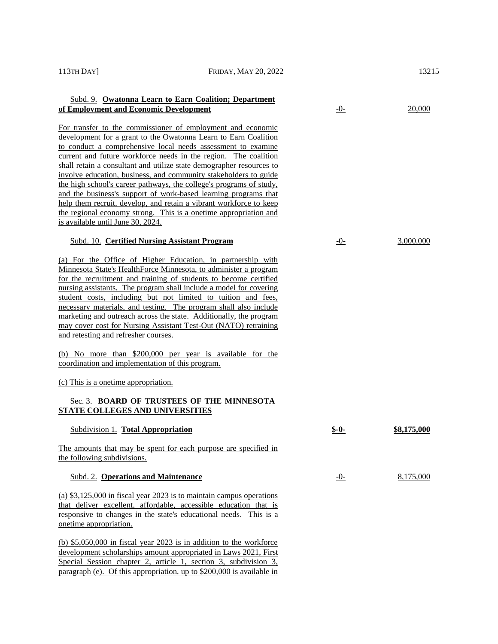| 113TH DAY                                        | FRIDAY, MAY 20, 2022                                                                                                                                                                                                                                                                                                                                                                                                                                                                                                                                                                                                                                                                              |         | 13215       |
|--------------------------------------------------|---------------------------------------------------------------------------------------------------------------------------------------------------------------------------------------------------------------------------------------------------------------------------------------------------------------------------------------------------------------------------------------------------------------------------------------------------------------------------------------------------------------------------------------------------------------------------------------------------------------------------------------------------------------------------------------------------|---------|-------------|
| of Employment and Economic Development           | Subd. 9. Owatonna Learn to Earn Coalition; Department                                                                                                                                                                                                                                                                                                                                                                                                                                                                                                                                                                                                                                             | $-0$    | 20,000      |
| is available until June 30, 2024.                | For transfer to the commissioner of employment and economic<br>development for a grant to the Owatonna Learn to Earn Coalition<br>to conduct a comprehensive local needs assessment to examine<br>current and future workforce needs in the region. The coalition<br>shall retain a consultant and utilize state demographer resources to<br>involve education, business, and community stakeholders to guide<br>the high school's career pathways, the college's programs of study,<br>and the business's support of work-based learning programs that<br>help them recruit, develop, and retain a vibrant workforce to keep<br>the regional economy strong. This is a onetime appropriation and |         |             |
|                                                  | Subd. 10. Certified Nursing Assistant Program                                                                                                                                                                                                                                                                                                                                                                                                                                                                                                                                                                                                                                                     | $-0$    | 3,000,000   |
| and retesting and refresher courses.             | (a) For the Office of Higher Education, in partnership with<br>Minnesota State's HealthForce Minnesota, to administer a program<br>for the recruitment and training of students to become certified<br>nursing assistants. The program shall include a model for covering<br>student costs, including but not limited to tuition and fees,<br>necessary materials, and testing. The program shall also include<br>marketing and outreach across the state. Additionally, the program<br>may cover cost for Nursing Assistant Test-Out (NATO) retraining                                                                                                                                           |         |             |
| coordination and implementation of this program. | (b) No more than \$200,000 per year is available for the                                                                                                                                                                                                                                                                                                                                                                                                                                                                                                                                                                                                                                          |         |             |
| (c) This is a one time appropriation.            |                                                                                                                                                                                                                                                                                                                                                                                                                                                                                                                                                                                                                                                                                                   |         |             |
| <b>STATE COLLEGES AND UNIVERSITIES</b>           | Sec. 3. BOARD OF TRUSTEES OF THE MINNESOTA                                                                                                                                                                                                                                                                                                                                                                                                                                                                                                                                                                                                                                                        |         |             |
| Subdivision 1. Total Appropriation               |                                                                                                                                                                                                                                                                                                                                                                                                                                                                                                                                                                                                                                                                                                   | $$ -0-$ | \$8,175,000 |
| the following subdivisions.                      | The amounts that may be spent for each purpose are specified in                                                                                                                                                                                                                                                                                                                                                                                                                                                                                                                                                                                                                                   |         |             |
| Subd. 2. Operations and Maintenance              |                                                                                                                                                                                                                                                                                                                                                                                                                                                                                                                                                                                                                                                                                                   | $-0$    | 8,175,000   |
| onetime appropriation.                           | (a) $$3,125,000$ in fiscal year 2023 is to maintain campus operations<br>that deliver excellent, affordable, accessible education that is<br>responsive to changes in the state's educational needs. This is a                                                                                                                                                                                                                                                                                                                                                                                                                                                                                    |         |             |

(b) \$5,050,000 in fiscal year 2023 is in addition to the workforce development scholarships amount appropriated in Laws 2021, First Special Session chapter 2, article 1, section 3, subdivision 3, paragraph (e). Of this appropriation, up to \$200,000 is available in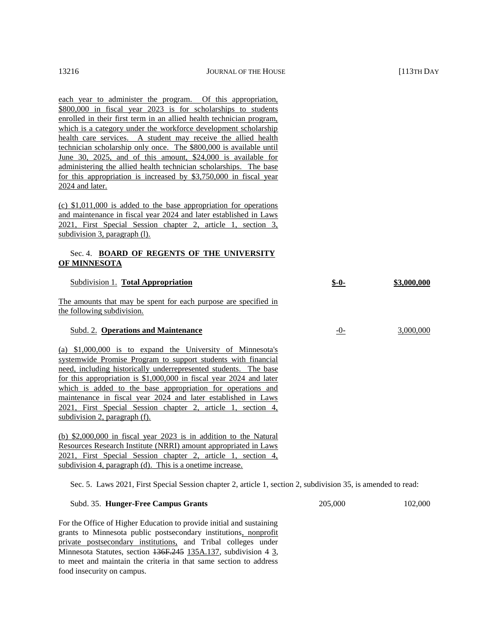each year to administer the program. Of this appropriation, \$800,000 in fiscal year 2023 is for scholarships to students enrolled in their first term in an allied health technician program, which is a category under the workforce development scholarship health care services. A student may receive the allied health technician scholarship only once. The \$800,000 is available until June 30, 2025, and of this amount, \$24,000 is available for administering the allied health technician scholarships. The base for this appropriation is increased by \$3,750,000 in fiscal year 2024 and later.

(c) \$1,011,000 is added to the base appropriation for operations and maintenance in fiscal year 2024 and later established in Laws 2021, First Special Session chapter 2, article 1, section 3, subdivision 3, paragraph (1).

# Sec. 4. **BOARD OF REGENTS OF THE UNIVERSITY OF MINNESOTA**

| Subdivision 1. Total Appropriation                                                                                                                                                                                                                                                                                                                                                                                                                                                                                                                                                                                                                                                                                                                                                     | $$ -0-$ | \$3,000,000 |
|----------------------------------------------------------------------------------------------------------------------------------------------------------------------------------------------------------------------------------------------------------------------------------------------------------------------------------------------------------------------------------------------------------------------------------------------------------------------------------------------------------------------------------------------------------------------------------------------------------------------------------------------------------------------------------------------------------------------------------------------------------------------------------------|---------|-------------|
| <u>The amounts that may be spent for each purpose are specified in</u><br>the following subdivision.                                                                                                                                                                                                                                                                                                                                                                                                                                                                                                                                                                                                                                                                                   |         |             |
| Subd. 2. Operations and Maintenance                                                                                                                                                                                                                                                                                                                                                                                                                                                                                                                                                                                                                                                                                                                                                    | $-()$ - | 3,000,000   |
| (a) $$1,000,000$ is to expand the University of Minnesota's<br>systemwide Promise Program to support students with financial<br>need, including historically underrepresented students. The base<br>for this appropriation is $$1,000,000$ in fiscal year 2024 and later<br>which is added to the base appropriation for operations and<br>maintenance in fiscal year 2024 and later established in Laws<br>2021, First Special Session chapter 2, article 1, section 4,<br>subdivision 2, paragraph (f).<br>(b) $$2,000,000$ in fiscal year 2023 is in addition to the Natural<br><b>Resources Research Institute (NRRI) amount appropriated in Laws</b><br>2021, First Special Session chapter 2, article 1, section 4,<br>subdivision 4, paragraph (d). This is a onetime increase. |         |             |
|                                                                                                                                                                                                                                                                                                                                                                                                                                                                                                                                                                                                                                                                                                                                                                                        |         |             |

Sec. 5. Laws 2021, First Special Session chapter 2, article 1, section 2, subdivision 35, is amended to read:

| Subd. 35. Hunger-Free Campus Grants | 205,000 | 102,000 |
|-------------------------------------|---------|---------|
|                                     |         |         |

For the Office of Higher Education to provide initial and sustaining grants to Minnesota public postsecondary institutions, nonprofit private postsecondary institutions, and Tribal colleges under Minnesota Statutes, section 136F.245 135A.137, subdivision 4 3, to meet and maintain the criteria in that same section to address food insecurity on campus.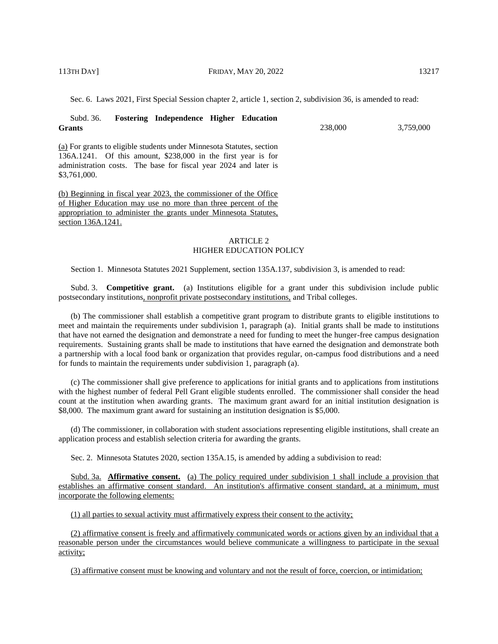Sec. 6. Laws 2021, First Special Session chapter 2, article 1, section 2, subdivision 36, is amended to read:

| <b>Fostering Independence Higher Education</b><br>Subd. 36.<br><b>Grants</b>                                                                                                                                                 | 238,000 | 3,759,000 |
|------------------------------------------------------------------------------------------------------------------------------------------------------------------------------------------------------------------------------|---------|-----------|
| (a) For grants to eligible students under Minnesota Statutes, section<br>136A.1241. Of this amount, \$238,000 in the first year is for<br>administration costs. The base for fiscal year 2024 and later is<br>\$3,761,000.   |         |           |
| (b) Beginning in fiscal year 2023, the commissioner of the Office<br>of Higher Education may use no more than three percent of the<br>appropriation to administer the grants under Minnesota Statutes,<br>section 136A.1241. |         |           |

# ARTICLE 2 HIGHER EDUCATION POLICY

Section 1. Minnesota Statutes 2021 Supplement, section 135A.137, subdivision 3, is amended to read:

Subd. 3. **Competitive grant.** (a) Institutions eligible for a grant under this subdivision include public postsecondary institutions, nonprofit private postsecondary institutions, and Tribal colleges.

(b) The commissioner shall establish a competitive grant program to distribute grants to eligible institutions to meet and maintain the requirements under subdivision 1, paragraph (a). Initial grants shall be made to institutions that have not earned the designation and demonstrate a need for funding to meet the hunger-free campus designation requirements. Sustaining grants shall be made to institutions that have earned the designation and demonstrate both a partnership with a local food bank or organization that provides regular, on-campus food distributions and a need for funds to maintain the requirements under subdivision 1, paragraph (a).

(c) The commissioner shall give preference to applications for initial grants and to applications from institutions with the highest number of federal Pell Grant eligible students enrolled. The commissioner shall consider the head count at the institution when awarding grants. The maximum grant award for an initial institution designation is \$8,000. The maximum grant award for sustaining an institution designation is \$5,000.

(d) The commissioner, in collaboration with student associations representing eligible institutions, shall create an application process and establish selection criteria for awarding the grants.

Sec. 2. Minnesota Statutes 2020, section 135A.15, is amended by adding a subdivision to read:

Subd. 3a. **Affirmative consent.** (a) The policy required under subdivision 1 shall include a provision that establishes an affirmative consent standard. An institution's affirmative consent standard, at a minimum, must incorporate the following elements:

(1) all parties to sexual activity must affirmatively express their consent to the activity;

(2) affirmative consent is freely and affirmatively communicated words or actions given by an individual that a reasonable person under the circumstances would believe communicate a willingness to participate in the sexual activity;

(3) affirmative consent must be knowing and voluntary and not the result of force, coercion, or intimidation;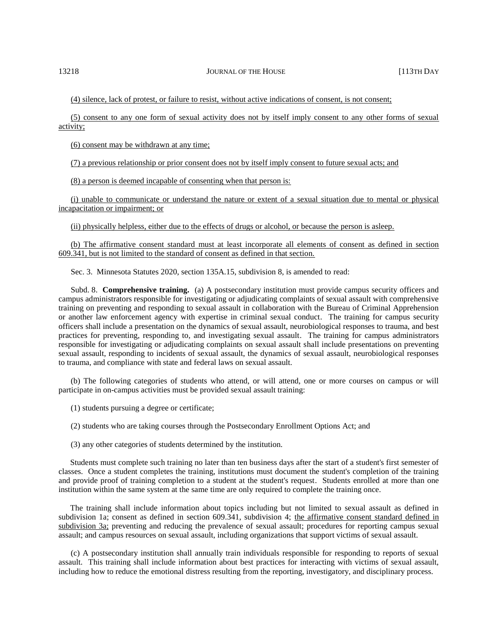(4) silence, lack of protest, or failure to resist, without active indications of consent, is not consent;

(5) consent to any one form of sexual activity does not by itself imply consent to any other forms of sexual activity;

(6) consent may be withdrawn at any time;

(7) a previous relationship or prior consent does not by itself imply consent to future sexual acts; and

(8) a person is deemed incapable of consenting when that person is:

(i) unable to communicate or understand the nature or extent of a sexual situation due to mental or physical incapacitation or impairment; or

(ii) physically helpless, either due to the effects of drugs or alcohol, or because the person is asleep.

(b) The affirmative consent standard must at least incorporate all elements of consent as defined in section 609.341, but is not limited to the standard of consent as defined in that section.

Sec. 3. Minnesota Statutes 2020, section 135A.15, subdivision 8, is amended to read:

Subd. 8. **Comprehensive training.** (a) A postsecondary institution must provide campus security officers and campus administrators responsible for investigating or adjudicating complaints of sexual assault with comprehensive training on preventing and responding to sexual assault in collaboration with the Bureau of Criminal Apprehension or another law enforcement agency with expertise in criminal sexual conduct. The training for campus security officers shall include a presentation on the dynamics of sexual assault, neurobiological responses to trauma, and best practices for preventing, responding to, and investigating sexual assault. The training for campus administrators responsible for investigating or adjudicating complaints on sexual assault shall include presentations on preventing sexual assault, responding to incidents of sexual assault, the dynamics of sexual assault, neurobiological responses to trauma, and compliance with state and federal laws on sexual assault.

(b) The following categories of students who attend, or will attend, one or more courses on campus or will participate in on-campus activities must be provided sexual assault training:

(1) students pursuing a degree or certificate;

(2) students who are taking courses through the Postsecondary Enrollment Options Act; and

(3) any other categories of students determined by the institution.

Students must complete such training no later than ten business days after the start of a student's first semester of classes. Once a student completes the training, institutions must document the student's completion of the training and provide proof of training completion to a student at the student's request. Students enrolled at more than one institution within the same system at the same time are only required to complete the training once.

The training shall include information about topics including but not limited to sexual assault as defined in subdivision 1a; consent as defined in section 609.341, subdivision 4; the affirmative consent standard defined in subdivision 3a; preventing and reducing the prevalence of sexual assault; procedures for reporting campus sexual assault; and campus resources on sexual assault, including organizations that support victims of sexual assault.

(c) A postsecondary institution shall annually train individuals responsible for responding to reports of sexual assault. This training shall include information about best practices for interacting with victims of sexual assault, including how to reduce the emotional distress resulting from the reporting, investigatory, and disciplinary process.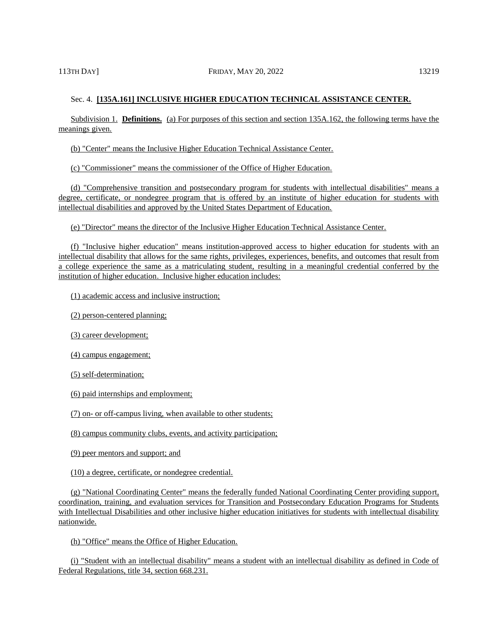Subdivision 1. **Definitions.** (a) For purposes of this section and section 135A.162, the following terms have the meanings given.

(b) "Center" means the Inclusive Higher Education Technical Assistance Center.

(c) "Commissioner" means the commissioner of the Office of Higher Education.

(d) "Comprehensive transition and postsecondary program for students with intellectual disabilities" means a degree, certificate, or nondegree program that is offered by an institute of higher education for students with intellectual disabilities and approved by the United States Department of Education.

(e) "Director" means the director of the Inclusive Higher Education Technical Assistance Center.

(f) "Inclusive higher education" means institution-approved access to higher education for students with an intellectual disability that allows for the same rights, privileges, experiences, benefits, and outcomes that result from a college experience the same as a matriculating student, resulting in a meaningful credential conferred by the institution of higher education. Inclusive higher education includes:

(1) academic access and inclusive instruction;

(2) person-centered planning;

(3) career development;

(4) campus engagement;

(5) self-determination;

(6) paid internships and employment;

(7) on- or off-campus living, when available to other students;

(8) campus community clubs, events, and activity participation;

(9) peer mentors and support; and

(10) a degree, certificate, or nondegree credential.

(g) "National Coordinating Center" means the federally funded National Coordinating Center providing support, coordination, training, and evaluation services for Transition and Postsecondary Education Programs for Students with Intellectual Disabilities and other inclusive higher education initiatives for students with intellectual disability nationwide.

(h) "Office" means the Office of Higher Education.

(i) "Student with an intellectual disability" means a student with an intellectual disability as defined in Code of Federal Regulations, title 34, section 668.231.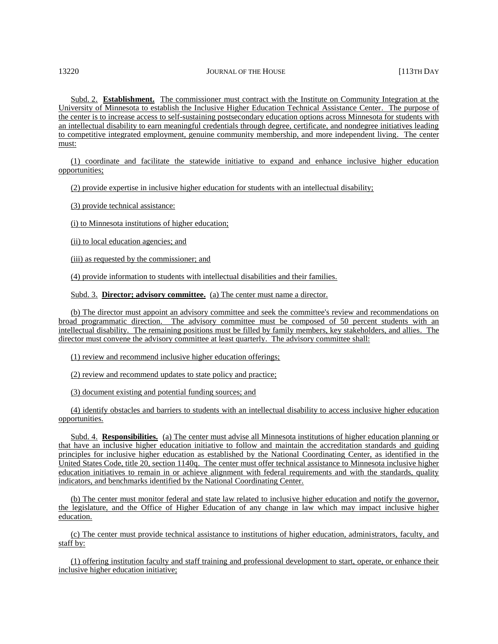Subd. 2. **Establishment.** The commissioner must contract with the Institute on Community Integration at the University of Minnesota to establish the Inclusive Higher Education Technical Assistance Center. The purpose of the center is to increase access to self-sustaining postsecondary education options across Minnesota for students with an intellectual disability to earn meaningful credentials through degree, certificate, and nondegree initiatives leading to competitive integrated employment, genuine community membership, and more independent living. The center must:

(1) coordinate and facilitate the statewide initiative to expand and enhance inclusive higher education opportunities;

(2) provide expertise in inclusive higher education for students with an intellectual disability;

(3) provide technical assistance:

(i) to Minnesota institutions of higher education;

(ii) to local education agencies; and

(iii) as requested by the commissioner; and

(4) provide information to students with intellectual disabilities and their families.

Subd. 3. **Director; advisory committee.** (a) The center must name a director.

(b) The director must appoint an advisory committee and seek the committee's review and recommendations on broad programmatic direction. The advisory committee must be composed of 50 percent students with an intellectual disability. The remaining positions must be filled by family members, key stakeholders, and allies. The director must convene the advisory committee at least quarterly. The advisory committee shall:

(1) review and recommend inclusive higher education offerings;

(2) review and recommend updates to state policy and practice;

(3) document existing and potential funding sources; and

(4) identify obstacles and barriers to students with an intellectual disability to access inclusive higher education opportunities.

Subd. 4. **Responsibilities.** (a) The center must advise all Minnesota institutions of higher education planning or that have an inclusive higher education initiative to follow and maintain the accreditation standards and guiding principles for inclusive higher education as established by the National Coordinating Center, as identified in the United States Code, title 20, section 1140q. The center must offer technical assistance to Minnesota inclusive higher education initiatives to remain in or achieve alignment with federal requirements and with the standards, quality indicators, and benchmarks identified by the National Coordinating Center.

(b) The center must monitor federal and state law related to inclusive higher education and notify the governor, the legislature, and the Office of Higher Education of any change in law which may impact inclusive higher education.

(c) The center must provide technical assistance to institutions of higher education, administrators, faculty, and staff by:

(1) offering institution faculty and staff training and professional development to start, operate, or enhance their inclusive higher education initiative;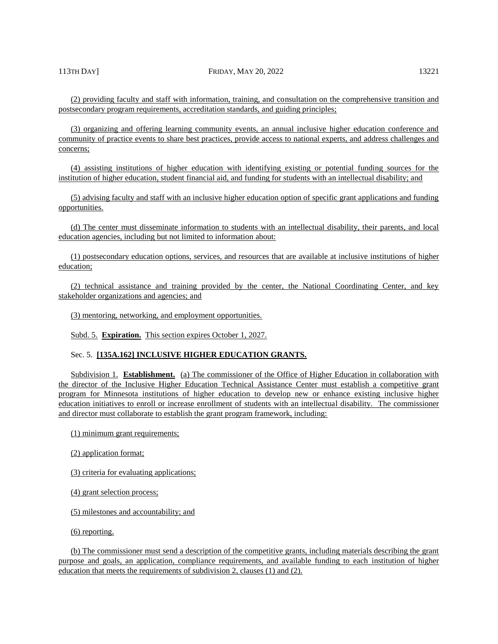(2) providing faculty and staff with information, training, and consultation on the comprehensive transition and postsecondary program requirements, accreditation standards, and guiding principles;

(3) organizing and offering learning community events, an annual inclusive higher education conference and community of practice events to share best practices, provide access to national experts, and address challenges and concerns;

(4) assisting institutions of higher education with identifying existing or potential funding sources for the institution of higher education, student financial aid, and funding for students with an intellectual disability; and

(5) advising faculty and staff with an inclusive higher education option of specific grant applications and funding opportunities.

(d) The center must disseminate information to students with an intellectual disability, their parents, and local education agencies, including but not limited to information about:

(1) postsecondary education options, services, and resources that are available at inclusive institutions of higher education;

(2) technical assistance and training provided by the center, the National Coordinating Center, and key stakeholder organizations and agencies; and

(3) mentoring, networking, and employment opportunities.

Subd. 5. **Expiration.** This section expires October 1, 2027.

### Sec. 5. **[135A.162] INCLUSIVE HIGHER EDUCATION GRANTS.**

Subdivision 1. **Establishment.** (a) The commissioner of the Office of Higher Education in collaboration with the director of the Inclusive Higher Education Technical Assistance Center must establish a competitive grant program for Minnesota institutions of higher education to develop new or enhance existing inclusive higher education initiatives to enroll or increase enrollment of students with an intellectual disability. The commissioner and director must collaborate to establish the grant program framework, including:

(1) minimum grant requirements;

- (2) application format;
- (3) criteria for evaluating applications;
- (4) grant selection process;
- (5) milestones and accountability; and

(6) reporting.

(b) The commissioner must send a description of the competitive grants, including materials describing the grant purpose and goals, an application, compliance requirements, and available funding to each institution of higher education that meets the requirements of subdivision 2, clauses (1) and (2).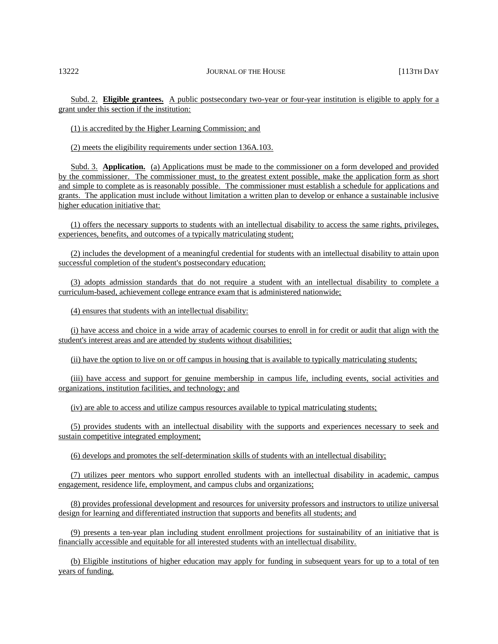Subd. 2. **Eligible grantees.** A public postsecondary two-year or four-year institution is eligible to apply for a grant under this section if the institution:

(1) is accredited by the Higher Learning Commission; and

(2) meets the eligibility requirements under section 136A.103.

Subd. 3. **Application.** (a) Applications must be made to the commissioner on a form developed and provided by the commissioner. The commissioner must, to the greatest extent possible, make the application form as short and simple to complete as is reasonably possible. The commissioner must establish a schedule for applications and grants. The application must include without limitation a written plan to develop or enhance a sustainable inclusive higher education initiative that:

(1) offers the necessary supports to students with an intellectual disability to access the same rights, privileges, experiences, benefits, and outcomes of a typically matriculating student;

(2) includes the development of a meaningful credential for students with an intellectual disability to attain upon successful completion of the student's postsecondary education;

(3) adopts admission standards that do not require a student with an intellectual disability to complete a curriculum-based, achievement college entrance exam that is administered nationwide;

(4) ensures that students with an intellectual disability:

(i) have access and choice in a wide array of academic courses to enroll in for credit or audit that align with the student's interest areas and are attended by students without disabilities;

(ii) have the option to live on or off campus in housing that is available to typically matriculating students;

(iii) have access and support for genuine membership in campus life, including events, social activities and organizations, institution facilities, and technology; and

(iv) are able to access and utilize campus resources available to typical matriculating students;

(5) provides students with an intellectual disability with the supports and experiences necessary to seek and sustain competitive integrated employment;

(6) develops and promotes the self-determination skills of students with an intellectual disability;

(7) utilizes peer mentors who support enrolled students with an intellectual disability in academic, campus engagement, residence life, employment, and campus clubs and organizations;

(8) provides professional development and resources for university professors and instructors to utilize universal design for learning and differentiated instruction that supports and benefits all students; and

(9) presents a ten-year plan including student enrollment projections for sustainability of an initiative that is financially accessible and equitable for all interested students with an intellectual disability.

(b) Eligible institutions of higher education may apply for funding in subsequent years for up to a total of ten years of funding.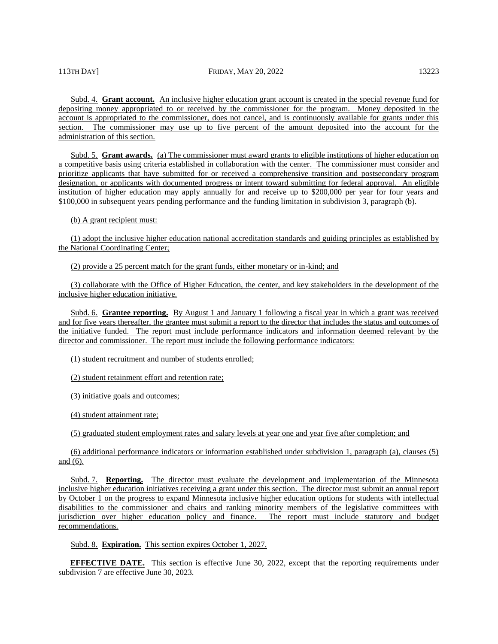## 113TH DAY] FRIDAY, MAY 20, 2022 13223

Subd. 4. **Grant account.** An inclusive higher education grant account is created in the special revenue fund for depositing money appropriated to or received by the commissioner for the program. Money deposited in the account is appropriated to the commissioner, does not cancel, and is continuously available for grants under this section. The commissioner may use up to five percent of the amount deposited into the account for the administration of this section.

Subd. 5. **Grant awards.** (a) The commissioner must award grants to eligible institutions of higher education on a competitive basis using criteria established in collaboration with the center. The commissioner must consider and prioritize applicants that have submitted for or received a comprehensive transition and postsecondary program designation, or applicants with documented progress or intent toward submitting for federal approval. An eligible institution of higher education may apply annually for and receive up to \$200,000 per year for four years and \$100,000 in subsequent years pending performance and the funding limitation in subdivision 3, paragraph (b).

(b) A grant recipient must:

(1) adopt the inclusive higher education national accreditation standards and guiding principles as established by the National Coordinating Center;

(2) provide a 25 percent match for the grant funds, either monetary or in-kind; and

(3) collaborate with the Office of Higher Education, the center, and key stakeholders in the development of the inclusive higher education initiative.

Subd. 6. **Grantee reporting.** By August 1 and January 1 following a fiscal year in which a grant was received and for five years thereafter, the grantee must submit a report to the director that includes the status and outcomes of the initiative funded. The report must include performance indicators and information deemed relevant by the director and commissioner. The report must include the following performance indicators:

(1) student recruitment and number of students enrolled;

(2) student retainment effort and retention rate;

(3) initiative goals and outcomes;

(4) student attainment rate;

(5) graduated student employment rates and salary levels at year one and year five after completion; and

(6) additional performance indicators or information established under subdivision 1, paragraph (a), clauses (5) and (6).

Subd. 7. **Reporting.** The director must evaluate the development and implementation of the Minnesota inclusive higher education initiatives receiving a grant under this section. The director must submit an annual report by October 1 on the progress to expand Minnesota inclusive higher education options for students with intellectual disabilities to the commissioner and chairs and ranking minority members of the legislative committees with jurisdiction over higher education policy and finance. The report must include statutory and budget recommendations.

Subd. 8. **Expiration.** This section expires October 1, 2027.

**EFFECTIVE DATE.** This section is effective June 30, 2022, except that the reporting requirements under subdivision 7 are effective June 30, 2023.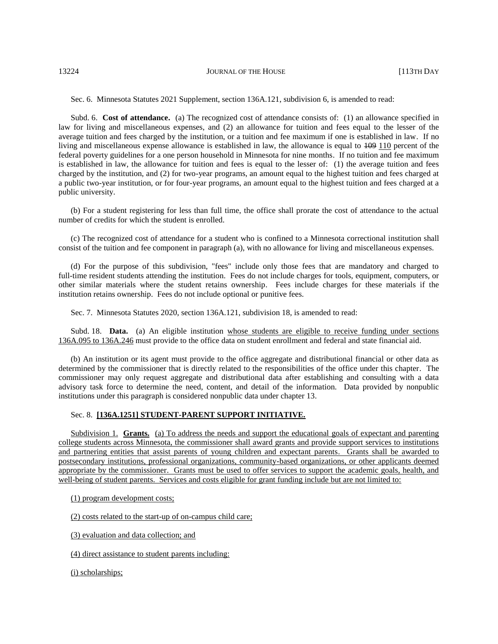Sec. 6. Minnesota Statutes 2021 Supplement, section 136A.121, subdivision 6, is amended to read:

Subd. 6. **Cost of attendance.** (a) The recognized cost of attendance consists of: (1) an allowance specified in law for living and miscellaneous expenses, and (2) an allowance for tuition and fees equal to the lesser of the average tuition and fees charged by the institution, or a tuition and fee maximum if one is established in law. If no living and miscellaneous expense allowance is established in law, the allowance is equal to  $\frac{109}{10}$  percent of the federal poverty guidelines for a one person household in Minnesota for nine months. If no tuition and fee maximum is established in law, the allowance for tuition and fees is equal to the lesser of: (1) the average tuition and fees charged by the institution, and (2) for two-year programs, an amount equal to the highest tuition and fees charged at a public two-year institution, or for four-year programs, an amount equal to the highest tuition and fees charged at a public university.

(b) For a student registering for less than full time, the office shall prorate the cost of attendance to the actual number of credits for which the student is enrolled.

(c) The recognized cost of attendance for a student who is confined to a Minnesota correctional institution shall consist of the tuition and fee component in paragraph (a), with no allowance for living and miscellaneous expenses.

(d) For the purpose of this subdivision, "fees" include only those fees that are mandatory and charged to full-time resident students attending the institution. Fees do not include charges for tools, equipment, computers, or other similar materials where the student retains ownership. Fees include charges for these materials if the institution retains ownership. Fees do not include optional or punitive fees.

Sec. 7. Minnesota Statutes 2020, section 136A.121, subdivision 18, is amended to read:

Subd. 18. **Data.** (a) An eligible institution whose students are eligible to receive funding under sections 136A.095 to 136A.246 must provide to the office data on student enrollment and federal and state financial aid.

(b) An institution or its agent must provide to the office aggregate and distributional financial or other data as determined by the commissioner that is directly related to the responsibilities of the office under this chapter. The commissioner may only request aggregate and distributional data after establishing and consulting with a data advisory task force to determine the need, content, and detail of the information. Data provided by nonpublic institutions under this paragraph is considered nonpublic data under chapter 13.

## Sec. 8. **[136A.1251] STUDENT-PARENT SUPPORT INITIATIVE.**

Subdivision 1. **Grants.** (a) To address the needs and support the educational goals of expectant and parenting college students across Minnesota, the commissioner shall award grants and provide support services to institutions and partnering entities that assist parents of young children and expectant parents. Grants shall be awarded to postsecondary institutions, professional organizations, community-based organizations, or other applicants deemed appropriate by the commissioner. Grants must be used to offer services to support the academic goals, health, and well-being of student parents. Services and costs eligible for grant funding include but are not limited to:

(1) program development costs;

(2) costs related to the start-up of on-campus child care;

(3) evaluation and data collection; and

(4) direct assistance to student parents including:

(i) scholarships;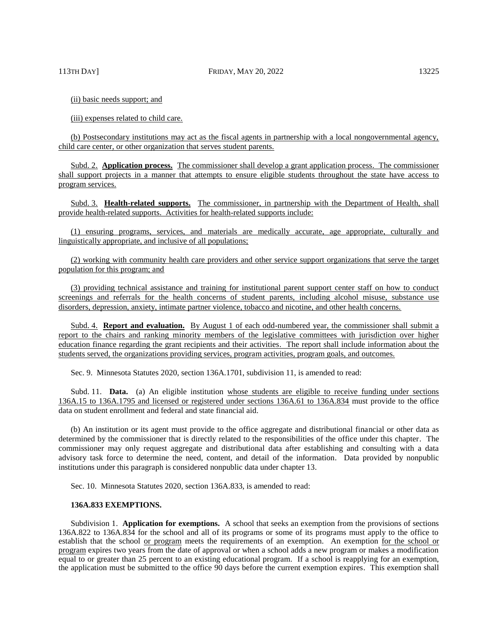(ii) basic needs support; and

(iii) expenses related to child care.

(b) Postsecondary institutions may act as the fiscal agents in partnership with a local nongovernmental agency, child care center, or other organization that serves student parents.

Subd. 2. **Application process.** The commissioner shall develop a grant application process. The commissioner shall support projects in a manner that attempts to ensure eligible students throughout the state have access to program services.

Subd. 3. **Health-related supports.** The commissioner, in partnership with the Department of Health, shall provide health-related supports. Activities for health-related supports include:

(1) ensuring programs, services, and materials are medically accurate, age appropriate, culturally and linguistically appropriate, and inclusive of all populations;

(2) working with community health care providers and other service support organizations that serve the target population for this program; and

(3) providing technical assistance and training for institutional parent support center staff on how to conduct screenings and referrals for the health concerns of student parents, including alcohol misuse, substance use disorders, depression, anxiety, intimate partner violence, tobacco and nicotine, and other health concerns.

Subd. 4. **Report and evaluation.** By August 1 of each odd-numbered year, the commissioner shall submit a report to the chairs and ranking minority members of the legislative committees with jurisdiction over higher education finance regarding the grant recipients and their activities. The report shall include information about the students served, the organizations providing services, program activities, program goals, and outcomes.

Sec. 9. Minnesota Statutes 2020, section 136A.1701, subdivision 11, is amended to read:

Subd. 11. **Data.** (a) An eligible institution whose students are eligible to receive funding under sections 136A.15 to 136A.1795 and licensed or registered under sections 136A.61 to 136A.834 must provide to the office data on student enrollment and federal and state financial aid.

(b) An institution or its agent must provide to the office aggregate and distributional financial or other data as determined by the commissioner that is directly related to the responsibilities of the office under this chapter. The commissioner may only request aggregate and distributional data after establishing and consulting with a data advisory task force to determine the need, content, and detail of the information. Data provided by nonpublic institutions under this paragraph is considered nonpublic data under chapter 13.

Sec. 10. Minnesota Statutes 2020, section 136A.833, is amended to read:

## **136A.833 EXEMPTIONS.**

Subdivision 1. **Application for exemptions.** A school that seeks an exemption from the provisions of sections 136A.822 to 136A.834 for the school and all of its programs or some of its programs must apply to the office to establish that the school <u>or program</u> meets the requirements of an exemption. An exemption for the school or program expires two years from the date of approval or when a school adds a new program or makes a modification equal to or greater than 25 percent to an existing educational program. If a school is reapplying for an exemption, the application must be submitted to the office 90 days before the current exemption expires. This exemption shall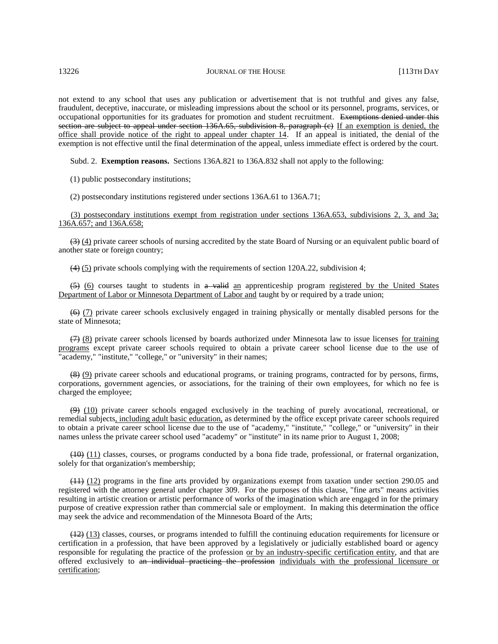not extend to any school that uses any publication or advertisement that is not truthful and gives any false, fraudulent, deceptive, inaccurate, or misleading impressions about the school or its personnel, programs, services, or occupational opportunities for its graduates for promotion and student recruitment. Exemptions denied under this section are subject to appeal under section  $136A.65$ , subdivision 8, paragraph (e) If an exemption is denied, the office shall provide notice of the right to appeal under chapter 14. If an appeal is initiated, the denial of the exemption is not effective until the final determination of the appeal, unless immediate effect is ordered by the court.

Subd. 2. **Exemption reasons.** Sections 136A.821 to 136A.832 shall not apply to the following:

(1) public postsecondary institutions;

(2) postsecondary institutions registered under sections 136A.61 to 136A.71;

(3) postsecondary institutions exempt from registration under sections 136A.653, subdivisions 2, 3, and 3a; 136A.657; and 136A.658;

(3) (4) private career schools of nursing accredited by the state Board of Nursing or an equivalent public board of another state or foreign country;

(4) (5) private schools complying with the requirements of section 120A.22, subdivision 4;

(5) (6) courses taught to students in a valid an apprenticeship program registered by the United States Department of Labor or Minnesota Department of Labor and taught by or required by a trade union;

(6) (7) private career schools exclusively engaged in training physically or mentally disabled persons for the state of Minnesota;

 $(7)$  (8) private career schools licensed by boards authorized under Minnesota law to issue licenses for training programs except private career schools required to obtain a private career school license due to the use of "academy," "institute," "college," or "university" in their names;

(8) (9) private career schools and educational programs, or training programs, contracted for by persons, firms, corporations, government agencies, or associations, for the training of their own employees, for which no fee is charged the employee;

(9) (10) private career schools engaged exclusively in the teaching of purely avocational, recreational, or remedial subjects, including adult basic education, as determined by the office except private career schools required to obtain a private career school license due to the use of "academy," "institute," "college," or "university" in their names unless the private career school used "academy" or "institute" in its name prior to August 1, 2008;

(10) (11) classes, courses, or programs conducted by a bona fide trade, professional, or fraternal organization, solely for that organization's membership;

(11) (12) programs in the fine arts provided by organizations exempt from taxation under section 290.05 and registered with the attorney general under chapter 309. For the purposes of this clause, "fine arts" means activities resulting in artistic creation or artistic performance of works of the imagination which are engaged in for the primary purpose of creative expression rather than commercial sale or employment. In making this determination the office may seek the advice and recommendation of the Minnesota Board of the Arts;

(12) (13) classes, courses, or programs intended to fulfill the continuing education requirements for licensure or certification in a profession, that have been approved by a legislatively or judicially established board or agency responsible for regulating the practice of the profession <u>or by an industry-specific certification entity</u>, and that are offered exclusively to an individual practicing the profession individuals with the professional licensure or certification;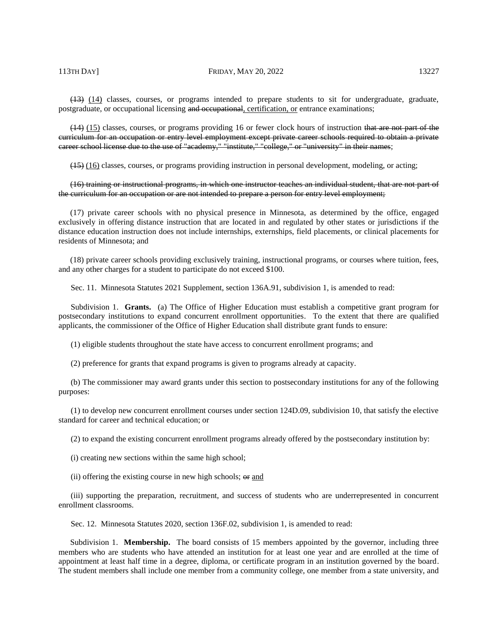(14) (15) classes, courses, or programs providing 16 or fewer clock hours of instruction that are not part of the curriculum for an occupation or entry level employment except private career schools required to obtain a private career school license due to the use of "academy," "institute," "college," or "university" in their names;

(15) (16) classes, courses, or programs providing instruction in personal development, modeling, or acting;

# (16) training or instructional programs, in which one instructor teaches an individual student, that are not part of the curriculum for an occupation or are not intended to prepare a person for entry level employment;

(17) private career schools with no physical presence in Minnesota, as determined by the office, engaged exclusively in offering distance instruction that are located in and regulated by other states or jurisdictions if the distance education instruction does not include internships, externships, field placements, or clinical placements for residents of Minnesota; and

(18) private career schools providing exclusively training, instructional programs, or courses where tuition, fees, and any other charges for a student to participate do not exceed \$100.

Sec. 11. Minnesota Statutes 2021 Supplement, section 136A.91, subdivision 1, is amended to read:

Subdivision 1. **Grants.** (a) The Office of Higher Education must establish a competitive grant program for postsecondary institutions to expand concurrent enrollment opportunities. To the extent that there are qualified applicants, the commissioner of the Office of Higher Education shall distribute grant funds to ensure:

(1) eligible students throughout the state have access to concurrent enrollment programs; and

(2) preference for grants that expand programs is given to programs already at capacity.

(b) The commissioner may award grants under this section to postsecondary institutions for any of the following purposes:

(1) to develop new concurrent enrollment courses under section 124D.09, subdivision 10, that satisfy the elective standard for career and technical education; or

(2) to expand the existing concurrent enrollment programs already offered by the postsecondary institution by:

(i) creating new sections within the same high school;

(ii) offering the existing course in new high schools;  $\Theta$  and

(iii) supporting the preparation, recruitment, and success of students who are underrepresented in concurrent enrollment classrooms.

Sec. 12. Minnesota Statutes 2020, section 136F.02, subdivision 1, is amended to read:

Subdivision 1. **Membership.** The board consists of 15 members appointed by the governor, including three members who are students who have attended an institution for at least one year and are enrolled at the time of appointment at least half time in a degree, diploma, or certificate program in an institution governed by the board. The student members shall include one member from a community college, one member from a state university, and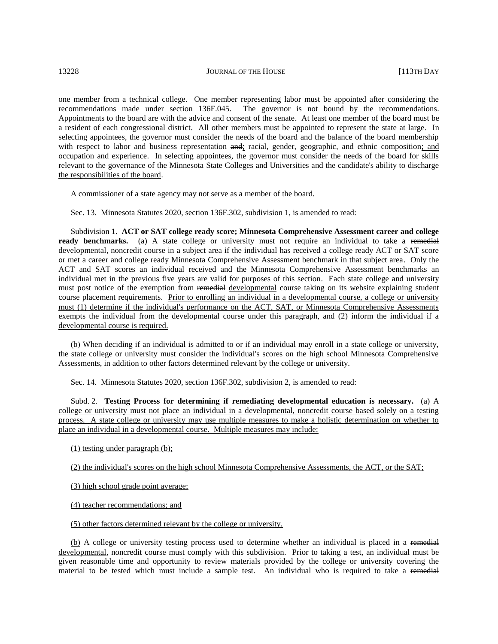one member from a technical college. One member representing labor must be appointed after considering the recommendations made under section 136F.045. The governor is not bound by the recommendations. Appointments to the board are with the advice and consent of the senate. At least one member of the board must be a resident of each congressional district. All other members must be appointed to represent the state at large. In selecting appointees, the governor must consider the needs of the board and the balance of the board membership with respect to labor and business representation and; racial, gender, geographic, and ethnic composition; and occupation and experience. In selecting appointees, the governor must consider the needs of the board for skills relevant to the governance of the Minnesota State Colleges and Universities and the candidate's ability to discharge the responsibilities of the board.

A commissioner of a state agency may not serve as a member of the board.

Sec. 13. Minnesota Statutes 2020, section 136F.302, subdivision 1, is amended to read:

Subdivision 1. **ACT or SAT college ready score; Minnesota Comprehensive Assessment career and college ready benchmarks.** (a) A state college or university must not require an individual to take a remedial developmental, noncredit course in a subject area if the individual has received a college ready ACT or SAT score or met a career and college ready Minnesota Comprehensive Assessment benchmark in that subject area. Only the ACT and SAT scores an individual received and the Minnesota Comprehensive Assessment benchmarks an individual met in the previous five years are valid for purposes of this section. Each state college and university must post notice of the exemption from remedial developmental course taking on its website explaining student course placement requirements. Prior to enrolling an individual in a developmental course, a college or university must (1) determine if the individual's performance on the ACT, SAT, or Minnesota Comprehensive Assessments exempts the individual from the developmental course under this paragraph, and (2) inform the individual if a developmental course is required.

(b) When deciding if an individual is admitted to or if an individual may enroll in a state college or university, the state college or university must consider the individual's scores on the high school Minnesota Comprehensive Assessments, in addition to other factors determined relevant by the college or university.

Sec. 14. Minnesota Statutes 2020, section 136F.302, subdivision 2, is amended to read:

Subd. 2. **Testing Process for determining if remediating developmental education is necessary.** (a) A college or university must not place an individual in a developmental, noncredit course based solely on a testing process. A state college or university may use multiple measures to make a holistic determination on whether to place an individual in a developmental course. Multiple measures may include:

(1) testing under paragraph (b);

(2) the individual's scores on the high school Minnesota Comprehensive Assessments, the ACT, or the SAT;

(3) high school grade point average;

(4) teacher recommendations; and

(5) other factors determined relevant by the college or university.

(b) A college or university testing process used to determine whether an individual is placed in a remedial developmental, noncredit course must comply with this subdivision. Prior to taking a test, an individual must be given reasonable time and opportunity to review materials provided by the college or university covering the material to be tested which must include a sample test. An individual who is required to take a remedial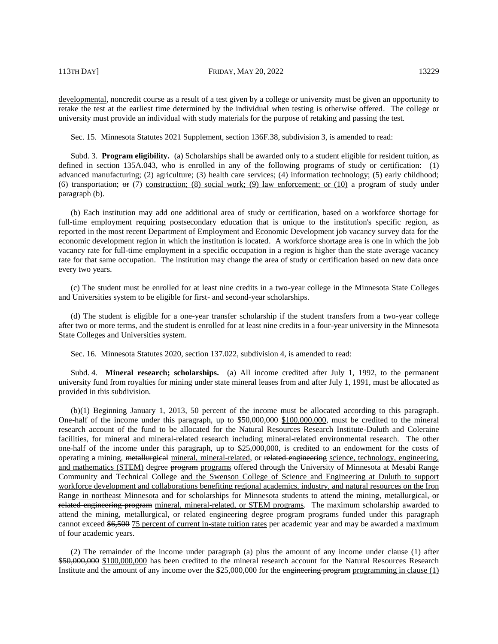developmental, noncredit course as a result of a test given by a college or university must be given an opportunity to retake the test at the earliest time determined by the individual when testing is otherwise offered. The college or university must provide an individual with study materials for the purpose of retaking and passing the test.

Sec. 15. Minnesota Statutes 2021 Supplement, section 136F.38, subdivision 3, is amended to read:

Subd. 3. **Program eligibility.** (a) Scholarships shall be awarded only to a student eligible for resident tuition, as defined in section 135A.043, who is enrolled in any of the following programs of study or certification: (1) advanced manufacturing; (2) agriculture; (3) health care services; (4) information technology; (5) early childhood; (6) transportation;  $\Theta$  (7) construction; (8) social work; (9) law enforcement; or (10) a program of study under paragraph (b).

(b) Each institution may add one additional area of study or certification, based on a workforce shortage for full-time employment requiring postsecondary education that is unique to the institution's specific region, as reported in the most recent Department of Employment and Economic Development job vacancy survey data for the economic development region in which the institution is located. A workforce shortage area is one in which the job vacancy rate for full-time employment in a specific occupation in a region is higher than the state average vacancy rate for that same occupation. The institution may change the area of study or certification based on new data once every two years.

(c) The student must be enrolled for at least nine credits in a two-year college in the Minnesota State Colleges and Universities system to be eligible for first- and second-year scholarships.

(d) The student is eligible for a one-year transfer scholarship if the student transfers from a two-year college after two or more terms, and the student is enrolled for at least nine credits in a four-year university in the Minnesota State Colleges and Universities system.

Sec. 16. Minnesota Statutes 2020, section 137.022, subdivision 4, is amended to read:

Subd. 4. **Mineral research; scholarships.** (a) All income credited after July 1, 1992, to the permanent university fund from royalties for mining under state mineral leases from and after July 1, 1991, must be allocated as provided in this subdivision.

(b)(1) Beginning January 1, 2013, 50 percent of the income must be allocated according to this paragraph. One-half of the income under this paragraph, up to \$50,000,000,000,000,000,000, must be credited to the mineral research account of the fund to be allocated for the Natural Resources Research Institute-Duluth and Coleraine facilities, for mineral and mineral-related research including mineral-related environmental research. The other one-half of the income under this paragraph, up to \$25,000,000, is credited to an endowment for the costs of operating a mining, metallurgical mineral, mineral-related, or related engineering science, technology, engineering, and mathematics (STEM) degree program programs offered through the University of Minnesota at Mesabi Range Community and Technical College and the Swenson College of Science and Engineering at Duluth to support workforce development and collaborations benefiting regional academics, industry, and natural resources on the Iron Range in northeast Minnesota and for scholarships for Minnesota students to attend the mining, metallurgical, or related engineering program mineral, mineral-related, or STEM programs. The maximum scholarship awarded to attend the mining, metallurgical, or related engineering degree program programs funded under this paragraph cannot exceed \$6,500 75 percent of current in-state tuition rates per academic year and may be awarded a maximum of four academic years.

(2) The remainder of the income under paragraph (a) plus the amount of any income under clause (1) after \$50,000,000 \$100,000,000 has been credited to the mineral research account for the Natural Resources Research Institute and the amount of any income over the \$25,000,000 for the engineering program programming in clause (1)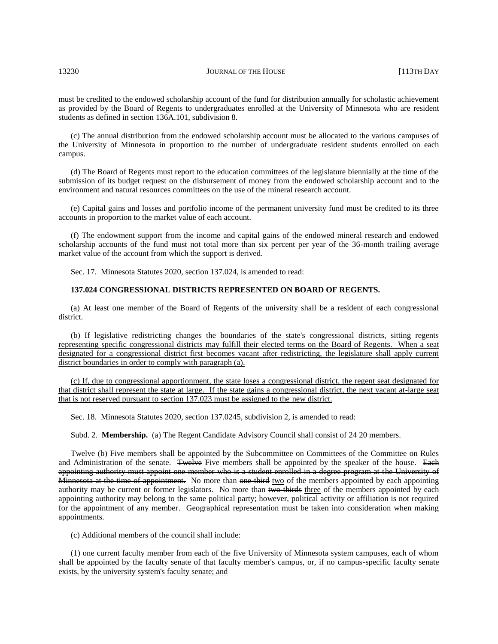must be credited to the endowed scholarship account of the fund for distribution annually for scholastic achievement as provided by the Board of Regents to undergraduates enrolled at the University of Minnesota who are resident students as defined in section 136A.101, subdivision 8.

(c) The annual distribution from the endowed scholarship account must be allocated to the various campuses of the University of Minnesota in proportion to the number of undergraduate resident students enrolled on each campus.

(d) The Board of Regents must report to the education committees of the legislature biennially at the time of the submission of its budget request on the disbursement of money from the endowed scholarship account and to the environment and natural resources committees on the use of the mineral research account.

(e) Capital gains and losses and portfolio income of the permanent university fund must be credited to its three accounts in proportion to the market value of each account.

(f) The endowment support from the income and capital gains of the endowed mineral research and endowed scholarship accounts of the fund must not total more than six percent per year of the 36-month trailing average market value of the account from which the support is derived.

Sec. 17. Minnesota Statutes 2020, section 137.024, is amended to read:

# **137.024 CONGRESSIONAL DISTRICTS REPRESENTED ON BOARD OF REGENTS.**

(a) At least one member of the Board of Regents of the university shall be a resident of each congressional district.

(b) If legislative redistricting changes the boundaries of the state's congressional districts, sitting regents representing specific congressional districts may fulfill their elected terms on the Board of Regents. When a seat designated for a congressional district first becomes vacant after redistricting, the legislature shall apply current district boundaries in order to comply with paragraph (a).

(c) If, due to congressional apportionment, the state loses a congressional district, the regent seat designated for that district shall represent the state at large. If the state gains a congressional district, the next vacant at-large seat that is not reserved pursuant to section 137.023 must be assigned to the new district.

Sec. 18. Minnesota Statutes 2020, section 137.0245, subdivision 2, is amended to read:

Subd. 2. **Membership.** (a) The Regent Candidate Advisory Council shall consist of 24 20 members.

**Twelve (b) Five members shall be appointed by the Subcommittee on Committees of the Committee on Rules** and Administration of the senate. Twelve Five members shall be appointed by the speaker of the house. Each appointing authority must appoint one member who is a student enrolled in a degree program at the University of Minnesota at the time of appointment. No more than one third two of the members appointed by each appointing authority may be current or former legislators. No more than two thirds three of the members appointed by each appointing authority may belong to the same political party; however, political activity or affiliation is not required for the appointment of any member. Geographical representation must be taken into consideration when making appointments.

(c) Additional members of the council shall include:

(1) one current faculty member from each of the five University of Minnesota system campuses, each of whom shall be appointed by the faculty senate of that faculty member's campus, or, if no campus-specific faculty senate exists, by the university system's faculty senate; and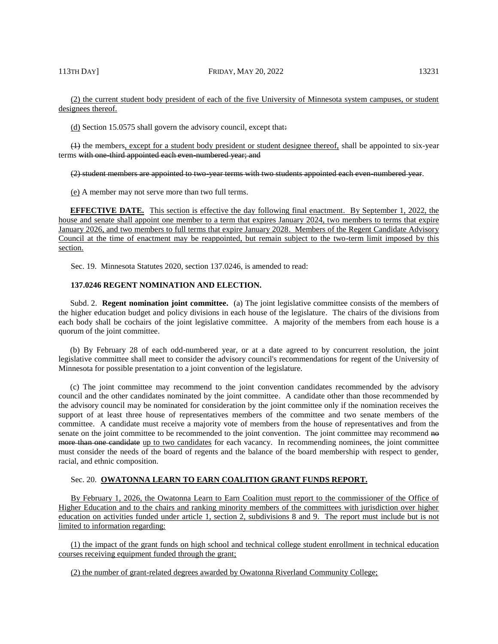(d) Section 15.0575 shall govern the advisory council, except that:

(1) the members, except for a student body president or student designee thereof, shall be appointed to six-year terms with one-third appointed each even-numbered year; and

(2) student members are appointed to two-year terms with two students appointed each even-numbered year.

(e) A member may not serve more than two full terms.

**EFFECTIVE DATE.** This section is effective the day following final enactment. By September 1, 2022, the house and senate shall appoint one member to a term that expires January 2024, two members to terms that expire January 2026, and two members to full terms that expire January 2028. Members of the Regent Candidate Advisory Council at the time of enactment may be reappointed, but remain subject to the two-term limit imposed by this section.

Sec. 19. Minnesota Statutes 2020, section 137.0246, is amended to read:

### **137.0246 REGENT NOMINATION AND ELECTION.**

Subd. 2. **Regent nomination joint committee.** (a) The joint legislative committee consists of the members of the higher education budget and policy divisions in each house of the legislature. The chairs of the divisions from each body shall be cochairs of the joint legislative committee. A majority of the members from each house is a quorum of the joint committee.

(b) By February 28 of each odd-numbered year, or at a date agreed to by concurrent resolution, the joint legislative committee shall meet to consider the advisory council's recommendations for regent of the University of Minnesota for possible presentation to a joint convention of the legislature.

(c) The joint committee may recommend to the joint convention candidates recommended by the advisory council and the other candidates nominated by the joint committee. A candidate other than those recommended by the advisory council may be nominated for consideration by the joint committee only if the nomination receives the support of at least three house of representatives members of the committee and two senate members of the committee. A candidate must receive a majority vote of members from the house of representatives and from the senate on the joint committee to be recommended to the joint convention. The joint committee may recommend no more than one candidate up to two candidates for each vacancy. In recommending nominees, the joint committee must consider the needs of the board of regents and the balance of the board membership with respect to gender, racial, and ethnic composition.

# Sec. 20. **OWATONNA LEARN TO EARN COALITION GRANT FUNDS REPORT.**

By February 1, 2026, the Owatonna Learn to Earn Coalition must report to the commissioner of the Office of Higher Education and to the chairs and ranking minority members of the committees with jurisdiction over higher education on activities funded under article 1, section 2, subdivisions 8 and 9. The report must include but is not limited to information regarding:

(1) the impact of the grant funds on high school and technical college student enrollment in technical education courses receiving equipment funded through the grant;

(2) the number of grant-related degrees awarded by Owatonna Riverland Community College;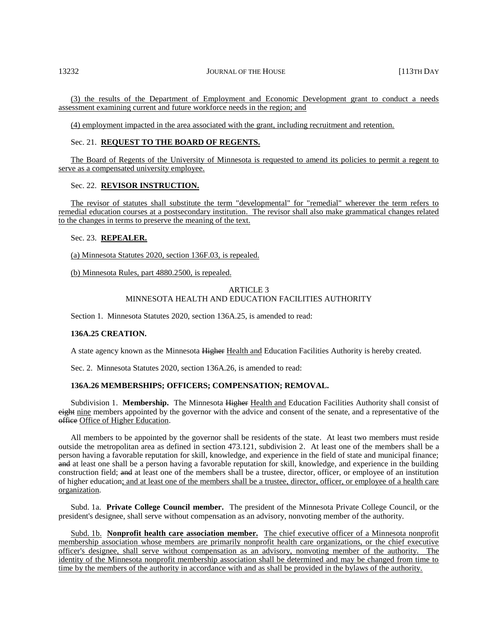(3) the results of the Department of Employment and Economic Development grant to conduct a needs assessment examining current and future workforce needs in the region; and

(4) employment impacted in the area associated with the grant, including recruitment and retention.

# Sec. 21. **REQUEST TO THE BOARD OF REGENTS.**

The Board of Regents of the University of Minnesota is requested to amend its policies to permit a regent to serve as a compensated university employee.

### Sec. 22. **REVISOR INSTRUCTION.**

The revisor of statutes shall substitute the term "developmental" for "remedial" wherever the term refers to remedial education courses at a postsecondary institution. The revisor shall also make grammatical changes related to the changes in terms to preserve the meaning of the text.

# Sec. 23. **REPEALER.**

(a) Minnesota Statutes 2020, section 136F.03, is repealed.

(b) Minnesota Rules, part 4880.2500, is repealed.

# ARTICLE 3 MINNESOTA HEALTH AND EDUCATION FACILITIES AUTHORITY

Section 1. Minnesota Statutes 2020, section 136A.25, is amended to read:

## **136A.25 CREATION.**

A state agency known as the Minnesota Higher Health and Education Facilities Authority is hereby created.

Sec. 2. Minnesota Statutes 2020, section 136A.26, is amended to read:

# **136A.26 MEMBERSHIPS; OFFICERS; COMPENSATION; REMOVAL.**

Subdivision 1. **Membership.** The Minnesota Higher Health and Education Facilities Authority shall consist of eight nine members appointed by the governor with the advice and consent of the senate, and a representative of the office Office of Higher Education.

All members to be appointed by the governor shall be residents of the state. At least two members must reside outside the metropolitan area as defined in section 473.121, subdivision 2. At least one of the members shall be a person having a favorable reputation for skill, knowledge, and experience in the field of state and municipal finance; and at least one shall be a person having a favorable reputation for skill, knowledge, and experience in the building construction field; and at least one of the members shall be a trustee, director, officer, or employee of an institution of higher education; and at least one of the members shall be a trustee, director, officer, or employee of a health care organization.

Subd. 1a. **Private College Council member.** The president of the Minnesota Private College Council, or the president's designee, shall serve without compensation as an advisory, nonvoting member of the authority.

Subd. 1b. **Nonprofit health care association member.** The chief executive officer of a Minnesota nonprofit membership association whose members are primarily nonprofit health care organizations, or the chief executive officer's designee, shall serve without compensation as an advisory, nonvoting member of the authority. The identity of the Minnesota nonprofit membership association shall be determined and may be changed from time to time by the members of the authority in accordance with and as shall be provided in the bylaws of the authority.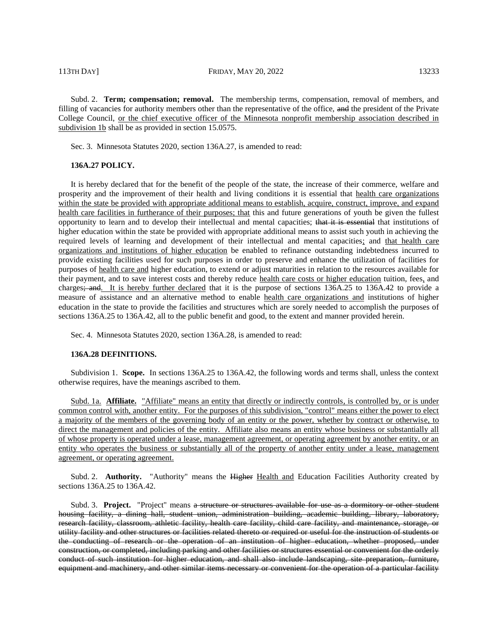Subd. 2. **Term; compensation; removal.** The membership terms, compensation, removal of members, and filling of vacancies for authority members other than the representative of the office, and the president of the Private College Council, or the chief executive officer of the Minnesota nonprofit membership association described in subdivision 1b shall be as provided in section 15.0575.

Sec. 3. Minnesota Statutes 2020, section 136A.27, is amended to read:

# **136A.27 POLICY.**

It is hereby declared that for the benefit of the people of the state, the increase of their commerce, welfare and prosperity and the improvement of their health and living conditions it is essential that health care organizations within the state be provided with appropriate additional means to establish, acquire, construct, improve, and expand health care facilities in furtherance of their purposes; that this and future generations of youth be given the fullest opportunity to learn and to develop their intellectual and mental capacities; that it is essential that institutions of higher education within the state be provided with appropriate additional means to assist such youth in achieving the required levels of learning and development of their intellectual and mental capacities; and that health care organizations and institutions of higher education be enabled to refinance outstanding indebtedness incurred to provide existing facilities used for such purposes in order to preserve and enhance the utilization of facilities for purposes of health care and higher education, to extend or adjust maturities in relation to the resources available for their payment, and to save interest costs and thereby reduce health care costs or higher education tuition, fees, and charges; and. It is hereby further declared that it is the purpose of sections 136A.25 to 136A.42 to provide a measure of assistance and an alternative method to enable health care organizations and institutions of higher education in the state to provide the facilities and structures which are sorely needed to accomplish the purposes of sections 136A.25 to 136A.42, all to the public benefit and good, to the extent and manner provided herein.

Sec. 4. Minnesota Statutes 2020, section 136A.28, is amended to read:

## **136A.28 DEFINITIONS.**

Subdivision 1. **Scope.** In sections 136A.25 to 136A.42, the following words and terms shall, unless the context otherwise requires, have the meanings ascribed to them.

Subd. 1a. **Affiliate.** "Affiliate" means an entity that directly or indirectly controls, is controlled by, or is under common control with, another entity. For the purposes of this subdivision, "control" means either the power to elect a majority of the members of the governing body of an entity or the power, whether by contract or otherwise, to direct the management and policies of the entity. Affiliate also means an entity whose business or substantially all of whose property is operated under a lease, management agreement, or operating agreement by another entity, or an entity who operates the business or substantially all of the property of another entity under a lease, management agreement, or operating agreement.

Subd. 2. **Authority.** "Authority" means the Higher Health and Education Facilities Authority created by sections 136A.25 to 136A.42.

Subd. 3. **Project.** "Project" means a structure or structures available for use as a dormitory or other student housing facility, a dining hall, student union, administration building, academic building, library, laboratory, research facility, classroom, athletic facility, health care facility, child care facility, and maintenance, storage, or utility facility and other structures or facilities related thereto or required or useful for the instruction of students or the conducting of research or the operation of an institution of higher education, whether proposed, under construction, or completed, including parking and other facilities or structures essential or convenient for the orderly conduct of such institution for higher education, and shall also include landscaping, site preparation, furniture, equipment and machinery, and other similar items necessary or convenient for the operation of a particular facility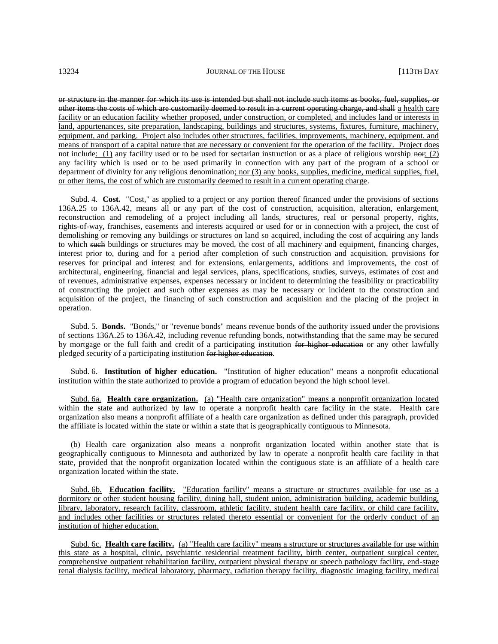or structure in the manner for which its use is intended but shall not include such items as books, fuel, supplies, or other items the costs of which are customarily deemed to result in a current operating charge, and shall a health care facility or an education facility whether proposed, under construction, or completed, and includes land or interests in land, appurtenances, site preparation, landscaping, buildings and structures, systems, fixtures, furniture, machinery, equipment, and parking. Project also includes other structures, facilities, improvements, machinery, equipment, and means of transport of a capital nature that are necessary or convenient for the operation of the facility. Project does not include: (1) any facility used or to be used for sectarian instruction or as a place of religious worship  $n \leftrightarrow i$ ; (2) any facility which is used or to be used primarily in connection with any part of the program of a school or department of divinity for any religious denomination; nor (3) any books, supplies, medicine, medical supplies, fuel, or other items, the cost of which are customarily deemed to result in a current operating charge.

Subd. 4. **Cost.** "Cost," as applied to a project or any portion thereof financed under the provisions of sections 136A.25 to 136A.42, means all or any part of the cost of construction, acquisition, alteration, enlargement, reconstruction and remodeling of a project including all lands, structures, real or personal property, rights, rights-of-way, franchises, easements and interests acquired or used for or in connection with a project, the cost of demolishing or removing any buildings or structures on land so acquired, including the cost of acquiring any lands to which such buildings or structures may be moved, the cost of all machinery and equipment, financing charges, interest prior to, during and for a period after completion of such construction and acquisition, provisions for reserves for principal and interest and for extensions, enlargements, additions and improvements, the cost of architectural, engineering, financial and legal services, plans, specifications, studies, surveys, estimates of cost and of revenues, administrative expenses, expenses necessary or incident to determining the feasibility or practicability of constructing the project and such other expenses as may be necessary or incident to the construction and acquisition of the project, the financing of such construction and acquisition and the placing of the project in operation.

Subd. 5. **Bonds.** "Bonds," or "revenue bonds" means revenue bonds of the authority issued under the provisions of sections 136A.25 to 136A.42, including revenue refunding bonds, notwithstanding that the same may be secured by mortgage or the full faith and credit of a participating institution for higher education or any other lawfully pledged security of a participating institution for higher education.

Subd. 6. **Institution of higher education.** "Institution of higher education" means a nonprofit educational institution within the state authorized to provide a program of education beyond the high school level.

Subd. 6a. **Health care organization.** (a) "Health care organization" means a nonprofit organization located within the state and authorized by law to operate a nonprofit health care facility in the state. Health care organization also means a nonprofit affiliate of a health care organization as defined under this paragraph, provided the affiliate is located within the state or within a state that is geographically contiguous to Minnesota.

(b) Health care organization also means a nonprofit organization located within another state that is geographically contiguous to Minnesota and authorized by law to operate a nonprofit health care facility in that state, provided that the nonprofit organization located within the contiguous state is an affiliate of a health care organization located within the state.

Subd. 6b. **Education facility.** "Education facility" means a structure or structures available for use as a dormitory or other student housing facility, dining hall, student union, administration building, academic building, library, laboratory, research facility, classroom, athletic facility, student health care facility, or child care facility, and includes other facilities or structures related thereto essential or convenient for the orderly conduct of an institution of higher education.

Subd. 6c. **Health care facility.** (a) "Health care facility" means a structure or structures available for use within this state as a hospital, clinic, psychiatric residential treatment facility, birth center, outpatient surgical center, comprehensive outpatient rehabilitation facility, outpatient physical therapy or speech pathology facility, end-stage renal dialysis facility, medical laboratory, pharmacy, radiation therapy facility, diagnostic imaging facility, medical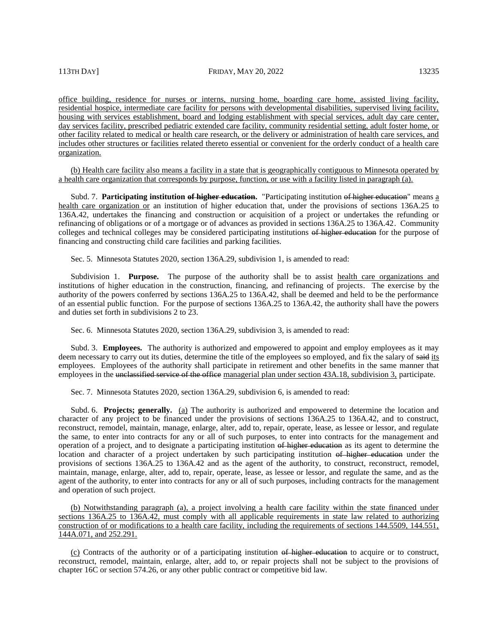office building, residence for nurses or interns, nursing home, boarding care home, assisted living facility, residential hospice, intermediate care facility for persons with developmental disabilities, supervised living facility, housing with services establishment, board and lodging establishment with special services, adult day care center, day services facility, prescribed pediatric extended care facility, community residential setting, adult foster home, or other facility related to medical or health care research, or the delivery or administration of health care services, and includes other structures or facilities related thereto essential or convenient for the orderly conduct of a health care organization.

(b) Health care facility also means a facility in a state that is geographically contiguous to Minnesota operated by a health care organization that corresponds by purpose, function, or use with a facility listed in paragraph (a).

Subd. 7. **Participating institution o<del>f higher education</del>.** "Participating institution of higher education" means a health care organization or an institution of higher education that, under the provisions of sections 136A.25 to 136A.42, undertakes the financing and construction or acquisition of a project or undertakes the refunding or refinancing of obligations or of a mortgage or of advances as provided in sections 136A.25 to 136A.42. Community colleges and technical colleges may be considered participating institutions of higher education for the purpose of financing and constructing child care facilities and parking facilities.

Sec. 5. Minnesota Statutes 2020, section 136A.29, subdivision 1, is amended to read:

Subdivision 1. **Purpose.** The purpose of the authority shall be to assist health care organizations and institutions of higher education in the construction, financing, and refinancing of projects. The exercise by the authority of the powers conferred by sections 136A.25 to 136A.42, shall be deemed and held to be the performance of an essential public function. For the purpose of sections 136A.25 to 136A.42, the authority shall have the powers and duties set forth in subdivisions 2 to 23.

Sec. 6. Minnesota Statutes 2020, section 136A.29, subdivision 3, is amended to read:

Subd. 3. **Employees.** The authority is authorized and empowered to appoint and employ employees as it may deem necessary to carry out its duties, determine the title of the employees so employed, and fix the salary of said its employees. Employees of the authority shall participate in retirement and other benefits in the same manner that employees in the unclassified service of the office managerial plan under section 43A.18, subdivision 3, participate.

Sec. 7. Minnesota Statutes 2020, section 136A.29, subdivision 6, is amended to read:

Subd. 6. **Projects; generally.** (a) The authority is authorized and empowered to determine the location and character of any project to be financed under the provisions of sections 136A.25 to 136A.42, and to construct, reconstruct, remodel, maintain, manage, enlarge, alter, add to, repair, operate, lease, as lessee or lessor, and regulate the same, to enter into contracts for any or all of such purposes, to enter into contracts for the management and operation of a project, and to designate a participating institution of higher education as its agent to determine the location and character of a project undertaken by such participating institution of higher education under the provisions of sections 136A.25 to 136A.42 and as the agent of the authority, to construct, reconstruct, remodel, maintain, manage, enlarge, alter, add to, repair, operate, lease, as lessee or lessor, and regulate the same, and as the agent of the authority, to enter into contracts for any or all of such purposes, including contracts for the management and operation of such project.

(b) Notwithstanding paragraph (a), a project involving a health care facility within the state financed under sections 136A.25 to 136A.42, must comply with all applicable requirements in state law related to authorizing construction of or modifications to a health care facility, including the requirements of sections 144.5509, 144.551, 144A.071, and 252.291.

(c) Contracts of the authority or of a participating institution of higher education to acquire or to construct, reconstruct, remodel, maintain, enlarge, alter, add to, or repair projects shall not be subject to the provisions of chapter 16C or section 574.26, or any other public contract or competitive bid law.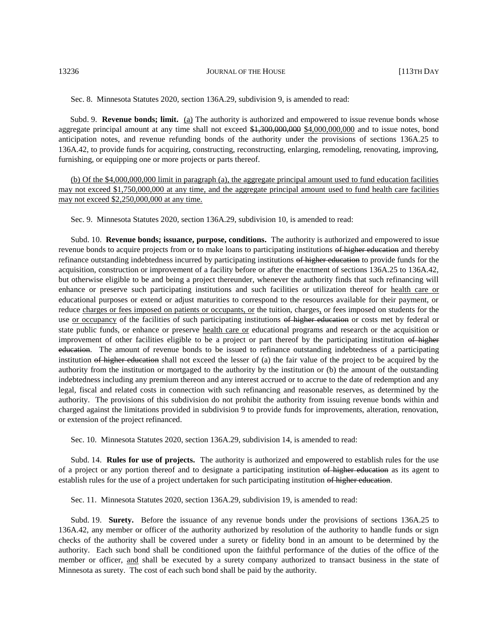Sec. 8. Minnesota Statutes 2020, section 136A.29, subdivision 9, is amended to read:

Subd. 9. **Revenue bonds; limit.** (a) The authority is authorized and empowered to issue revenue bonds whose aggregate principal amount at any time shall not exceed  $\frac{1,300,000,000}{1,300,000,000}$  and to issue notes, bond anticipation notes, and revenue refunding bonds of the authority under the provisions of sections 136A.25 to 136A.42, to provide funds for acquiring, constructing, reconstructing, enlarging, remodeling, renovating, improving, furnishing, or equipping one or more projects or parts thereof.

(b) Of the \$4,000,000,000 limit in paragraph (a), the aggregate principal amount used to fund education facilities may not exceed \$1,750,000,000 at any time, and the aggregate principal amount used to fund health care facilities may not exceed \$2,250,000,000 at any time.

Sec. 9. Minnesota Statutes 2020, section 136A.29, subdivision 10, is amended to read:

Subd. 10. **Revenue bonds; issuance, purpose, conditions.** The authority is authorized and empowered to issue revenue bonds to acquire projects from or to make loans to participating institutions of higher education and thereby refinance outstanding indebtedness incurred by participating institutions of higher education to provide funds for the acquisition, construction or improvement of a facility before or after the enactment of sections 136A.25 to 136A.42, but otherwise eligible to be and being a project thereunder, whenever the authority finds that such refinancing will enhance or preserve such participating institutions and such facilities or utilization thereof for health care or educational purposes or extend or adjust maturities to correspond to the resources available for their payment, or reduce charges or fees imposed on patients or occupants, or the tuition, charges, or fees imposed on students for the use or occupancy of the facilities of such participating institutions of higher education or costs met by federal or state public funds, or enhance or preserve health care or educational programs and research or the acquisition or improvement of other facilities eligible to be a project or part thereof by the participating institution of higher education. The amount of revenue bonds to be issued to refinance outstanding indebtedness of a participating institution of higher education shall not exceed the lesser of (a) the fair value of the project to be acquired by the authority from the institution or mortgaged to the authority by the institution or (b) the amount of the outstanding indebtedness including any premium thereon and any interest accrued or to accrue to the date of redemption and any legal, fiscal and related costs in connection with such refinancing and reasonable reserves, as determined by the authority. The provisions of this subdivision do not prohibit the authority from issuing revenue bonds within and charged against the limitations provided in subdivision 9 to provide funds for improvements, alteration, renovation, or extension of the project refinanced.

Sec. 10. Minnesota Statutes 2020, section 136A.29, subdivision 14, is amended to read:

Subd. 14. **Rules for use of projects.** The authority is authorized and empowered to establish rules for the use of a project or any portion thereof and to designate a participating institution of higher education as its agent to establish rules for the use of a project undertaken for such participating institution of higher education.

Sec. 11. Minnesota Statutes 2020, section 136A.29, subdivision 19, is amended to read:

Subd. 19. **Surety.** Before the issuance of any revenue bonds under the provisions of sections 136A.25 to 136A.42, any member or officer of the authority authorized by resolution of the authority to handle funds or sign checks of the authority shall be covered under a surety or fidelity bond in an amount to be determined by the authority. Each such bond shall be conditioned upon the faithful performance of the duties of the office of the member or officer, and shall be executed by a surety company authorized to transact business in the state of Minnesota as surety. The cost of each such bond shall be paid by the authority.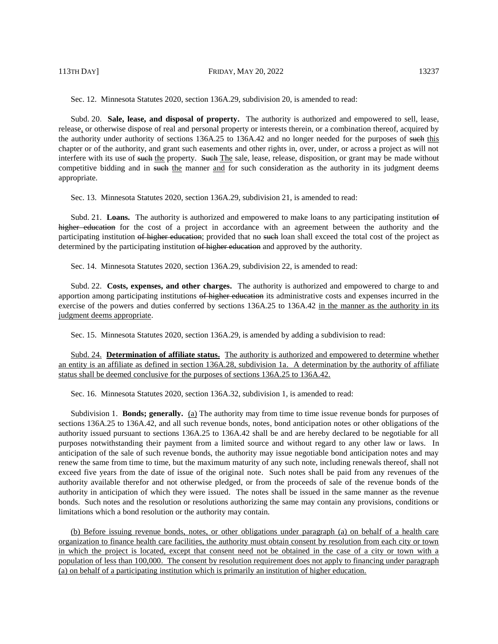113TH DAY] **FRIDAY, MAY 20, 2022** 13237

Sec. 12. Minnesota Statutes 2020, section 136A.29, subdivision 20, is amended to read:

Subd. 20. **Sale, lease, and disposal of property.** The authority is authorized and empowered to sell, lease, release, or otherwise dispose of real and personal property or interests therein, or a combination thereof, acquired by the authority under authority of sections 136A.25 to 136A.42 and no longer needed for the purposes of such this chapter or of the authority, and grant such easements and other rights in, over, under, or across a project as will not interfere with its use of such the property. Such The sale, lease, release, disposition, or grant may be made without competitive bidding and in such the manner and for such consideration as the authority in its judgment deems appropriate.

Sec. 13. Minnesota Statutes 2020, section 136A.29, subdivision 21, is amended to read:

Subd. 21. **Loans.** The authority is authorized and empowered to make loans to any participating institution of higher education for the cost of a project in accordance with an agreement between the authority and the participating institution of higher education; provided that no such loan shall exceed the total cost of the project as determined by the participating institution of higher education and approved by the authority.

Sec. 14. Minnesota Statutes 2020, section 136A.29, subdivision 22, is amended to read:

Subd. 22. **Costs, expenses, and other charges.** The authority is authorized and empowered to charge to and apportion among participating institutions of higher education its administrative costs and expenses incurred in the exercise of the powers and duties conferred by sections 136A.25 to 136A.42 in the manner as the authority in its judgment deems appropriate.

Sec. 15. Minnesota Statutes 2020, section 136A.29, is amended by adding a subdivision to read:

Subd. 24. **Determination of affiliate status.** The authority is authorized and empowered to determine whether an entity is an affiliate as defined in section 136A.28, subdivision 1a. A determination by the authority of affiliate status shall be deemed conclusive for the purposes of sections 136A.25 to 136A.42.

Sec. 16. Minnesota Statutes 2020, section 136A.32, subdivision 1, is amended to read:

Subdivision 1. **Bonds; generally.** (a) The authority may from time to time issue revenue bonds for purposes of sections 136A.25 to 136A.42, and all such revenue bonds, notes, bond anticipation notes or other obligations of the authority issued pursuant to sections 136A.25 to 136A.42 shall be and are hereby declared to be negotiable for all purposes notwithstanding their payment from a limited source and without regard to any other law or laws. In anticipation of the sale of such revenue bonds, the authority may issue negotiable bond anticipation notes and may renew the same from time to time, but the maximum maturity of any such note, including renewals thereof, shall not exceed five years from the date of issue of the original note. Such notes shall be paid from any revenues of the authority available therefor and not otherwise pledged, or from the proceeds of sale of the revenue bonds of the authority in anticipation of which they were issued. The notes shall be issued in the same manner as the revenue bonds. Such notes and the resolution or resolutions authorizing the same may contain any provisions, conditions or limitations which a bond resolution or the authority may contain.

(b) Before issuing revenue bonds, notes, or other obligations under paragraph (a) on behalf of a health care organization to finance health care facilities, the authority must obtain consent by resolution from each city or town in which the project is located, except that consent need not be obtained in the case of a city or town with a population of less than 100,000. The consent by resolution requirement does not apply to financing under paragraph (a) on behalf of a participating institution which is primarily an institution of higher education.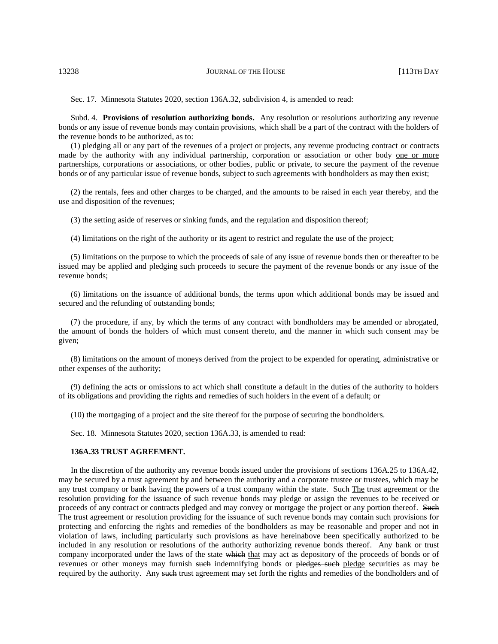Sec. 17. Minnesota Statutes 2020, section 136A.32, subdivision 4, is amended to read:

Subd. 4. **Provisions of resolution authorizing bonds.** Any resolution or resolutions authorizing any revenue bonds or any issue of revenue bonds may contain provisions, which shall be a part of the contract with the holders of the revenue bonds to be authorized, as to:

(1) pledging all or any part of the revenues of a project or projects, any revenue producing contract or contracts made by the authority with any individual partnership, corporation or association or other body one or more partnerships, corporations or associations, or other bodies, public or private, to secure the payment of the revenue bonds or of any particular issue of revenue bonds, subject to such agreements with bondholders as may then exist;

(2) the rentals, fees and other charges to be charged, and the amounts to be raised in each year thereby, and the use and disposition of the revenues;

(3) the setting aside of reserves or sinking funds, and the regulation and disposition thereof;

(4) limitations on the right of the authority or its agent to restrict and regulate the use of the project;

(5) limitations on the purpose to which the proceeds of sale of any issue of revenue bonds then or thereafter to be issued may be applied and pledging such proceeds to secure the payment of the revenue bonds or any issue of the revenue bonds;

(6) limitations on the issuance of additional bonds, the terms upon which additional bonds may be issued and secured and the refunding of outstanding bonds;

(7) the procedure, if any, by which the terms of any contract with bondholders may be amended or abrogated, the amount of bonds the holders of which must consent thereto, and the manner in which such consent may be given;

(8) limitations on the amount of moneys derived from the project to be expended for operating, administrative or other expenses of the authority;

(9) defining the acts or omissions to act which shall constitute a default in the duties of the authority to holders of its obligations and providing the rights and remedies of such holders in the event of a default; or

(10) the mortgaging of a project and the site thereof for the purpose of securing the bondholders.

Sec. 18. Minnesota Statutes 2020, section 136A.33, is amended to read:

### **136A.33 TRUST AGREEMENT.**

In the discretion of the authority any revenue bonds issued under the provisions of sections 136A.25 to 136A.42, may be secured by a trust agreement by and between the authority and a corporate trustee or trustees, which may be any trust company or bank having the powers of a trust company within the state. Such The trust agreement or the resolution providing for the issuance of such revenue bonds may pledge or assign the revenues to be received or proceeds of any contract or contracts pledged and may convey or mortgage the project or any portion thereof. Such The trust agreement or resolution providing for the issuance of such revenue bonds may contain such provisions for protecting and enforcing the rights and remedies of the bondholders as may be reasonable and proper and not in violation of laws, including particularly such provisions as have hereinabove been specifically authorized to be included in any resolution or resolutions of the authority authorizing revenue bonds thereof. Any bank or trust company incorporated under the laws of the state which that may act as depository of the proceeds of bonds or of revenues or other moneys may furnish such indemnifying bonds or pledges such pledge securities as may be required by the authority. Any such trust agreement may set forth the rights and remedies of the bondholders and of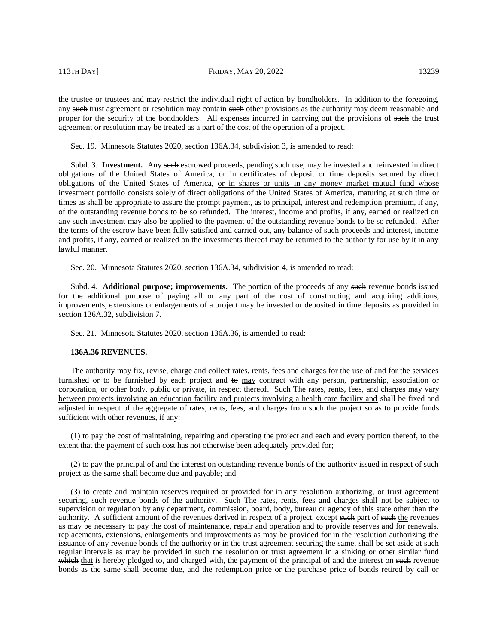the trustee or trustees and may restrict the individual right of action by bondholders. In addition to the foregoing, any such trust agreement or resolution may contain such other provisions as the authority may deem reasonable and proper for the security of the bondholders. All expenses incurred in carrying out the provisions of such the trust agreement or resolution may be treated as a part of the cost of the operation of a project.

Sec. 19. Minnesota Statutes 2020, section 136A.34, subdivision 3, is amended to read:

Subd. 3. **Investment.** Any such escrowed proceeds, pending such use, may be invested and reinvested in direct obligations of the United States of America, or in certificates of deposit or time deposits secured by direct obligations of the United States of America, or in shares or units in any money market mutual fund whose investment portfolio consists solely of direct obligations of the United States of America, maturing at such time or times as shall be appropriate to assure the prompt payment, as to principal, interest and redemption premium, if any, of the outstanding revenue bonds to be so refunded. The interest, income and profits, if any, earned or realized on any such investment may also be applied to the payment of the outstanding revenue bonds to be so refunded. After the terms of the escrow have been fully satisfied and carried out, any balance of such proceeds and interest, income and profits, if any, earned or realized on the investments thereof may be returned to the authority for use by it in any lawful manner.

Sec. 20. Minnesota Statutes 2020, section 136A.34, subdivision 4, is amended to read:

Subd. 4. **Additional purpose; improvements.** The portion of the proceeds of any such revenue bonds issued for the additional purpose of paying all or any part of the cost of constructing and acquiring additions, improvements, extensions or enlargements of a project may be invested or deposited in time deposits as provided in section 136A.32, subdivision 7.

Sec. 21. Minnesota Statutes 2020, section 136A.36, is amended to read:

### **136A.36 REVENUES.**

The authority may fix, revise, charge and collect rates, rents, fees and charges for the use of and for the services furnished or to be furnished by each project and  $\leftrightarrow$  may contract with any person, partnership, association or corporation, or other body, public or private, in respect thereof. Such The rates, rents, fees, and charges may vary between projects involving an education facility and projects involving a health care facility and shall be fixed and adjusted in respect of the aggregate of rates, rents, fees, and charges from such the project so as to provide funds sufficient with other revenues, if any:

(1) to pay the cost of maintaining, repairing and operating the project and each and every portion thereof, to the extent that the payment of such cost has not otherwise been adequately provided for;

(2) to pay the principal of and the interest on outstanding revenue bonds of the authority issued in respect of such project as the same shall become due and payable; and

(3) to create and maintain reserves required or provided for in any resolution authorizing, or trust agreement securing, such revenue bonds of the authority. Such The rates, rents, fees and charges shall not be subject to supervision or regulation by any department, commission, board, body, bureau or agency of this state other than the authority. A sufficient amount of the revenues derived in respect of a project, except such part of such the revenues as may be necessary to pay the cost of maintenance, repair and operation and to provide reserves and for renewals, replacements, extensions, enlargements and improvements as may be provided for in the resolution authorizing the issuance of any revenue bonds of the authority or in the trust agreement securing the same, shall be set aside at such regular intervals as may be provided in such the resolution or trust agreement in a sinking or other similar fund which that is hereby pledged to, and charged with, the payment of the principal of and the interest on such revenue bonds as the same shall become due, and the redemption price or the purchase price of bonds retired by call or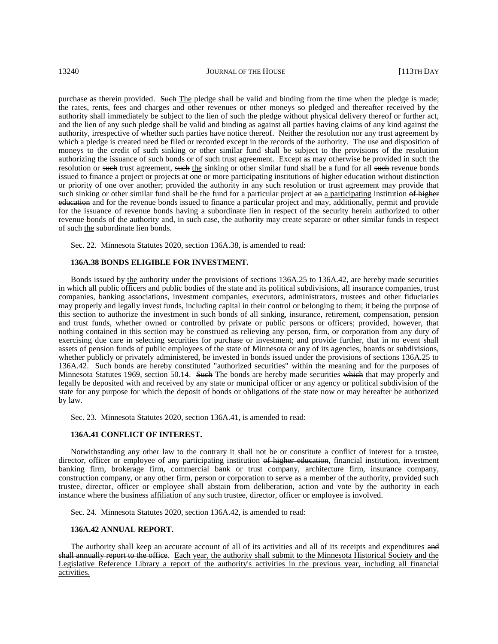purchase as therein provided. Such The pledge shall be valid and binding from the time when the pledge is made; the rates, rents, fees and charges and other revenues or other moneys so pledged and thereafter received by the authority shall immediately be subject to the lien of such the pledge without physical delivery thereof or further act, and the lien of any such pledge shall be valid and binding as against all parties having claims of any kind against the authority, irrespective of whether such parties have notice thereof. Neither the resolution nor any trust agreement by which a pledge is created need be filed or recorded except in the records of the authority. The use and disposition of moneys to the credit of such sinking or other similar fund shall be subject to the provisions of the resolution authorizing the issuance of such bonds or of such trust agreement. Except as may otherwise be provided in such the resolution or such trust agreement, such the sinking or other similar fund shall be a fund for all such revenue bonds issued to finance a project or projects at one or more participating institutions of higher education without distinction or priority of one over another; provided the authority in any such resolution or trust agreement may provide that such sinking or other similar fund shall be the fund for a particular project at an a participating institution of higher education and for the revenue bonds issued to finance a particular project and may, additionally, permit and provide for the issuance of revenue bonds having a subordinate lien in respect of the security herein authorized to other revenue bonds of the authority and, in such case, the authority may create separate or other similar funds in respect of such the subordinate lien bonds.

Sec. 22. Minnesota Statutes 2020, section 136A.38, is amended to read:

### **136A.38 BONDS ELIGIBLE FOR INVESTMENT.**

Bonds issued by the authority under the provisions of sections 136A.25 to 136A.42, are hereby made securities in which all public officers and public bodies of the state and its political subdivisions, all insurance companies, trust companies, banking associations, investment companies, executors, administrators, trustees and other fiduciaries may properly and legally invest funds, including capital in their control or belonging to them; it being the purpose of this section to authorize the investment in such bonds of all sinking, insurance, retirement, compensation, pension and trust funds, whether owned or controlled by private or public persons or officers; provided, however, that nothing contained in this section may be construed as relieving any person, firm, or corporation from any duty of exercising due care in selecting securities for purchase or investment; and provide further, that in no event shall assets of pension funds of public employees of the state of Minnesota or any of its agencies, boards or subdivisions, whether publicly or privately administered, be invested in bonds issued under the provisions of sections 136A.25 to 136A.42. Such bonds are hereby constituted "authorized securities" within the meaning and for the purposes of Minnesota Statutes 1969, section 50.14. Such The bonds are hereby made securities which that may properly and legally be deposited with and received by any state or municipal officer or any agency or political subdivision of the state for any purpose for which the deposit of bonds or obligations of the state now or may hereafter be authorized by law.

Sec. 23. Minnesota Statutes 2020, section 136A.41, is amended to read:

### **136A.41 CONFLICT OF INTEREST.**

Notwithstanding any other law to the contrary it shall not be or constitute a conflict of interest for a trustee, director, officer or employee of any participating institution of higher education, financial institution, investment banking firm, brokerage firm, commercial bank or trust company, architecture firm, insurance company, construction company, or any other firm, person or corporation to serve as a member of the authority, provided such trustee, director, officer or employee shall abstain from deliberation, action and vote by the authority in each instance where the business affiliation of any such trustee, director, officer or employee is involved.

Sec. 24. Minnesota Statutes 2020, section 136A.42, is amended to read:

### **136A.42 ANNUAL REPORT.**

The authority shall keep an accurate account of all of its activities and all of its receipts and expenditures and shall annually report to the office. Each year, the authority shall submit to the Minnesota Historical Society and the Legislative Reference Library a report of the authority's activities in the previous year, including all financial activities.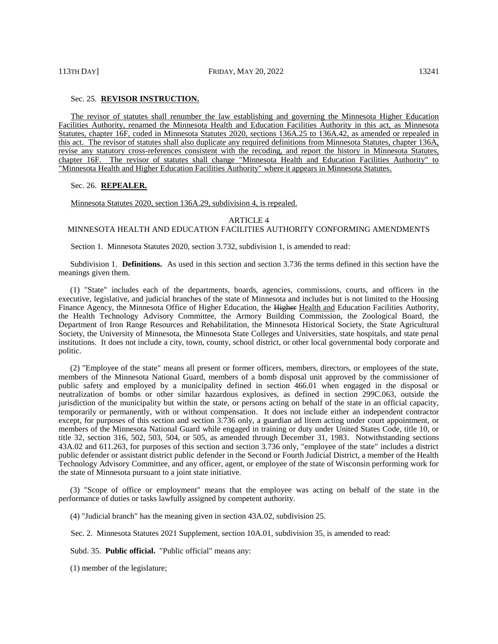# Sec. 25. **REVISOR INSTRUCTION.**

The revisor of statutes shall renumber the law establishing and governing the Minnesota Higher Education Facilities Authority, renamed the Minnesota Health and Education Facilities Authority in this act, as Minnesota Statutes, chapter 16F, coded in Minnesota Statutes 2020, sections 136A.25 to 136A.42, as amended or repealed in this act. The revisor of statutes shall also duplicate any required definitions from Minnesota Statutes, chapter 136A, revise any statutory cross-references consistent with the recoding, and report the history in Minnesota Statutes, chapter 16F. The revisor of statutes shall change "Minnesota Health and Education Facilities Authority" to "Minnesota Health and Higher Education Facilities Authority" where it appears in Minnesota Statutes.

### Sec. 26. **REPEALER.**

Minnesota Statutes 2020, section 136A.29, subdivision 4, is repealed.

### ARTICLE 4

# MINNESOTA HEALTH AND EDUCATION FACILITIES AUTHORITY CONFORMING AMENDMENTS

Section 1. Minnesota Statutes 2020, section 3.732, subdivision 1, is amended to read:

Subdivision 1. **Definitions.** As used in this section and section 3.736 the terms defined in this section have the meanings given them.

(1) "State" includes each of the departments, boards, agencies, commissions, courts, and officers in the executive, legislative, and judicial branches of the state of Minnesota and includes but is not limited to the Housing Finance Agency, the Minnesota Office of Higher Education, the Higher Health and Education Facilities Authority, the Health Technology Advisory Committee, the Armory Building Commission, the Zoological Board, the Department of Iron Range Resources and Rehabilitation, the Minnesota Historical Society, the State Agricultural Society, the University of Minnesota, the Minnesota State Colleges and Universities, state hospitals, and state penal institutions. It does not include a city, town, county, school district, or other local governmental body corporate and politic.

(2) "Employee of the state" means all present or former officers, members, directors, or employees of the state, members of the Minnesota National Guard, members of a bomb disposal unit approved by the commissioner of public safety and employed by a municipality defined in section 466.01 when engaged in the disposal or neutralization of bombs or other similar hazardous explosives, as defined in section 299C.063, outside the jurisdiction of the municipality but within the state, or persons acting on behalf of the state in an official capacity, temporarily or permanently, with or without compensation. It does not include either an independent contractor except, for purposes of this section and section 3.736 only, a guardian ad litem acting under court appointment, or members of the Minnesota National Guard while engaged in training or duty under United States Code, title 10, or title 32, section 316, 502, 503, 504, or 505, as amended through December 31, 1983. Notwithstanding sections 43A.02 and 611.263, for purposes of this section and section 3.736 only, "employee of the state" includes a district public defender or assistant district public defender in the Second or Fourth Judicial District, a member of the Health Technology Advisory Committee, and any officer, agent, or employee of the state of Wisconsin performing work for the state of Minnesota pursuant to a joint state initiative.

(3) "Scope of office or employment" means that the employee was acting on behalf of the state in the performance of duties or tasks lawfully assigned by competent authority.

(4) "Judicial branch" has the meaning given in section 43A.02, subdivision 25.

Sec. 2. Minnesota Statutes 2021 Supplement, section 10A.01, subdivision 35, is amended to read:

Subd. 35. **Public official.** "Public official" means any:

(1) member of the legislature;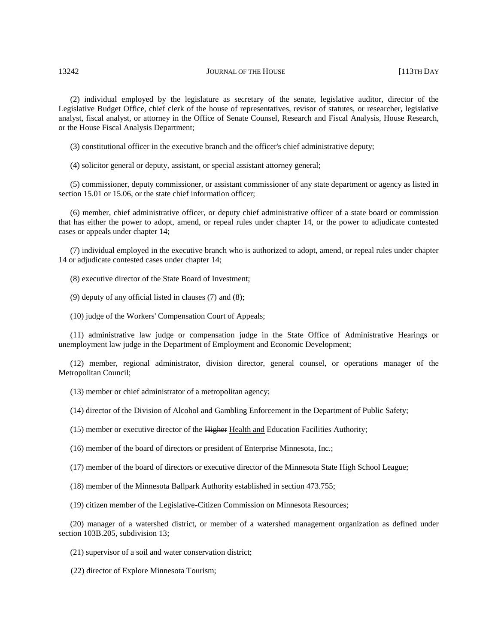(2) individual employed by the legislature as secretary of the senate, legislative auditor, director of the Legislative Budget Office, chief clerk of the house of representatives, revisor of statutes, or researcher, legislative analyst, fiscal analyst, or attorney in the Office of Senate Counsel, Research and Fiscal Analysis, House Research, or the House Fiscal Analysis Department;

(3) constitutional officer in the executive branch and the officer's chief administrative deputy;

(4) solicitor general or deputy, assistant, or special assistant attorney general;

(5) commissioner, deputy commissioner, or assistant commissioner of any state department or agency as listed in section 15.01 or 15.06, or the state chief information officer:

(6) member, chief administrative officer, or deputy chief administrative officer of a state board or commission that has either the power to adopt, amend, or repeal rules under chapter 14, or the power to adjudicate contested cases or appeals under chapter 14;

(7) individual employed in the executive branch who is authorized to adopt, amend, or repeal rules under chapter 14 or adjudicate contested cases under chapter 14;

(8) executive director of the State Board of Investment;

(9) deputy of any official listed in clauses (7) and (8);

(10) judge of the Workers' Compensation Court of Appeals;

(11) administrative law judge or compensation judge in the State Office of Administrative Hearings or unemployment law judge in the Department of Employment and Economic Development;

(12) member, regional administrator, division director, general counsel, or operations manager of the Metropolitan Council;

(13) member or chief administrator of a metropolitan agency;

(14) director of the Division of Alcohol and Gambling Enforcement in the Department of Public Safety;

(15) member or executive director of the Higher Health and Education Facilities Authority;

(16) member of the board of directors or president of Enterprise Minnesota, Inc.;

(17) member of the board of directors or executive director of the Minnesota State High School League;

(18) member of the Minnesota Ballpark Authority established in section 473.755;

(19) citizen member of the Legislative-Citizen Commission on Minnesota Resources;

(20) manager of a watershed district, or member of a watershed management organization as defined under section 103B.205, subdivision 13;

(21) supervisor of a soil and water conservation district;

(22) director of Explore Minnesota Tourism;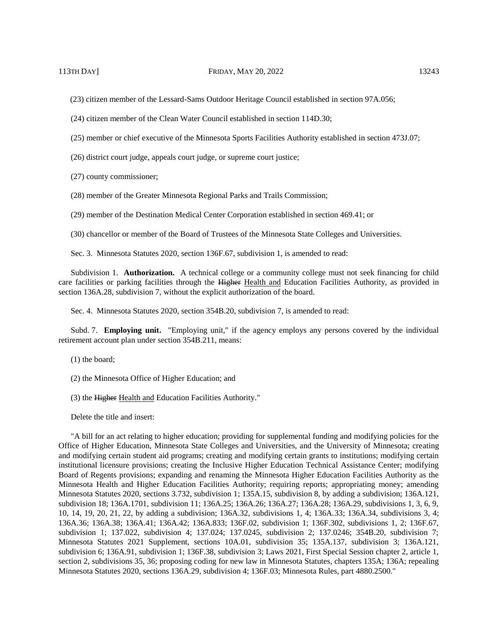(23) citizen member of the Lessard-Sams Outdoor Heritage Council established in section 97A.056;

(24) citizen member of the Clean Water Council established in section 114D.30;

(25) member or chief executive of the Minnesota Sports Facilities Authority established in section 473J.07;

(26) district court judge, appeals court judge, or supreme court justice;

(27) county commissioner;

(28) member of the Greater Minnesota Regional Parks and Trails Commission;

(29) member of the Destination Medical Center Corporation established in section 469.41; or

(30) chancellor or member of the Board of Trustees of the Minnesota State Colleges and Universities.

Sec. 3. Minnesota Statutes 2020, section 136F.67, subdivision 1, is amended to read:

Subdivision 1. **Authorization.** A technical college or a community college must not seek financing for child care facilities or parking facilities through the Higher Health and Education Facilities Authority, as provided in section 136A.28, subdivision 7, without the explicit authorization of the board.

Sec. 4. Minnesota Statutes 2020, section 354B.20, subdivision 7, is amended to read:

Subd. 7. **Employing unit.** "Employing unit," if the agency employs any persons covered by the individual retirement account plan under section 354B.211, means:

- (1) the board;
- (2) the Minnesota Office of Higher Education; and
- (3) the Higher Health and Education Facilities Authority."

Delete the title and insert:

"A bill for an act relating to higher education; providing for supplemental funding and modifying policies for the Office of Higher Education, Minnesota State Colleges and Universities, and the University of Minnesota; creating and modifying certain student aid programs; creating and modifying certain grants to institutions; modifying certain institutional licensure provisions; creating the Inclusive Higher Education Technical Assistance Center; modifying Board of Regents provisions; expanding and renaming the Minnesota Higher Education Facilities Authority as the Minnesota Health and Higher Education Facilities Authority; requiring reports; appropriating money; amending Minnesota Statutes 2020, sections 3.732, subdivision 1; 135A.15, subdivision 8, by adding a subdivision; 136A.121, subdivision 18; 136A.1701, subdivision 11; 136A.25; 136A.26; 136A.27; 136A.28; 136A.29, subdivisions 1, 3, 6, 9, 10, 14, 19, 20, 21, 22, by adding a subdivision; 136A.32, subdivisions 1, 4; 136A.33; 136A.34, subdivisions 3, 4; 136A.36; 136A.38; 136A.41; 136A.42; 136A.833; 136F.02, subdivision 1; 136F.302, subdivisions 1, 2; 136F.67, subdivision 1; 137.022, subdivision 4; 137.024; 137.0245, subdivision 2; 137.0246; 354B.20, subdivision 7; Minnesota Statutes 2021 Supplement, sections 10A.01, subdivision 35; 135A.137, subdivision 3; 136A.121, subdivision 6; 136A.91, subdivision 1; 136F.38, subdivision 3; Laws 2021, First Special Session chapter 2, article 1, section 2, subdivisions 35, 36; proposing coding for new law in Minnesota Statutes, chapters 135A; 136A; repealing Minnesota Statutes 2020, sections 136A.29, subdivision 4; 136F.03; Minnesota Rules, part 4880.2500."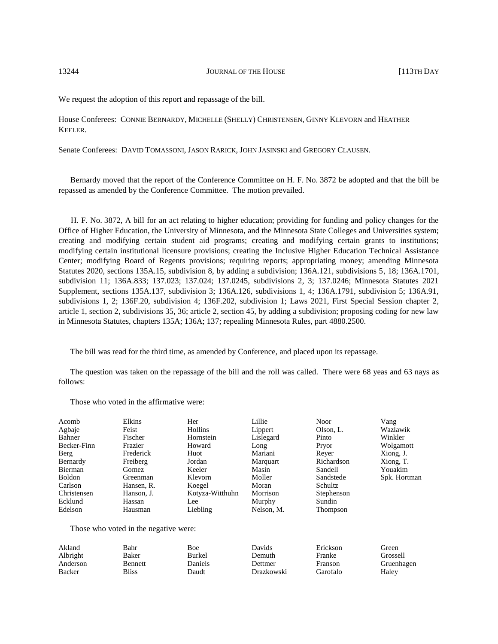We request the adoption of this report and repassage of the bill.

House Conferees: CONNIE BERNARDY, MICHELLE (SHELLY) CHRISTENSEN, GINNY KLEVORN and HEATHER KEELER.

Senate Conferees: DAVID TOMASSONI, JASON RARICK, JOHN JASINSKI and GREGORY CLAUSEN.

Bernardy moved that the report of the Conference Committee on H. F. No. 3872 be adopted and that the bill be repassed as amended by the Conference Committee. The motion prevailed.

H. F. No. 3872, A bill for an act relating to higher education; providing for funding and policy changes for the Office of Higher Education, the University of Minnesota, and the Minnesota State Colleges and Universities system; creating and modifying certain student aid programs; creating and modifying certain grants to institutions; modifying certain institutional licensure provisions; creating the Inclusive Higher Education Technical Assistance Center; modifying Board of Regents provisions; requiring reports; appropriating money; amending Minnesota Statutes 2020, sections 135A.15, subdivision 8, by adding a subdivision; 136A.121, subdivisions 5, 18; 136A.1701, subdivision 11; 136A.833; 137.023; 137.024; 137.0245, subdivisions 2, 3; 137.0246; Minnesota Statutes 2021 Supplement, sections 135A.137, subdivision 3; 136A.126, subdivisions 1, 4; 136A.1791, subdivision 5; 136A.91, subdivisions 1, 2; 136F.20, subdivision 4; 136F.202, subdivision 1; Laws 2021, First Special Session chapter 2, article 1, section 2, subdivisions 35, 36; article 2, section 45, by adding a subdivision; proposing coding for new law in Minnesota Statutes, chapters 135A; 136A; 137; repealing Minnesota Rules, part 4880.2500.

The bill was read for the third time, as amended by Conference, and placed upon its repassage.

The question was taken on the repassage of the bill and the roll was called. There were 68 yeas and 63 nays as follows:

Those who voted in the affirmative were:

| Acomb       | Elkins     | Her             | Lillie     | Noor       | Vang         |
|-------------|------------|-----------------|------------|------------|--------------|
| Agbaje      | Feist      | Hollins         | Lippert    | Olson, L.  | Wazlawik     |
| Bahner      | Fischer    | Hornstein       | Lislegard  | Pinto      | Winkler      |
| Becker-Finn | Frazier    | Howard          | Long       | Pryor      | Wolgamott    |
| Berg        | Frederick  | Huot            | Mariani    | Rever      | Xiong, J.    |
| Bernardy    | Freiberg   | Jordan          | Marquart   | Richardson | Xiong, T.    |
| Bierman     | Gomez      | Keeler          | Masin      | Sandell    | Youakim      |
| Boldon      | Greenman   | Klevorn         | Moller     | Sandstede  | Spk. Hortman |
| Carlson     | Hansen, R. | Koegel          | Moran      | Schultz    |              |
| Christensen | Hanson, J. | Kotyza-Witthuhn | Morrison   | Stephenson |              |
| Ecklund     | Hassan     | Lee             | Murphy     | Sundin     |              |
| Edelson     | Hausman    | Liebling        | Nelson, M. | Thompson   |              |
|             |            |                 |            |            |              |

Those who voted in the negative were:

| Akland   | Bahr           | Boe     | Davids         | Erickson | Green)     |
|----------|----------------|---------|----------------|----------|------------|
| Albright | Baker          | Burkel  | Demuth         | Franke   | Grossell   |
| Anderson | <b>Bennett</b> | Daniels | <b>Dettmer</b> | Franson  | Gruenhagen |
| Backer   | Bliss          | Daudt   | Drazkowski     | Garofalo | Haley      |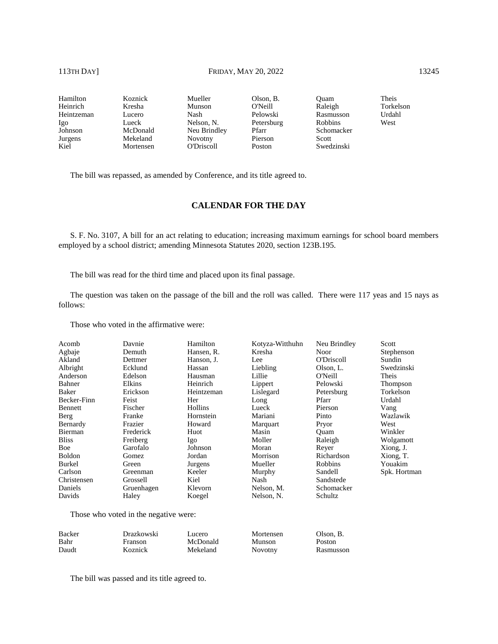Hamilton Heinrich Heintzeman Igo Johnson Jurgens Kiel Koznick Kresha Lucero Lueck McDonald Mekeland Mortensen Mueller Munson Nash Nelson, N. Neu Brindley Novotny O'Driscoll Olson, B. O'Neill Pelowski Petersburg Pfarr Pierson Poston Quam Raleigh Rasmusson Robbins Schomacker Scott Swedzinski Theis Torkelson Urdahl West

The bill was repassed, as amended by Conference, and its title agreed to.

# **CALENDAR FOR THE DAY**

S. F. No. 3107, A bill for an act relating to education; increasing maximum earnings for school board members employed by a school district; amending Minnesota Statutes 2020, section 123B.195.

The bill was read for the third time and placed upon its final passage.

The question was taken on the passage of the bill and the roll was called. There were 117 yeas and 15 nays as follows:

Those who voted in the affirmative were:

| Acomb         | Davnie                                | Hamilton   | Kotyza-Witthuhn | Neu Brindley | Scott        |
|---------------|---------------------------------------|------------|-----------------|--------------|--------------|
| Agbaje        | Demuth                                | Hansen, R. | Kresha          | Noor         | Stephenson   |
| Akland        | Dettmer                               | Hanson, J. | Lee             | O'Driscoll   | Sundin       |
| Albright      | Ecklund                               | Hassan     | Liebling        | Olson, L.    | Swedzinski   |
| Anderson      | Edelson                               | Hausman    | Lillie          | O'Neill      | Theis        |
| Bahner        | Elkins                                | Heinrich   | Lippert         | Pelowski     | Thompson     |
| Baker         | Erickson                              | Heintzeman | Lislegard       | Petersburg   | Torkelson    |
| Becker-Finn   | Feist                                 | Her        | Long            | Pfarr        | Urdahl       |
| Bennett       | Fischer                               | Hollins    | Lueck           | Pierson      | Vang         |
| Berg          | Franke                                | Hornstein  | Mariani         | Pinto        | Wazlawik     |
| Bernardy      | Frazier                               | Howard     | Marquart        | Pryor        | West         |
| Bierman       | Frederick                             | Huot       | Masin           | Ouam         | Winkler      |
| <b>Bliss</b>  | Freiberg                              | Igo        | Moller          | Raleigh      | Wolgamott    |
| Boe           | Garofalo                              | Johnson    | Moran           | Reyer        | Xiong, J.    |
| <b>Boldon</b> | Gomez                                 | Jordan     | Morrison        | Richardson   | Xiong, T.    |
| Burkel        | Green                                 | Jurgens    | Mueller         | Robbins      | Youakim      |
| Carlson       | Greenman                              | Keeler     | Murphy          | Sandell      | Spk. Hortman |
| Christensen   | Grossell                              | Kiel       | Nash            | Sandstede    |              |
| Daniels       | Gruenhagen                            | Klevorn    | Nelson, M.      | Schomacker   |              |
| Davids        | Haley                                 | Koegel     | Nelson, N.      | Schultz      |              |
|               | Those who voted in the negative were: |            |                 |              |              |

Backer Bahr Daudt Drazkowski Franson Koznick Lucero McDonald Mekeland Mortensen Munson Novotny Olson, B. Poston Rasmusson

The bill was passed and its title agreed to.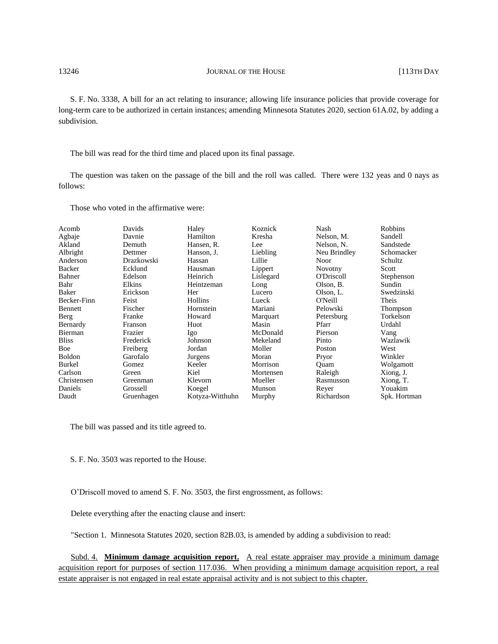S. F. No. 3338, A bill for an act relating to insurance; allowing life insurance policies that provide coverage for long-term care to be authorized in certain instances; amending Minnesota Statutes 2020, section 61A.02, by adding a subdivision.

The bill was read for the third time and placed upon its final passage.

The question was taken on the passage of the bill and the roll was called. There were 132 yeas and 0 nays as follows:

Those who voted in the affirmative were:

| Acomb         | Davids     | Haley           | Koznick   | Nash         | <b>Robbins</b> |
|---------------|------------|-----------------|-----------|--------------|----------------|
| Agbaje        | Davnie     | Hamilton        | Kresha    | Nelson, M.   | Sandell        |
| Akland        | Demuth     | Hansen, R.      | Lee       | Nelson, N.   | Sandstede      |
| Albright      | Dettmer    | Hanson, J.      | Liebling  | Neu Brindley | Schomacker     |
| Anderson      | Drazkowski | Hassan          | Lillie    | Noor         | Schultz        |
| Backer        | Ecklund    | Hausman         | Lippert   | Novotny      | Scott          |
| Bahner        | Edelson    | Heinrich        | Lislegard | O'Driscoll   | Stephenson     |
| Bahr          | Elkins     | Heintzeman      | Long      | Olson, B.    | Sundin         |
| Baker         | Erickson   | Her             | Lucero    | Olson, L.    | Swedzinski     |
| Becker-Finn   | Feist      | Hollins         | Lueck     | O'Neill      | Theis          |
| Bennett       | Fischer    | Hornstein       | Mariani   | Pelowski     | Thompson       |
| Berg          | Franke     | Howard          | Marquart  | Petersburg   | Torkelson      |
| Bernardy      | Franson    | Huot            | Masin     | Pfarr        | Urdahl         |
| Bierman       | Frazier    | Igo             | McDonald  | Pierson      | Vang           |
| <b>Bliss</b>  | Frederick  | Johnson         | Mekeland  | Pinto        | Wazlawik       |
| Boe           | Freiberg   | Jordan          | Moller    | Poston       | West           |
| Boldon        | Garofalo   | Jurgens         | Moran     | Pryor        | Winkler        |
| <b>Burkel</b> | Gomez      | Keeler          | Morrison  | Ouam         | Wolgamott      |
| Carlson       | Green      | Kiel            | Mortensen | Raleigh      | Xiong, J.      |
| Christensen   | Greenman   | Klevorn         | Mueller   | Rasmusson    | Xiong, T.      |
| Daniels       | Grossell   | Koegel          | Munson    | Reyer        | Youakim        |
| Daudt         | Gruenhagen | Kotyza-Witthuhn | Murphy    | Richardson   | Spk. Hortman   |

The bill was passed and its title agreed to.

S. F. No. 3503 was reported to the House.

O'Driscoll moved to amend S. F. No. 3503, the first engrossment, as follows:

Delete everything after the enacting clause and insert:

"Section 1. Minnesota Statutes 2020, section 82B.03, is amended by adding a subdivision to read:

Subd. 4. **Minimum damage acquisition report.** A real estate appraiser may provide a minimum damage acquisition report for purposes of section 117.036. When providing a minimum damage acquisition report, a real estate appraiser is not engaged in real estate appraisal activity and is not subject to this chapter.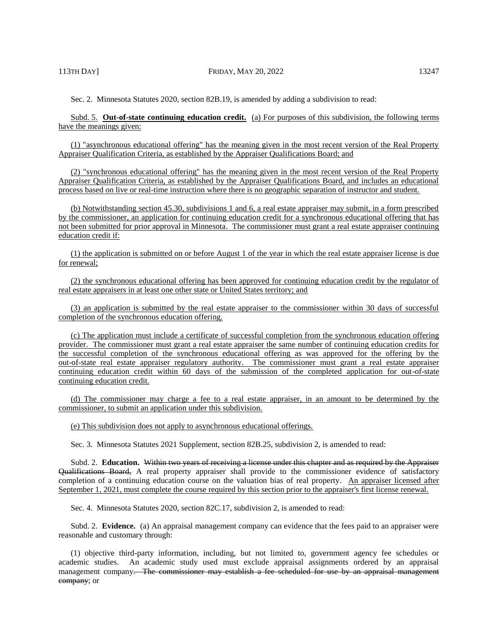Subd. 5. **Out-of-state continuing education credit.** (a) For purposes of this subdivision, the following terms have the meanings given:

(1) "asynchronous educational offering" has the meaning given in the most recent version of the Real Property Appraiser Qualification Criteria, as established by the Appraiser Qualifications Board; and

(2) "synchronous educational offering" has the meaning given in the most recent version of the Real Property Appraiser Qualification Criteria, as established by the Appraiser Qualifications Board, and includes an educational process based on live or real-time instruction where there is no geographic separation of instructor and student.

(b) Notwithstanding section 45.30, subdivisions 1 and 6, a real estate appraiser may submit, in a form prescribed by the commissioner, an application for continuing education credit for a synchronous educational offering that has not been submitted for prior approval in Minnesota. The commissioner must grant a real estate appraiser continuing education credit if:

(1) the application is submitted on or before August 1 of the year in which the real estate appraiser license is due for renewal;

(2) the synchronous educational offering has been approved for continuing education credit by the regulator of real estate appraisers in at least one other state or United States territory; and

(3) an application is submitted by the real estate appraiser to the commissioner within 30 days of successful completion of the synchronous education offering.

(c) The application must include a certificate of successful completion from the synchronous education offering provider. The commissioner must grant a real estate appraiser the same number of continuing education credits for the successful completion of the synchronous educational offering as was approved for the offering by the out-of-state real estate appraiser regulatory authority. The commissioner must grant a real estate appraiser continuing education credit within 60 days of the submission of the completed application for out-of-state continuing education credit.

(d) The commissioner may charge a fee to a real estate appraiser, in an amount to be determined by the commissioner, to submit an application under this subdivision.

(e) This subdivision does not apply to asynchronous educational offerings.

Sec. 3. Minnesota Statutes 2021 Supplement, section 82B.25, subdivision 2, is amended to read:

Subd. 2. **Education.** Within two years of receiving a license under this chapter and as required by the Appraiser Qualifications Board, A real property appraiser shall provide to the commissioner evidence of satisfactory completion of a continuing education course on the valuation bias of real property. An appraiser licensed after September 1, 2021, must complete the course required by this section prior to the appraiser's first license renewal.

Sec. 4. Minnesota Statutes 2020, section 82C.17, subdivision 2, is amended to read:

Subd. 2. **Evidence.** (a) An appraisal management company can evidence that the fees paid to an appraiser were reasonable and customary through:

(1) objective third-party information, including, but not limited to, government agency fee schedules or academic studies. An academic study used must exclude appraisal assignments ordered by an appraisal management company. The commissioner may establish a fee scheduled for use by an appraisal management company; or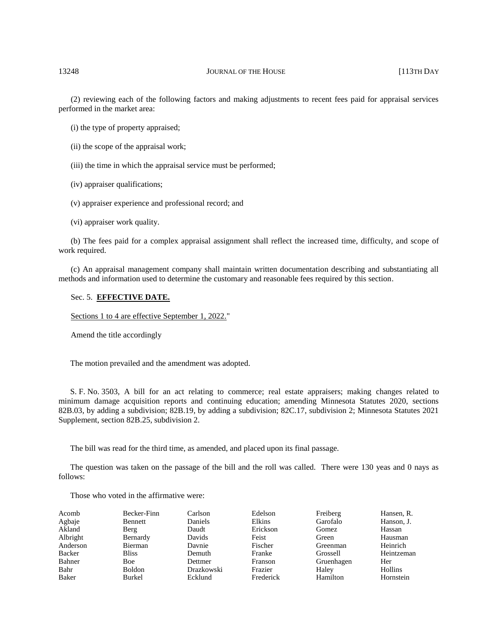(2) reviewing each of the following factors and making adjustments to recent fees paid for appraisal services performed in the market area:

(i) the type of property appraised;

(ii) the scope of the appraisal work;

(iii) the time in which the appraisal service must be performed;

(iv) appraiser qualifications;

(v) appraiser experience and professional record; and

(vi) appraiser work quality.

(b) The fees paid for a complex appraisal assignment shall reflect the increased time, difficulty, and scope of work required.

(c) An appraisal management company shall maintain written documentation describing and substantiating all methods and information used to determine the customary and reasonable fees required by this section.

# Sec. 5. **EFFECTIVE DATE.**

Sections 1 to 4 are effective September 1, 2022."

Amend the title accordingly

The motion prevailed and the amendment was adopted.

S. F. No. 3503, A bill for an act relating to commerce; real estate appraisers; making changes related to minimum damage acquisition reports and continuing education; amending Minnesota Statutes 2020, sections 82B.03, by adding a subdivision; 82B.19, by adding a subdivision; 82C.17, subdivision 2; Minnesota Statutes 2021 Supplement, section 82B.25, subdivision 2.

The bill was read for the third time, as amended, and placed upon its final passage.

The question was taken on the passage of the bill and the roll was called. There were 130 yeas and 0 nays as follows:

Those who voted in the affirmative were:

| Acomb    | Becker-Finn   | Carlson    | Edelson        | Freiberg   | Hansen, R. |
|----------|---------------|------------|----------------|------------|------------|
| Agbaje   | Bennett       | Daniels    | Elkins         | Garofalo   | Hanson, J. |
| Akland   | Berg          | Daudt      | Erickson       | Gomez      | Hassan     |
| Albright | Bernardy      | Davids     | Feist          | Green      | Hausman    |
| Anderson | Bierman       | Davnie     | Fischer        | Greenman   | Heinrich   |
| Backer   | <b>Bliss</b>  | Demuth     | Franke         | Grossell   | Heintzeman |
| Bahner   | <b>Boe</b>    | Dettmer    | <b>Franson</b> | Gruenhagen | Her        |
| Bahr     | <b>Boldon</b> | Drazkowski | Frazier        | Haley      | Hollins    |
| Baker    | <b>Burkel</b> | Ecklund    | Frederick      | Hamilton   | Hornstein  |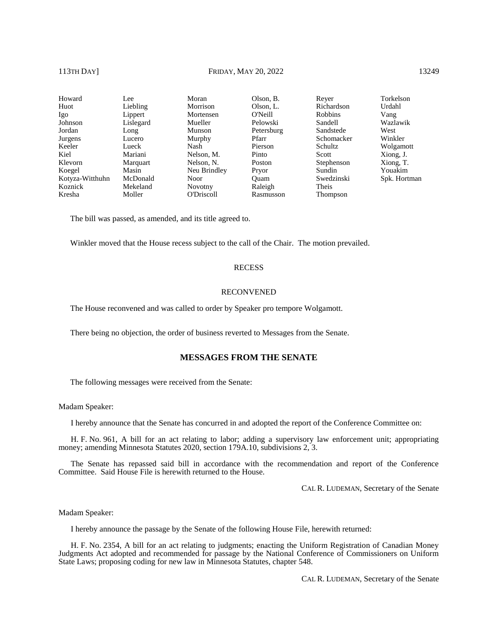# 113TH DAY] **FRIDAY, MAY 20, 2022** 13249

| Howard          | Lee       | Moran             | Olson, B.  | Rever          | Torkelson    |
|-----------------|-----------|-------------------|------------|----------------|--------------|
| Huot            | Liebling  | Morrison          | Olson, L.  | Richardson     | Urdahl       |
| Igo             | Lippert   | Mortensen         | O'Neill    | <b>Robbins</b> | Vang         |
| Johnson         | Lislegard | Mueller           | Pelowski   | Sandell        | Wazlawik     |
| Jordan          | Long      | Munson            | Petersburg | Sandstede      | West         |
| Jurgens         | Lucero    | Murphy            | Pfarr      | Schomacker     | Winkler      |
| Keeler          | Lueck     | Nash              | Pierson    | Schultz        | Wolgamott    |
| Kiel            | Mariani   | Nelson, M.        | Pinto      | <b>Scott</b>   | Xiong, J.    |
| Klevorn         | Marquart  | Nelson, N.        | Poston     | Stephenson     | Xiong, T.    |
| Koegel          | Masin     | Neu Brindley      | Pryor      | Sundin         | Youakim      |
| Kotyza-Witthuhn | McDonald  | <b>Noor</b>       | Ouam       | Swedzinski     | Spk. Hortman |
| Koznick         | Mekeland  | <b>Novotny</b>    | Raleigh    | Theis          |              |
| Kresha          | Moller    | <b>O'Driscoll</b> | Rasmusson  | Thompson       |              |

The bill was passed, as amended, and its title agreed to.

Winkler moved that the House recess subject to the call of the Chair. The motion prevailed.

### **RECESS**

### RECONVENED

The House reconvened and was called to order by Speaker pro tempore Wolgamott.

There being no objection, the order of business reverted to Messages from the Senate.

# **MESSAGES FROM THE SENATE**

The following messages were received from the Senate:

### Madam Speaker:

I hereby announce that the Senate has concurred in and adopted the report of the Conference Committee on:

H. F. No. 961, A bill for an act relating to labor; adding a supervisory law enforcement unit; appropriating money; amending Minnesota Statutes 2020, section 179A.10, subdivisions 2, 3.

The Senate has repassed said bill in accordance with the recommendation and report of the Conference Committee. Said House File is herewith returned to the House.

CAL R. LUDEMAN, Secretary of the Senate

Madam Speaker:

I hereby announce the passage by the Senate of the following House File, herewith returned:

H. F. No. 2354, A bill for an act relating to judgments; enacting the Uniform Registration of Canadian Money Judgments Act adopted and recommended for passage by the National Conference of Commissioners on Uniform State Laws; proposing coding for new law in Minnesota Statutes, chapter 548.

CAL R. LUDEMAN, Secretary of the Senate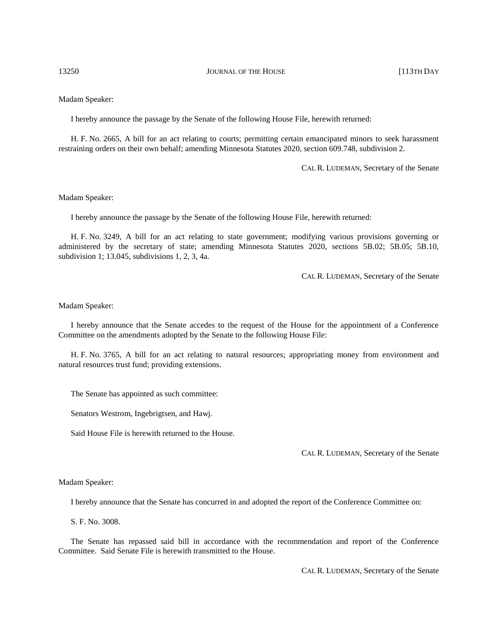### Madam Speaker:

I hereby announce the passage by the Senate of the following House File, herewith returned:

H. F. No. 2665, A bill for an act relating to courts; permitting certain emancipated minors to seek harassment restraining orders on their own behalf; amending Minnesota Statutes 2020, section 609.748, subdivision 2.

CAL R. LUDEMAN, Secretary of the Senate

### Madam Speaker:

I hereby announce the passage by the Senate of the following House File, herewith returned:

H. F. No. 3249, A bill for an act relating to state government; modifying various provisions governing or administered by the secretary of state; amending Minnesota Statutes 2020, sections 5B.02; 5B.05; 5B.10, subdivision 1; 13.045, subdivisions 1, 2, 3, 4a.

CAL R. LUDEMAN, Secretary of the Senate

### Madam Speaker:

I hereby announce that the Senate accedes to the request of the House for the appointment of a Conference Committee on the amendments adopted by the Senate to the following House File:

H. F. No. 3765, A bill for an act relating to natural resources; appropriating money from environment and natural resources trust fund; providing extensions.

The Senate has appointed as such committee:

Senators Westrom, Ingebrigtsen, and Hawj.

Said House File is herewith returned to the House.

CAL R. LUDEMAN, Secretary of the Senate

### Madam Speaker:

I hereby announce that the Senate has concurred in and adopted the report of the Conference Committee on:

S. F. No. 3008.

The Senate has repassed said bill in accordance with the recommendation and report of the Conference Committee. Said Senate File is herewith transmitted to the House.

CAL R. LUDEMAN, Secretary of the Senate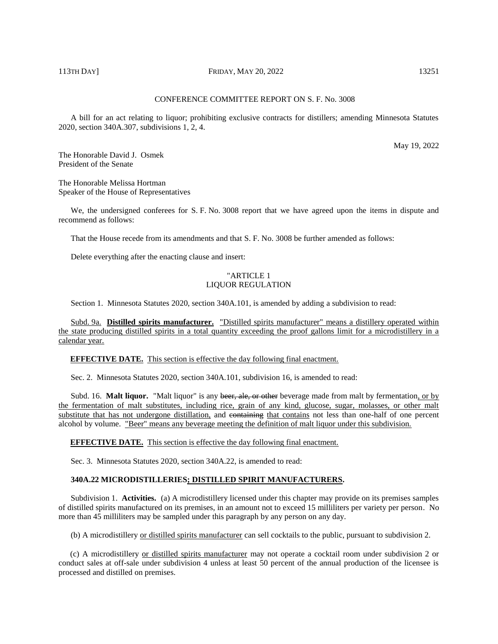# 113TH DAY] **FRIDAY, MAY 20, 2022** 13251

# CONFERENCE COMMITTEE REPORT ON S. F. No. 3008

A bill for an act relating to liquor; prohibiting exclusive contracts for distillers; amending Minnesota Statutes 2020, section 340A.307, subdivisions 1, 2, 4.

May 19, 2022

The Honorable David J. Osmek President of the Senate

The Honorable Melissa Hortman Speaker of the House of Representatives

We, the undersigned conferees for S. F. No. 3008 report that we have agreed upon the items in dispute and recommend as follows:

That the House recede from its amendments and that S. F. No. 3008 be further amended as follows:

Delete everything after the enacting clause and insert:

# "ARTICLE 1 LIQUOR REGULATION

Section 1. Minnesota Statutes 2020, section 340A.101, is amended by adding a subdivision to read:

Subd. 9a. **Distilled spirits manufacturer.** "Distilled spirits manufacturer" means a distillery operated within the state producing distilled spirits in a total quantity exceeding the proof gallons limit for a microdistillery in a calendar year.

**EFFECTIVE DATE.** This section is effective the day following final enactment.

Sec. 2. Minnesota Statutes 2020, section 340A.101, subdivision 16, is amended to read:

Subd. 16. **Malt liquor.** "Malt liquor" is any beer, ale, or other beverage made from malt by fermentation, or by the fermentation of malt substitutes, including rice, grain of any kind, glucose, sugar, molasses, or other malt substitute that has not undergone distillation, and containing that contains not less than one-half of one percent alcohol by volume. "Beer" means any beverage meeting the definition of malt liquor under this subdivision.

**EFFECTIVE DATE.** This section is effective the day following final enactment.

Sec. 3. Minnesota Statutes 2020, section 340A.22, is amended to read:

# **340A.22 MICRODISTILLERIES; DISTILLED SPIRIT MANUFACTURERS.**

Subdivision 1. **Activities.** (a) A microdistillery licensed under this chapter may provide on its premises samples of distilled spirits manufactured on its premises, in an amount not to exceed 15 milliliters per variety per person. No more than 45 milliliters may be sampled under this paragraph by any person on any day.

(b) A microdistillery or distilled spirits manufacturer can sell cocktails to the public, pursuant to subdivision 2.

(c) A microdistillery or distilled spirits manufacturer may not operate a cocktail room under subdivision 2 or conduct sales at off-sale under subdivision 4 unless at least 50 percent of the annual production of the licensee is processed and distilled on premises.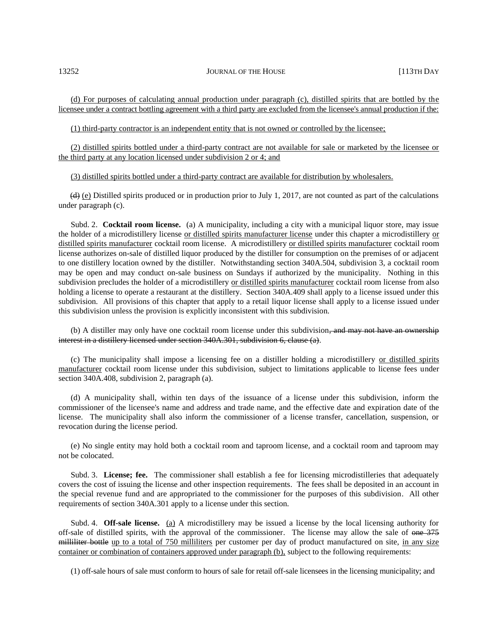(d) For purposes of calculating annual production under paragraph (c), distilled spirits that are bottled by the licensee under a contract bottling agreement with a third party are excluded from the licensee's annual production if the:

(1) third-party contractor is an independent entity that is not owned or controlled by the licensee;

(2) distilled spirits bottled under a third-party contract are not available for sale or marketed by the licensee or the third party at any location licensed under subdivision 2 or 4; and

(3) distilled spirits bottled under a third-party contract are available for distribution by wholesalers.

 $(d)$  (e) Distilled spirits produced or in production prior to July 1, 2017, are not counted as part of the calculations under paragraph (c).

Subd. 2. **Cocktail room license.** (a) A municipality, including a city with a municipal liquor store, may issue the holder of a microdistillery license or distilled spirits manufacturer license under this chapter a microdistillery or distilled spirits manufacturer cocktail room license. A microdistillery or distilled spirits manufacturer cocktail room license authorizes on-sale of distilled liquor produced by the distiller for consumption on the premises of or adjacent to one distillery location owned by the distiller. Notwithstanding section 340A.504, subdivision 3, a cocktail room may be open and may conduct on-sale business on Sundays if authorized by the municipality. Nothing in this subdivision precludes the holder of a microdistillery or distilled spirits manufacturer cocktail room license from also holding a license to operate a restaurant at the distillery. Section 340A.409 shall apply to a license issued under this subdivision. All provisions of this chapter that apply to a retail liquor license shall apply to a license issued under this subdivision unless the provision is explicitly inconsistent with this subdivision.

(b) A distiller may only have one cocktail room license under this subdivision<del>, and may not have an ownership</del> interest in a distillery licensed under section 340A.301, subdivision 6, clause (a).

(c) The municipality shall impose a licensing fee on a distiller holding a microdistillery or distilled spirits manufacturer cocktail room license under this subdivision, subject to limitations applicable to license fees under section 340A.408, subdivision 2, paragraph (a).

(d) A municipality shall, within ten days of the issuance of a license under this subdivision, inform the commissioner of the licensee's name and address and trade name, and the effective date and expiration date of the license. The municipality shall also inform the commissioner of a license transfer, cancellation, suspension, or revocation during the license period.

(e) No single entity may hold both a cocktail room and taproom license, and a cocktail room and taproom may not be colocated.

Subd. 3. **License; fee.** The commissioner shall establish a fee for licensing microdistilleries that adequately covers the cost of issuing the license and other inspection requirements. The fees shall be deposited in an account in the special revenue fund and are appropriated to the commissioner for the purposes of this subdivision. All other requirements of section 340A.301 apply to a license under this section.

Subd. 4. **Off-sale license.** (a) A microdistillery may be issued a license by the local licensing authority for off-sale of distilled spirits, with the approval of the commissioner. The license may allow the sale of one 375 milliliter bottle up to a total of 750 milliliters per customer per day of product manufactured on site, in any size container or combination of containers approved under paragraph (b), subject to the following requirements:

(1) off-sale hours of sale must conform to hours of sale for retail off-sale licensees in the licensing municipality; and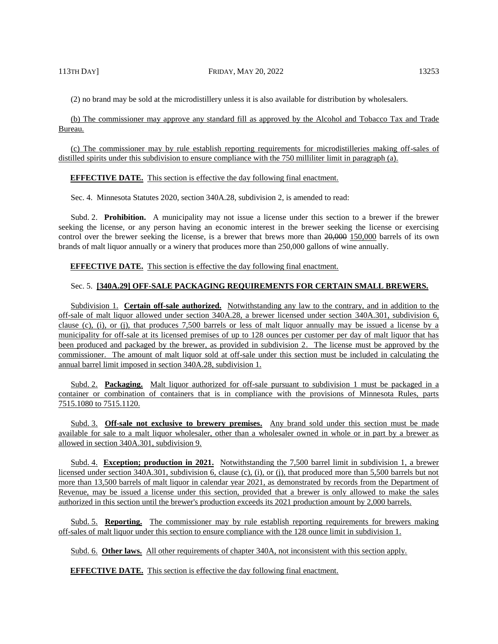(2) no brand may be sold at the microdistillery unless it is also available for distribution by wholesalers.

(b) The commissioner may approve any standard fill as approved by the Alcohol and Tobacco Tax and Trade Bureau.

(c) The commissioner may by rule establish reporting requirements for microdistilleries making off-sales of distilled spirits under this subdivision to ensure compliance with the 750 milliliter limit in paragraph (a).

### **EFFECTIVE DATE.** This section is effective the day following final enactment.

Sec. 4. Minnesota Statutes 2020, section 340A.28, subdivision 2, is amended to read:

Subd. 2. **Prohibition.** A municipality may not issue a license under this section to a brewer if the brewer seeking the license, or any person having an economic interest in the brewer seeking the license or exercising control over the brewer seeking the license, is a brewer that brews more than 20,000 150,000 barrels of its own brands of malt liquor annually or a winery that produces more than 250,000 gallons of wine annually.

**EFFECTIVE DATE.** This section is effective the day following final enactment.

# Sec. 5. **[340A.29] OFF-SALE PACKAGING REQUIREMENTS FOR CERTAIN SMALL BREWERS.**

Subdivision 1. **Certain off-sale authorized.** Notwithstanding any law to the contrary, and in addition to the off-sale of malt liquor allowed under section 340A.28, a brewer licensed under section 340A.301, subdivision 6, clause (c), (i), or (j), that produces 7,500 barrels or less of malt liquor annually may be issued a license by a municipality for off-sale at its licensed premises of up to 128 ounces per customer per day of malt liquor that has been produced and packaged by the brewer, as provided in subdivision 2. The license must be approved by the commissioner. The amount of malt liquor sold at off-sale under this section must be included in calculating the annual barrel limit imposed in section 340A.28, subdivision 1.

Subd. 2. **Packaging.** Malt liquor authorized for off-sale pursuant to subdivision 1 must be packaged in a container or combination of containers that is in compliance with the provisions of Minnesota Rules, parts 7515.1080 to 7515.1120.

Subd. 3. **Off-sale not exclusive to brewery premises.** Any brand sold under this section must be made available for sale to a malt liquor wholesaler, other than a wholesaler owned in whole or in part by a brewer as allowed in section 340A.301, subdivision 9.

Subd. 4. **Exception; production in 2021.** Notwithstanding the 7,500 barrel limit in subdivision 1, a brewer licensed under section 340A.301, subdivision 6, clause (c), (i), or (j), that produced more than 5,500 barrels but not more than 13,500 barrels of malt liquor in calendar year 2021, as demonstrated by records from the Department of Revenue, may be issued a license under this section, provided that a brewer is only allowed to make the sales authorized in this section until the brewer's production exceeds its 2021 production amount by 2,000 barrels.

Subd. 5. **Reporting.** The commissioner may by rule establish reporting requirements for brewers making off-sales of malt liquor under this section to ensure compliance with the 128 ounce limit in subdivision 1.

Subd. 6. **Other laws.** All other requirements of chapter 340A, not inconsistent with this section apply.

**EFFECTIVE DATE.** This section is effective the day following final enactment.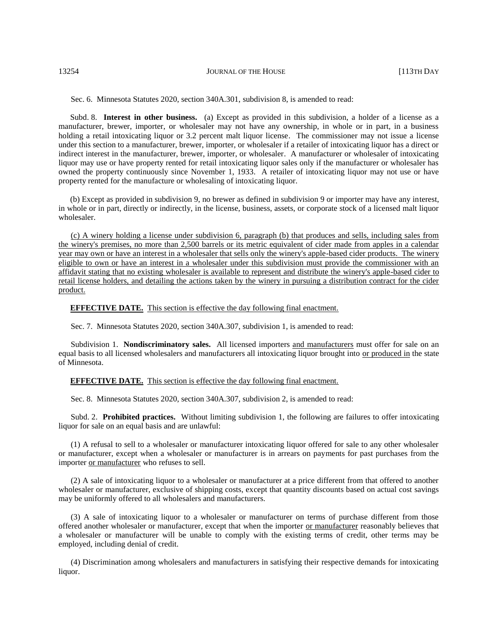Sec. 6. Minnesota Statutes 2020, section 340A.301, subdivision 8, is amended to read:

Subd. 8. **Interest in other business.** (a) Except as provided in this subdivision, a holder of a license as a manufacturer, brewer, importer, or wholesaler may not have any ownership, in whole or in part, in a business holding a retail intoxicating liquor or 3.2 percent malt liquor license. The commissioner may not issue a license under this section to a manufacturer, brewer, importer, or wholesaler if a retailer of intoxicating liquor has a direct or indirect interest in the manufacturer, brewer, importer, or wholesaler. A manufacturer or wholesaler of intoxicating liquor may use or have property rented for retail intoxicating liquor sales only if the manufacturer or wholesaler has owned the property continuously since November 1, 1933. A retailer of intoxicating liquor may not use or have property rented for the manufacture or wholesaling of intoxicating liquor.

(b) Except as provided in subdivision 9, no brewer as defined in subdivision 9 or importer may have any interest, in whole or in part, directly or indirectly, in the license, business, assets, or corporate stock of a licensed malt liquor wholesaler.

(c) A winery holding a license under subdivision 6, paragraph (b) that produces and sells, including sales from the winery's premises, no more than 2,500 barrels or its metric equivalent of cider made from apples in a calendar year may own or have an interest in a wholesaler that sells only the winery's apple-based cider products. The winery eligible to own or have an interest in a wholesaler under this subdivision must provide the commissioner with an affidavit stating that no existing wholesaler is available to represent and distribute the winery's apple-based cider to retail license holders, and detailing the actions taken by the winery in pursuing a distribution contract for the cider product.

**EFFECTIVE DATE.** This section is effective the day following final enactment.

Sec. 7. Minnesota Statutes 2020, section 340A.307, subdivision 1, is amended to read:

Subdivision 1. **Nondiscriminatory sales.** All licensed importers and manufacturers must offer for sale on an equal basis to all licensed wholesalers and manufacturers all intoxicating liquor brought into or produced in the state of Minnesota.

### **EFFECTIVE DATE.** This section is effective the day following final enactment.

Sec. 8. Minnesota Statutes 2020, section 340A.307, subdivision 2, is amended to read:

Subd. 2. **Prohibited practices.** Without limiting subdivision 1, the following are failures to offer intoxicating liquor for sale on an equal basis and are unlawful:

(1) A refusal to sell to a wholesaler or manufacturer intoxicating liquor offered for sale to any other wholesaler or manufacturer, except when a wholesaler or manufacturer is in arrears on payments for past purchases from the importer or manufacturer who refuses to sell.

(2) A sale of intoxicating liquor to a wholesaler or manufacturer at a price different from that offered to another wholesaler or manufacturer, exclusive of shipping costs, except that quantity discounts based on actual cost savings may be uniformly offered to all wholesalers and manufacturers.

(3) A sale of intoxicating liquor to a wholesaler or manufacturer on terms of purchase different from those offered another wholesaler or manufacturer, except that when the importer or manufacturer reasonably believes that a wholesaler or manufacturer will be unable to comply with the existing terms of credit, other terms may be employed, including denial of credit.

(4) Discrimination among wholesalers and manufacturers in satisfying their respective demands for intoxicating liquor.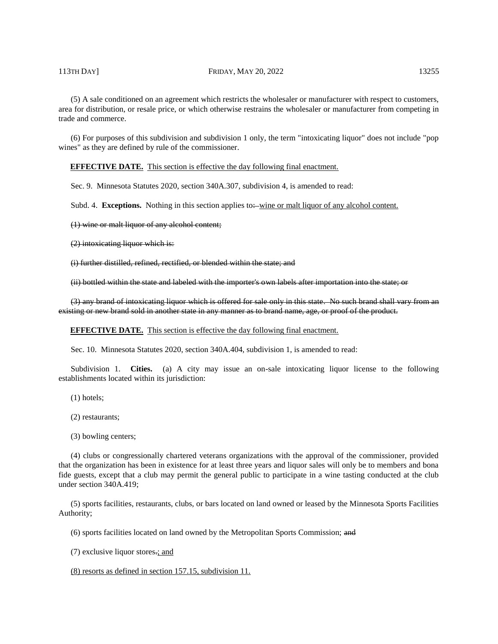### 113TH DAY] **FRIDAY, MAY 20, 2022** 13255

(5) A sale conditioned on an agreement which restricts the wholesaler or manufacturer with respect to customers, area for distribution, or resale price, or which otherwise restrains the wholesaler or manufacturer from competing in trade and commerce.

(6) For purposes of this subdivision and subdivision 1 only, the term "intoxicating liquor" does not include "pop wines" as they are defined by rule of the commissioner.

**EFFECTIVE DATE.** This section is effective the day following final enactment.

Sec. 9. Minnesota Statutes 2020, section 340A.307, subdivision 4, is amended to read:

Subd. 4. **Exceptions.** Nothing in this section applies to:—wine or malt liquor of any alcohol content.

(1) wine or malt liquor of any alcohol content;

(2) intoxicating liquor which is:

(i) further distilled, refined, rectified, or blended within the state; and

(ii) bottled within the state and labeled with the importer's own labels after importation into the state; or

(3) any brand of intoxicating liquor which is offered for sale only in this state. No such brand shall vary from an existing or new brand sold in another state in any manner as to brand name, age, or proof of the product.

**EFFECTIVE DATE.** This section is effective the day following final enactment.

Sec. 10. Minnesota Statutes 2020, section 340A.404, subdivision 1, is amended to read:

Subdivision 1. **Cities.** (a) A city may issue an on-sale intoxicating liquor license to the following establishments located within its jurisdiction:

(1) hotels;

(2) restaurants;

(3) bowling centers;

(4) clubs or congressionally chartered veterans organizations with the approval of the commissioner, provided that the organization has been in existence for at least three years and liquor sales will only be to members and bona fide guests, except that a club may permit the general public to participate in a wine tasting conducted at the club under section 340A.419;

(5) sports facilities, restaurants, clubs, or bars located on land owned or leased by the Minnesota Sports Facilities Authority;

(6) sports facilities located on land owned by the Metropolitan Sports Commission; and

(7) exclusive liquor stores.; and

(8) resorts as defined in section 157.15, subdivision 11.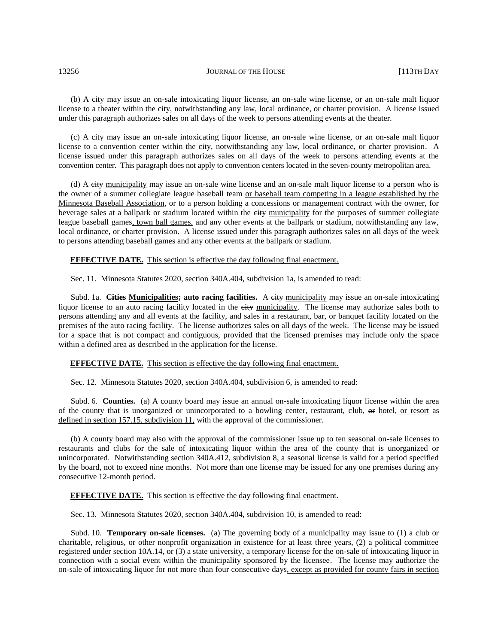(b) A city may issue an on-sale intoxicating liquor license, an on-sale wine license, or an on-sale malt liquor license to a theater within the city, notwithstanding any law, local ordinance, or charter provision. A license issued under this paragraph authorizes sales on all days of the week to persons attending events at the theater.

(c) A city may issue an on-sale intoxicating liquor license, an on-sale wine license, or an on-sale malt liquor license to a convention center within the city, notwithstanding any law, local ordinance, or charter provision. A license issued under this paragraph authorizes sales on all days of the week to persons attending events at the convention center. This paragraph does not apply to convention centers located in the seven-county metropolitan area.

(d) A city municipality may issue an on-sale wine license and an on-sale malt liquor license to a person who is the owner of a summer collegiate league baseball team or baseball team competing in a league established by the Minnesota Baseball Association, or to a person holding a concessions or management contract with the owner, for beverage sales at a ballpark or stadium located within the eity municipality for the purposes of summer collegiate league baseball games, town ball games, and any other events at the ballpark or stadium, notwithstanding any law, local ordinance, or charter provision. A license issued under this paragraph authorizes sales on all days of the week to persons attending baseball games and any other events at the ballpark or stadium.

**EFFECTIVE DATE.** This section is effective the day following final enactment.

Sec. 11. Minnesota Statutes 2020, section 340A.404, subdivision 1a, is amended to read:

Subd. 1a. **Cities Municipalities; auto racing facilities.** A eity municipality may issue an on-sale intoxicating liquor license to an auto racing facility located in the eity municipality. The license may authorize sales both to persons attending any and all events at the facility, and sales in a restaurant, bar, or banquet facility located on the premises of the auto racing facility. The license authorizes sales on all days of the week. The license may be issued for a space that is not compact and contiguous, provided that the licensed premises may include only the space within a defined area as described in the application for the license.

**EFFECTIVE DATE.** This section is effective the day following final enactment.

Sec. 12. Minnesota Statutes 2020, section 340A.404, subdivision 6, is amended to read:

Subd. 6. **Counties.** (a) A county board may issue an annual on-sale intoxicating liquor license within the area of the county that is unorganized or unincorporated to a bowling center, restaurant, club, or hotel, or resort as defined in section 157.15, subdivision 11, with the approval of the commissioner.

(b) A county board may also with the approval of the commissioner issue up to ten seasonal on-sale licenses to restaurants and clubs for the sale of intoxicating liquor within the area of the county that is unorganized or unincorporated. Notwithstanding section 340A.412, subdivision 8, a seasonal license is valid for a period specified by the board, not to exceed nine months. Not more than one license may be issued for any one premises during any consecutive 12-month period.

**EFFECTIVE DATE.** This section is effective the day following final enactment.

Sec. 13. Minnesota Statutes 2020, section 340A.404, subdivision 10, is amended to read:

Subd. 10. **Temporary on-sale licenses.** (a) The governing body of a municipality may issue to (1) a club or charitable, religious, or other nonprofit organization in existence for at least three years, (2) a political committee registered under section 10A.14, or (3) a state university, a temporary license for the on-sale of intoxicating liquor in connection with a social event within the municipality sponsored by the licensee. The license may authorize the on-sale of intoxicating liquor for not more than four consecutive days, except as provided for county fairs in section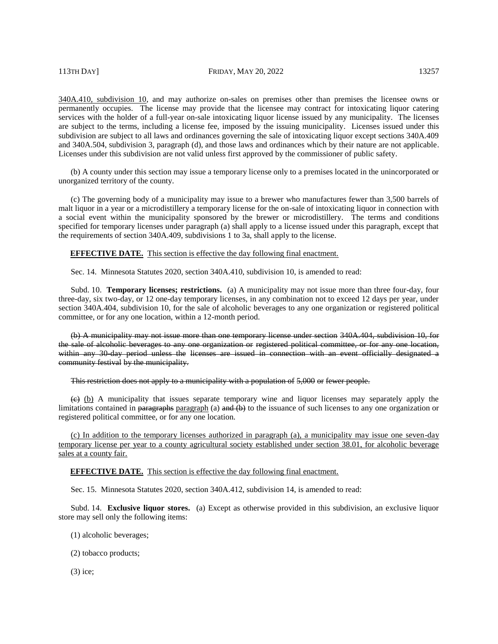340A.410, subdivision 10, and may authorize on-sales on premises other than premises the licensee owns or permanently occupies. The license may provide that the licensee may contract for intoxicating liquor catering services with the holder of a full-year on-sale intoxicating liquor license issued by any municipality. The licenses are subject to the terms, including a license fee, imposed by the issuing municipality. Licenses issued under this subdivision are subject to all laws and ordinances governing the sale of intoxicating liquor except sections 340A.409 and 340A.504, subdivision 3, paragraph (d), and those laws and ordinances which by their nature are not applicable. Licenses under this subdivision are not valid unless first approved by the commissioner of public safety.

(b) A county under this section may issue a temporary license only to a premises located in the unincorporated or unorganized territory of the county.

(c) The governing body of a municipality may issue to a brewer who manufactures fewer than 3,500 barrels of malt liquor in a year or a microdistillery a temporary license for the on-sale of intoxicating liquor in connection with a social event within the municipality sponsored by the brewer or microdistillery. The terms and conditions specified for temporary licenses under paragraph (a) shall apply to a license issued under this paragraph, except that the requirements of section 340A.409, subdivisions 1 to 3a, shall apply to the license.

**EFFECTIVE DATE.** This section is effective the day following final enactment.

Sec. 14. Minnesota Statutes 2020, section 340A.410, subdivision 10, is amended to read:

Subd. 10. **Temporary licenses; restrictions.** (a) A municipality may not issue more than three four-day, four three-day, six two-day, or 12 one-day temporary licenses, in any combination not to exceed 12 days per year, under section 340A.404, subdivision 10, for the sale of alcoholic beverages to any one organization or registered political committee, or for any one location, within a 12-month period.

(b) A municipality may not issue more than one temporary license under section 340A.404, subdivision 10, for the sale of alcoholic beverages to any one organization or registered political committee, or for any one location, within any 30-day period unless the licenses are issued in connection with an event officially designated a community festival by the municipality.

This restriction does not apply to a municipality with a population of 5,000 or fewer people.

 $\leftrightarrow$  (b) A municipality that issues separate temporary wine and liquor licenses may separately apply the limitations contained in paragraphs paragraph (a)  $\theta$  and (b) to the issuance of such licenses to any one organization or registered political committee, or for any one location.

(c) In addition to the temporary licenses authorized in paragraph (a), a municipality may issue one seven-day temporary license per year to a county agricultural society established under section 38.01, for alcoholic beverage sales at a county fair.

**EFFECTIVE DATE.** This section is effective the day following final enactment.

Sec. 15. Minnesota Statutes 2020, section 340A.412, subdivision 14, is amended to read:

Subd. 14. **Exclusive liquor stores.** (a) Except as otherwise provided in this subdivision, an exclusive liquor store may sell only the following items:

- (1) alcoholic beverages;
- (2) tobacco products;

(3) ice;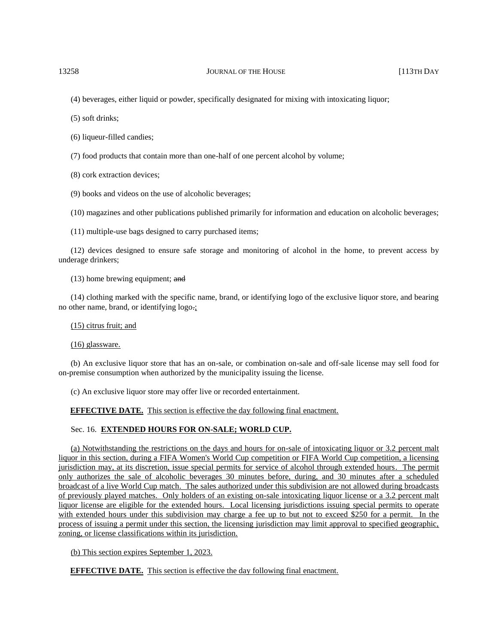(4) beverages, either liquid or powder, specifically designated for mixing with intoxicating liquor;

(5) soft drinks;

(6) liqueur-filled candies;

(7) food products that contain more than one-half of one percent alcohol by volume;

(8) cork extraction devices;

(9) books and videos on the use of alcoholic beverages;

(10) magazines and other publications published primarily for information and education on alcoholic beverages;

(11) multiple-use bags designed to carry purchased items;

(12) devices designed to ensure safe storage and monitoring of alcohol in the home, to prevent access by underage drinkers;

(13) home brewing equipment; and

(14) clothing marked with the specific name, brand, or identifying logo of the exclusive liquor store, and bearing no other name, brand, or identifying logo.;

(15) citrus fruit; and

(16) glassware.

(b) An exclusive liquor store that has an on-sale, or combination on-sale and off-sale license may sell food for on-premise consumption when authorized by the municipality issuing the license.

(c) An exclusive liquor store may offer live or recorded entertainment.

**EFFECTIVE DATE.** This section is effective the day following final enactment.

### Sec. 16. **EXTENDED HOURS FOR ON-SALE; WORLD CUP.**

(a) Notwithstanding the restrictions on the days and hours for on-sale of intoxicating liquor or 3.2 percent malt liquor in this section, during a FIFA Women's World Cup competition or FIFA World Cup competition, a licensing jurisdiction may, at its discretion, issue special permits for service of alcohol through extended hours. The permit only authorizes the sale of alcoholic beverages 30 minutes before, during, and 30 minutes after a scheduled broadcast of a live World Cup match. The sales authorized under this subdivision are not allowed during broadcasts of previously played matches. Only holders of an existing on-sale intoxicating liquor license or a 3.2 percent malt liquor license are eligible for the extended hours. Local licensing jurisdictions issuing special permits to operate with extended hours under this subdivision may charge a fee up to but not to exceed \$250 for a permit. In the process of issuing a permit under this section, the licensing jurisdiction may limit approval to specified geographic, zoning, or license classifications within its jurisdiction.

(b) This section expires September 1, 2023.

**EFFECTIVE DATE.** This section is effective the day following final enactment.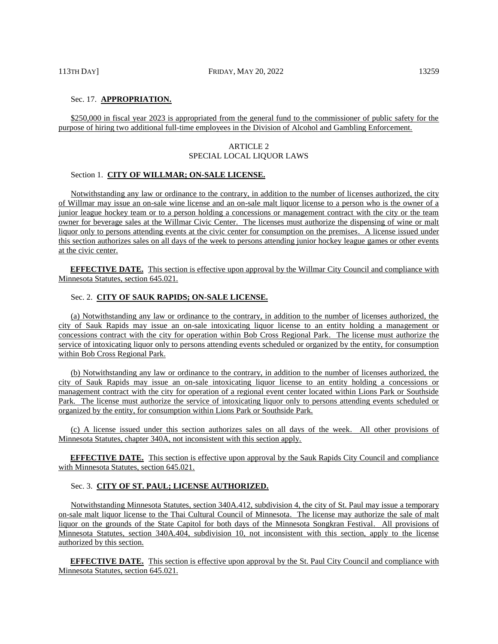# Sec. 17. **APPROPRIATION.**

\$250,000 in fiscal year 2023 is appropriated from the general fund to the commissioner of public safety for the purpose of hiring two additional full-time employees in the Division of Alcohol and Gambling Enforcement.

# ARTICLE 2 SPECIAL LOCAL LIQUOR LAWS

# Section 1. **CITY OF WILLMAR; ON-SALE LICENSE.**

Notwithstanding any law or ordinance to the contrary, in addition to the number of licenses authorized, the city of Willmar may issue an on-sale wine license and an on-sale malt liquor license to a person who is the owner of a junior league hockey team or to a person holding a concessions or management contract with the city or the team owner for beverage sales at the Willmar Civic Center. The licenses must authorize the dispensing of wine or malt liquor only to persons attending events at the civic center for consumption on the premises. A license issued under this section authorizes sales on all days of the week to persons attending junior hockey league games or other events at the civic center.

**EFFECTIVE DATE.** This section is effective upon approval by the Willmar City Council and compliance with Minnesota Statutes, section 645.021.

# Sec. 2. **CITY OF SAUK RAPIDS; ON-SALE LICENSE.**

(a) Notwithstanding any law or ordinance to the contrary, in addition to the number of licenses authorized, the city of Sauk Rapids may issue an on-sale intoxicating liquor license to an entity holding a management or concessions contract with the city for operation within Bob Cross Regional Park. The license must authorize the service of intoxicating liquor only to persons attending events scheduled or organized by the entity, for consumption within Bob Cross Regional Park.

(b) Notwithstanding any law or ordinance to the contrary, in addition to the number of licenses authorized, the city of Sauk Rapids may issue an on-sale intoxicating liquor license to an entity holding a concessions or management contract with the city for operation of a regional event center located within Lions Park or Southside Park. The license must authorize the service of intoxicating liquor only to persons attending events scheduled or organized by the entity, for consumption within Lions Park or Southside Park.

(c) A license issued under this section authorizes sales on all days of the week. All other provisions of Minnesota Statutes, chapter 340A, not inconsistent with this section apply.

**EFFECTIVE DATE.** This section is effective upon approval by the Sauk Rapids City Council and compliance with Minnesota Statutes, section 645.021.

### Sec. 3. **CITY OF ST. PAUL; LICENSE AUTHORIZED.**

Notwithstanding Minnesota Statutes, section 340A.412, subdivision 4, the city of St. Paul may issue a temporary on-sale malt liquor license to the Thai Cultural Council of Minnesota. The license may authorize the sale of malt liquor on the grounds of the State Capitol for both days of the Minnesota Songkran Festival. All provisions of Minnesota Statutes, section 340A.404, subdivision 10, not inconsistent with this section, apply to the license authorized by this section.

**EFFECTIVE DATE.** This section is effective upon approval by the St. Paul City Council and compliance with Minnesota Statutes, section 645.021.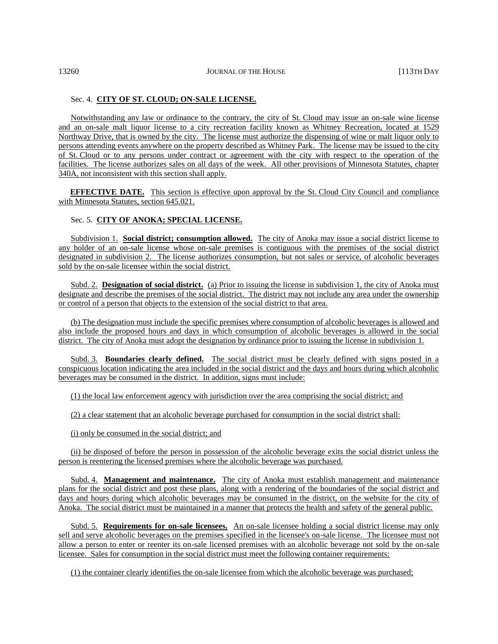# Sec. 4. **CITY OF ST. CLOUD; ON-SALE LICENSE.**

Notwithstanding any law or ordinance to the contrary, the city of St. Cloud may issue an on-sale wine license and an on-sale malt liquor license to a city recreation facility known as Whitney Recreation, located at 1529 Northway Drive, that is owned by the city. The license must authorize the dispensing of wine or malt liquor only to persons attending events anywhere on the property described as Whitney Park. The license may be issued to the city of St. Cloud or to any persons under contract or agreement with the city with respect to the operation of the facilities. The license authorizes sales on all days of the week. All other provisions of Minnesota Statutes, chapter 340A, not inconsistent with this section shall apply.

**EFFECTIVE DATE.** This section is effective upon approval by the St. Cloud City Council and compliance with Minnesota Statutes, section 645.021.

# Sec. 5. **CITY OF ANOKA; SPECIAL LICENSE.**

Subdivision 1. **Social district; consumption allowed.** The city of Anoka may issue a social district license to any holder of an on-sale license whose on-sale premises is contiguous with the premises of the social district designated in subdivision 2. The license authorizes consumption, but not sales or service, of alcoholic beverages sold by the on-sale licensee within the social district.

Subd. 2. **Designation of social district.** (a) Prior to issuing the license in subdivision 1, the city of Anoka must designate and describe the premises of the social district. The district may not include any area under the ownership or control of a person that objects to the extension of the social district to that area.

(b) The designation must include the specific premises where consumption of alcoholic beverages is allowed and also include the proposed hours and days in which consumption of alcoholic beverages is allowed in the social district. The city of Anoka must adopt the designation by ordinance prior to issuing the license in subdivision 1.

Subd. 3. **Boundaries clearly defined.** The social district must be clearly defined with signs posted in a conspicuous location indicating the area included in the social district and the days and hours during which alcoholic beverages may be consumed in the district. In addition, signs must include:

(1) the local law enforcement agency with jurisdiction over the area comprising the social district; and

(2) a clear statement that an alcoholic beverage purchased for consumption in the social district shall:

(i) only be consumed in the social district; and

(ii) be disposed of before the person in possession of the alcoholic beverage exits the social district unless the person is reentering the licensed premises where the alcoholic beverage was purchased.

Subd. 4. **Management and maintenance.** The city of Anoka must establish management and maintenance plans for the social district and post these plans, along with a rendering of the boundaries of the social district and days and hours during which alcoholic beverages may be consumed in the district, on the website for the city of Anoka. The social district must be maintained in a manner that protects the health and safety of the general public.

Subd. 5. **Requirements for on-sale licensees.** An on-sale licensee holding a social district license may only sell and serve alcoholic beverages on the premises specified in the licensee's on-sale license. The licensee must not allow a person to enter or reenter its on-sale licensed premises with an alcoholic beverage not sold by the on-sale licensee. Sales for consumption in the social district must meet the following container requirements:

(1) the container clearly identifies the on-sale licensee from which the alcoholic beverage was purchased;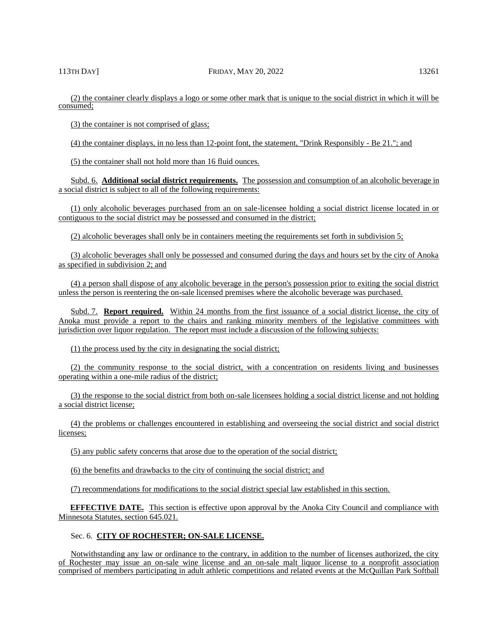(2) the container clearly displays a logo or some other mark that is unique to the social district in which it will be consumed;

(3) the container is not comprised of glass;

(4) the container displays, in no less than 12-point font, the statement, "Drink Responsibly - Be 21."; and

(5) the container shall not hold more than 16 fluid ounces.

Subd. 6. **Additional social district requirements.** The possession and consumption of an alcoholic beverage in a social district is subject to all of the following requirements:

(1) only alcoholic beverages purchased from an on sale-licensee holding a social district license located in or contiguous to the social district may be possessed and consumed in the district;

(2) alcoholic beverages shall only be in containers meeting the requirements set forth in subdivision 5;

(3) alcoholic beverages shall only be possessed and consumed during the days and hours set by the city of Anoka as specified in subdivision 2; and

(4) a person shall dispose of any alcoholic beverage in the person's possession prior to exiting the social district unless the person is reentering the on-sale licensed premises where the alcoholic beverage was purchased.

Subd. 7. **Report required.** Within 24 months from the first issuance of a social district license, the city of Anoka must provide a report to the chairs and ranking minority members of the legislative committees with jurisdiction over liquor regulation. The report must include a discussion of the following subjects:

(1) the process used by the city in designating the social district;

(2) the community response to the social district, with a concentration on residents living and businesses operating within a one-mile radius of the district;

(3) the response to the social district from both on-sale licensees holding a social district license and not holding a social district license;

(4) the problems or challenges encountered in establishing and overseeing the social district and social district licenses;

(5) any public safety concerns that arose due to the operation of the social district;

(6) the benefits and drawbacks to the city of continuing the social district; and

(7) recommendations for modifications to the social district special law established in this section.

**EFFECTIVE DATE.** This section is effective upon approval by the Anoka City Council and compliance with Minnesota Statutes, section 645.021.

# Sec. 6. **CITY OF ROCHESTER; ON-SALE LICENSE.**

Notwithstanding any law or ordinance to the contrary, in addition to the number of licenses authorized, the city of Rochester may issue an on-sale wine license and an on-sale malt liquor license to a nonprofit association comprised of members participating in adult athletic competitions and related events at the McQuillan Park Softball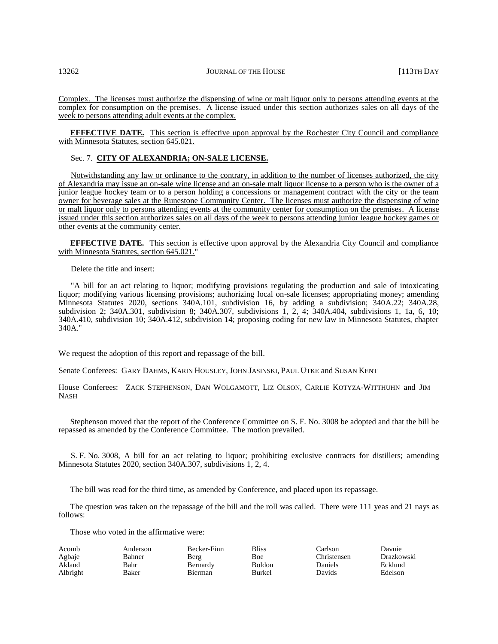Complex. The licenses must authorize the dispensing of wine or malt liquor only to persons attending events at the complex for consumption on the premises. A license issued under this section authorizes sales on all days of the week to persons attending adult events at the complex.

**EFFECTIVE DATE.** This section is effective upon approval by the Rochester City Council and compliance with Minnesota Statutes, section 645.021.

### Sec. 7. **CITY OF ALEXANDRIA; ON-SALE LICENSE.**

Notwithstanding any law or ordinance to the contrary, in addition to the number of licenses authorized, the city of Alexandria may issue an on-sale wine license and an on-sale malt liquor license to a person who is the owner of a junior league hockey team or to a person holding a concessions or management contract with the city or the team owner for beverage sales at the Runestone Community Center. The licenses must authorize the dispensing of wine or malt liquor only to persons attending events at the community center for consumption on the premises. A license issued under this section authorizes sales on all days of the week to persons attending junior league hockey games or other events at the community center.

**EFFECTIVE DATE.** This section is effective upon approval by the Alexandria City Council and compliance with Minnesota Statutes, section 645.021."

Delete the title and insert:

"A bill for an act relating to liquor; modifying provisions regulating the production and sale of intoxicating liquor; modifying various licensing provisions; authorizing local on-sale licenses; appropriating money; amending Minnesota Statutes 2020, sections 340A.101, subdivision 16, by adding a subdivision; 340A.22; 340A.28, subdivision 2; 340A.301, subdivision 8; 340A.307, subdivisions 1, 2, 4; 340A.404, subdivisions 1, 1a, 6, 10; 340A.410, subdivision 10; 340A.412, subdivision 14; proposing coding for new law in Minnesota Statutes, chapter 340A."

We request the adoption of this report and repassage of the bill.

Senate Conferees: GARY DAHMS, KARIN HOUSLEY, JOHN JASINSKI, PAUL UTKE and SUSAN KENT

House Conferees: ZACK STEPHENSON, DAN WOLGAMOTT, LIZ OLSON, CARLIE KOTYZA-WITTHUHN and JIM NASH

Stephenson moved that the report of the Conference Committee on S. F. No. 3008 be adopted and that the bill be repassed as amended by the Conference Committee. The motion prevailed.

S. F. No. 3008, A bill for an act relating to liquor; prohibiting exclusive contracts for distillers; amending Minnesota Statutes 2020, section 340A.307, subdivisions 1, 2, 4.

The bill was read for the third time, as amended by Conference, and placed upon its repassage.

The question was taken on the repassage of the bill and the roll was called. There were 111 yeas and 21 nays as follows:

Those who voted in the affirmative were:

| Acomb    | Anderson | Becker-Finn | <b>Bliss</b>  | Carlson     | Davnie     |
|----------|----------|-------------|---------------|-------------|------------|
| Agbaje   | Bahner   | Berg        | <b>Boe</b>    | Christensen | Drazkowski |
| Akland   | Bahr     | Bernardy    | <b>Boldon</b> | Daniels     | Ecklund    |
| Albright | Baker    | Bierman     | Burkel        | Davids      | Edelson    |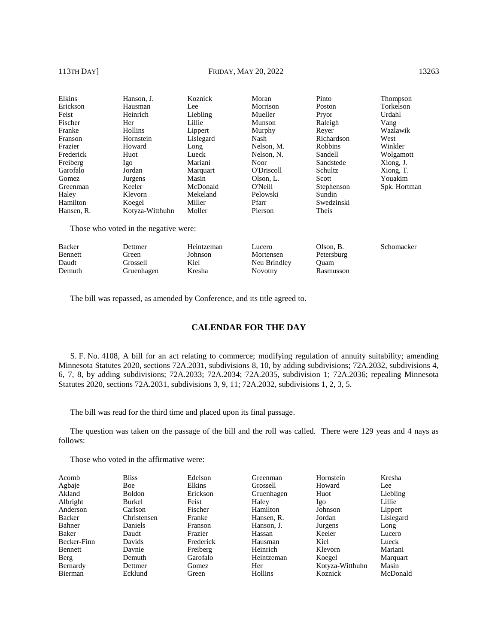# 113TH DAY] **FRIDAY, MAY 20, 2022** 13263

| Elkins     | Hanson, J.      | Koznick   | Moran             | Pinto      | <b>Thompson</b> |
|------------|-----------------|-----------|-------------------|------------|-----------------|
| Erickson   | Hausman         | Lee       | Morrison          | Poston     | Torkelson       |
| Feist      | Heinrich        | Liebling  | Mueller           | Pryor      | Urdahl          |
| Fischer    | Her             | Lillie    | Munson            | Raleigh    | Vang            |
| Franke     | Hollins         | Lippert   | Murphy            | Rever      | Wazlawik        |
| Franson    | Hornstein       | Lislegard | Nash              | Richardson | West            |
| Frazier    | Howard          | Long      | Nelson, M.        | Robbins    | Winkler         |
| Frederick  | Huot            | Lueck     | Nelson, N.        | Sandell    | Wolgamott       |
| Freiberg   | Igo             | Mariani   | Noor              | Sandstede  | Xiong, J.       |
| Garofalo   | Jordan          | Marquart  | <b>O'Driscoll</b> | Schultz    | Xiong, T.       |
| Gomez      | Jurgens         | Masin     | Olson, L.         | Scott      | Youakim         |
| Greenman   | Keeler          | McDonald  | O'Neill           | Stephenson | Spk. Hortman    |
| Haley      | Klevorn         | Mekeland  | Pelowski          | Sundin     |                 |
| Hamilton   | Koegel          | Miller    | Pfarr             | Swedzinski |                 |
| Hansen. R. | Kotyza-Witthuhn | Moller    | Pierson           | Theis      |                 |
|            |                 |           |                   |            |                 |

Those who voted in the negative were:

| Backer         | Dettmer    | Heintzeman | Lucero       | Olson, B.  | Schomacker |
|----------------|------------|------------|--------------|------------|------------|
| <b>Bennett</b> | Green      | Johnson    | Mortensen    | Petersburg |            |
| Daudt          | Grossell   | Kiel       | Neu Brindley | )uam       |            |
| Demuth         | Gruenhagen | Kresha     | Novotny      | Rasmusson  |            |

The bill was repassed, as amended by Conference, and its title agreed to.

# **CALENDAR FOR THE DAY**

S. F. No. 4108, A bill for an act relating to commerce; modifying regulation of annuity suitability; amending Minnesota Statutes 2020, sections 72A.2031, subdivisions 8, 10, by adding subdivisions; 72A.2032, subdivisions 4, 6, 7, 8, by adding subdivisions; 72A.2033; 72A.2034; 72A.2035, subdivision 1; 72A.2036; repealing Minnesota Statutes 2020, sections 72A.2031, subdivisions 3, 9, 11; 72A.2032, subdivisions 1, 2, 3, 5.

The bill was read for the third time and placed upon its final passage.

The question was taken on the passage of the bill and the roll was called. There were 129 yeas and 4 nays as follows:

Those who voted in the affirmative were:

| Acomb          | <b>Bliss</b> | Edelson        | Greenman   | Hornstein       | Kresha    |
|----------------|--------------|----------------|------------|-----------------|-----------|
| Agbaje         | <b>Boe</b>   | Elkins         | Grossell   | Howard          | Lee       |
| Akland         | Boldon       | Erickson       | Gruenhagen | Huot            | Liebling  |
| Albright       | Burkel       | Feist          | Haley      | Igo             | Lillie    |
| Anderson       | Carlson      | Fischer        | Hamilton   | Johnson         | Lippert   |
| <b>Backer</b>  | Christensen  | Franke         | Hansen, R. | Jordan          | Lislegard |
| Bahner         | Daniels      | <b>Franson</b> | Hanson, J. | Jurgens         | Long      |
| Baker          | Daudt        | Frazier        | Hassan     | Keeler          | Lucero    |
| Becker-Finn    | Davids       | Frederick      | Hausman    | Kiel            | Lueck     |
| Bennett        | Davnie       | Freiberg       | Heinrich   | Klevorn         | Mariani   |
| Berg           | Demuth       | Garofalo       | Heintzeman | Koegel          | Marquart  |
| Bernardy       | Dettmer      | Gomez          | Her        | Kotyza-Witthuhn | Masin     |
| <b>Bierman</b> | Ecklund      | Green          | Hollins    | Koznick         | McDonald  |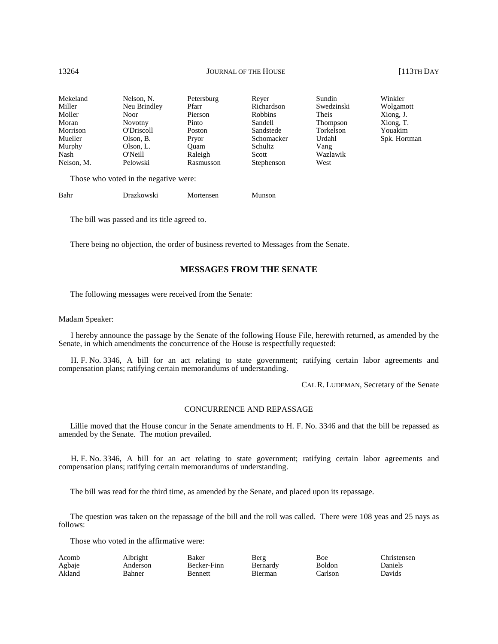| Mekeland   | Nelson, N.     | Petersburg | Rever          | Sundin     |
|------------|----------------|------------|----------------|------------|
| Miller     | Neu Brindley   | Pfarr      | Richardson     | Swedzinski |
| Moller     | <b>Noor</b>    | Pierson    | <b>Robbins</b> | Theis      |
| Moran      | <b>Novotny</b> | Pinto      | Sandell        | Thompson   |
| Morrison   | O'Driscoll     | Poston     | Sandstede      | Torkelson  |
| Mueller    | Olson, B.      | Pryor      | Schomacker     | Urdahl     |
| Murphy     | Olson, L.      | Ouam       | Schultz        | Vang       |
| Nash       | O'Neill        | Raleigh    | Scott          | Wazlawik   |
| Nelson, M. | Pelowski       | Rasmusson  | Stephenson     | West       |

Those who voted in the negative were:

| Bahr | Drazkowski | Mortensen | Munson |
|------|------------|-----------|--------|
|      |            |           |        |

The bill was passed and its title agreed to.

There being no objection, the order of business reverted to Messages from the Senate.

# **MESSAGES FROM THE SENATE**

The following messages were received from the Senate:

### Madam Speaker:

I hereby announce the passage by the Senate of the following House File, herewith returned, as amended by the Senate, in which amendments the concurrence of the House is respectfully requested:

H. F. No. 3346, A bill for an act relating to state government; ratifying certain labor agreements and compensation plans; ratifying certain memorandums of understanding.

CAL R. LUDEMAN, Secretary of the Senate

### CONCURRENCE AND REPASSAGE

Lillie moved that the House concur in the Senate amendments to H. F. No. 3346 and that the bill be repassed as amended by the Senate. The motion prevailed.

H. F. No. 3346, A bill for an act relating to state government; ratifying certain labor agreements and compensation plans; ratifying certain memorandums of understanding.

The bill was read for the third time, as amended by the Senate, and placed upon its repassage.

The question was taken on the repassage of the bill and the roll was called. There were 108 yeas and 25 nays as follows:

Those who voted in the affirmative were:

| Acomb  | Albright | Baker       | Berg     | Boe           | Christensen |
|--------|----------|-------------|----------|---------------|-------------|
| Agbaje | Anderson | Becker-Finn | Bernardy | <b>Boldon</b> | Daniels     |
| Akland | Bahner   | Bennett     | Bierman  | ∵arlson       | Davids      |

Winkler Wolgamott Xiong, J. Xiong, T. Youakim Spk. Hortman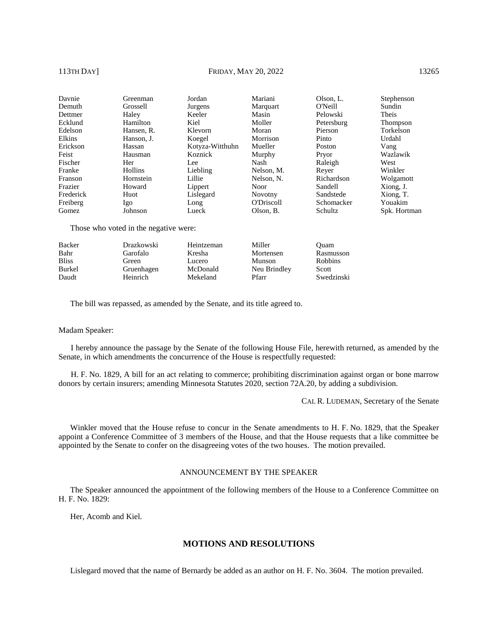## 113TH DAY] **FRIDAY, MAY 20, 2022** 13265

| Davnie    | Greenman   | Jordan          | Mariani           | Olson, L.  | Stephenson   |
|-----------|------------|-----------------|-------------------|------------|--------------|
| Demuth    | Grossell   | Jurgens         | Marquart          | O'Neill    | Sundin       |
| Dettmer   | Haley      | Keeler          | Masin             | Pelowski   | Theis        |
| Ecklund   | Hamilton   | Kiel            | Moller            | Petersburg | Thompson     |
| Edelson   | Hansen, R. | Klevorn         | Moran             | Pierson    | Torkelson    |
| Elkins    | Hanson, J. | Koegel          | Morrison          | Pinto      | Urdahl       |
| Erickson  | Hassan     | Kotyza-Witthuhn | Mueller           | Poston     | Vang         |
| Feist     | Hausman    | Koznick         | Murphy            | Pryor      | Wazlawik     |
| Fischer   | Her        | Lee             | Nash              | Raleigh    | West         |
| Franke    | Hollins    | Liebling        | Nelson, M.        | Rever      | Winkler      |
| Franson   | Hornstein  | Lillie          | Nelson, N.        | Richardson | Wolgamott    |
| Frazier   | Howard     | Lippert         | Noor              | Sandell    | Xiong, J.    |
| Frederick | Huot       | Lislegard       | <b>Novotny</b>    | Sandstede  | Xiong, T.    |
| Freiberg  | Igo        | Long            | <b>O'Driscoll</b> | Schomacker | Youakim      |
| Gomez     | Johnson    | Lueck           | Olson, B.         | Schultz    | Spk. Hortman |

Those who voted in the negative were:

| Rasmusson      |
|----------------|
| <b>Robbins</b> |
| Scott          |
| Swedzinski     |
|                |

The bill was repassed, as amended by the Senate, and its title agreed to.

### Madam Speaker:

I hereby announce the passage by the Senate of the following House File, herewith returned, as amended by the Senate, in which amendments the concurrence of the House is respectfully requested:

H. F. No. 1829, A bill for an act relating to commerce; prohibiting discrimination against organ or bone marrow donors by certain insurers; amending Minnesota Statutes 2020, section 72A.20, by adding a subdivision.

CAL R. LUDEMAN, Secretary of the Senate

Winkler moved that the House refuse to concur in the Senate amendments to H. F. No. 1829, that the Speaker appoint a Conference Committee of 3 members of the House, and that the House requests that a like committee be appointed by the Senate to confer on the disagreeing votes of the two houses. The motion prevailed.

### ANNOUNCEMENT BY THE SPEAKER

The Speaker announced the appointment of the following members of the House to a Conference Committee on H. F. No. 1829:

Her, Acomb and Kiel.

### **MOTIONS AND RESOLUTIONS**

Lislegard moved that the name of Bernardy be added as an author on H. F. No. 3604. The motion prevailed.